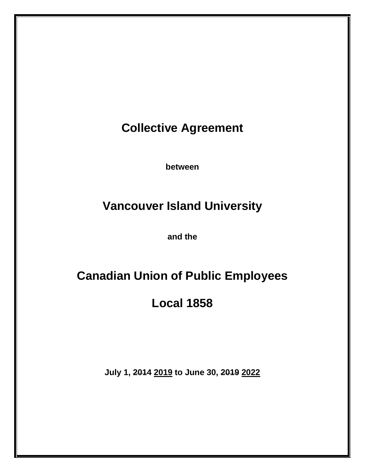**Collective Agreement**

**between**

# **Vancouver Island University**

**and the**

# **Canadian Union of Public Employees**

**Local 1858**

**July 1, 2014 2019 to June 30, 2019 2022**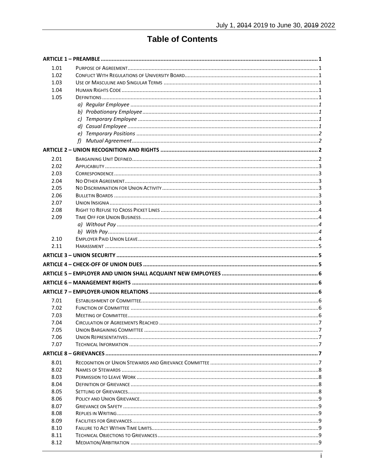# **Table of Contents**

| 1.01         |  |
|--------------|--|
| 1.02         |  |
| 1.03         |  |
| 1.04         |  |
| 1.05         |  |
|              |  |
|              |  |
|              |  |
|              |  |
|              |  |
|              |  |
|              |  |
| 2.01         |  |
| 2.02         |  |
| 2.03         |  |
| 2.04         |  |
| 2.05         |  |
| 2.06         |  |
| 2.07         |  |
| 2.08         |  |
| 2.09         |  |
|              |  |
|              |  |
| 2.10         |  |
| 2.11         |  |
|              |  |
|              |  |
|              |  |
|              |  |
|              |  |
|              |  |
| 7.01         |  |
| 7.02         |  |
| 7.03         |  |
| 7.04         |  |
| 7.05<br>7.06 |  |
| 7.07         |  |
|              |  |
|              |  |
| 8.01         |  |
| 8.02         |  |
| 8.03         |  |
| 8.04         |  |
| 8.05         |  |
| 8.06         |  |
|              |  |
| 8.07         |  |
| 8.08         |  |
| 8.09         |  |
| 8.10         |  |
| 8.11<br>8.12 |  |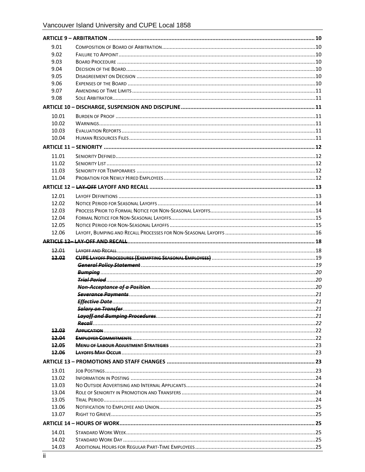| 9.01         |                            |  |
|--------------|----------------------------|--|
| 9.02         |                            |  |
| 9.03         |                            |  |
| 9.04         |                            |  |
| 9.05         |                            |  |
| 9.06         |                            |  |
| 9.07         |                            |  |
| 9.08         |                            |  |
|              |                            |  |
| 10.01        |                            |  |
| 10.02        |                            |  |
| 10.03        |                            |  |
| 10.04        |                            |  |
|              |                            |  |
| 11.01        |                            |  |
| 11.02        |                            |  |
| 11.03        |                            |  |
| 11.04        |                            |  |
|              |                            |  |
| 12.01        |                            |  |
| 12.02        |                            |  |
| 12.03        |                            |  |
| 12.04        |                            |  |
| 12.05        |                            |  |
| 12.06        |                            |  |
|              |                            |  |
|              |                            |  |
| 12.01        |                            |  |
| 12.02        |                            |  |
|              |                            |  |
|              |                            |  |
|              |                            |  |
|              |                            |  |
|              |                            |  |
|              |                            |  |
|              | <b>Salary on Transfer.</b> |  |
|              |                            |  |
|              |                            |  |
| 12.03        |                            |  |
| 12.04        |                            |  |
| 12.05        |                            |  |
| <b>12.06</b> |                            |  |
|              |                            |  |
| 13.01        |                            |  |
| 13.02        |                            |  |
| 13.03        |                            |  |
| 13.04        |                            |  |
| 13.05        |                            |  |
| 13.06        |                            |  |
| 13.07        |                            |  |
|              |                            |  |
| 14.01        |                            |  |
| 14.02        |                            |  |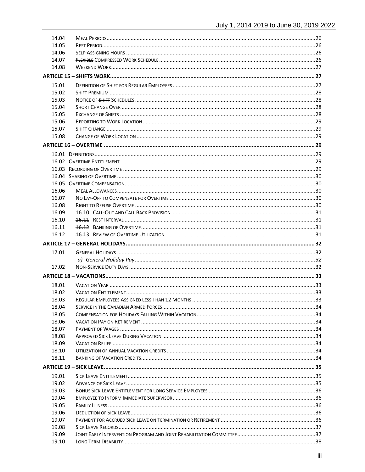| 14.04 |  |
|-------|--|
| 14.05 |  |
| 14.06 |  |
| 14.07 |  |
| 14.08 |  |
|       |  |
| 15.01 |  |
| 15.02 |  |
| 15.03 |  |
| 15.04 |  |
| 15.05 |  |
| 15.06 |  |
| 15.07 |  |
| 15.08 |  |
|       |  |
|       |  |
|       |  |
|       |  |
|       |  |
|       |  |
| 16.06 |  |
| 16.07 |  |
| 16.08 |  |
| 16.09 |  |
| 16.10 |  |
| 16.11 |  |
| 16.12 |  |
|       |  |
| 17.01 |  |
|       |  |
| 17.02 |  |
|       |  |
| 18.01 |  |
| 18.02 |  |
| 18.03 |  |
| 18.04 |  |
| 18.05 |  |
| 18.06 |  |
| 18.07 |  |
| 18.08 |  |
| 18.09 |  |
| 18.10 |  |
| 18.11 |  |
|       |  |
| 19.01 |  |
| 19.02 |  |
| 19.03 |  |
| 19.04 |  |
| 19.05 |  |
| 19.06 |  |
| 19.07 |  |
| 19.08 |  |
| 19.09 |  |
| 19.10 |  |
|       |  |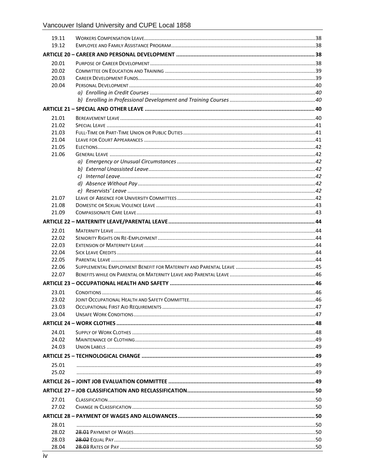| 19.11 |  |
|-------|--|
| 19.12 |  |
|       |  |
| 20.01 |  |
| 20.02 |  |
| 20.03 |  |
| 20.04 |  |
|       |  |
|       |  |
|       |  |
| 21.01 |  |
| 21.02 |  |
| 21.03 |  |
| 21.04 |  |
| 21.05 |  |
| 21.06 |  |
|       |  |
|       |  |
|       |  |
|       |  |
|       |  |
| 21.07 |  |
| 21.08 |  |
| 21.09 |  |
|       |  |
| 22.01 |  |
| 22.02 |  |
| 22.03 |  |
| 22.04 |  |
| 22.05 |  |
| 22.06 |  |
| 22.07 |  |
|       |  |
| 23.01 |  |
| 23.02 |  |
| 23.03 |  |
| 23.04 |  |
|       |  |
| 24.01 |  |
| 24.02 |  |
| 24.03 |  |
|       |  |
| 25.01 |  |
| 25.02 |  |
|       |  |
|       |  |
|       |  |
| 27.01 |  |
| 27.02 |  |
|       |  |
| 28.01 |  |
| 28.02 |  |
| 28.03 |  |
| 28.04 |  |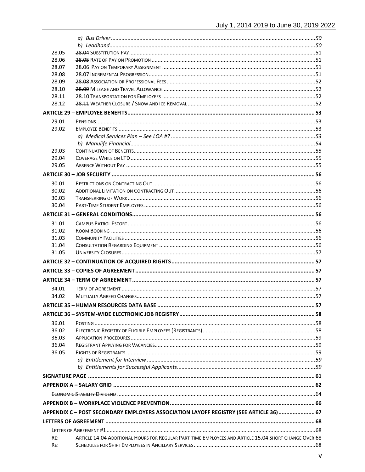| 28.05 |                                                                                                       |  |
|-------|-------------------------------------------------------------------------------------------------------|--|
| 28.06 |                                                                                                       |  |
| 28.07 |                                                                                                       |  |
| 28.08 |                                                                                                       |  |
| 28.09 |                                                                                                       |  |
| 28.10 |                                                                                                       |  |
| 28.11 |                                                                                                       |  |
| 28.12 |                                                                                                       |  |
|       |                                                                                                       |  |
| 29.01 |                                                                                                       |  |
| 29.02 |                                                                                                       |  |
|       |                                                                                                       |  |
|       |                                                                                                       |  |
| 29.03 |                                                                                                       |  |
| 29.04 |                                                                                                       |  |
| 29.05 |                                                                                                       |  |
|       |                                                                                                       |  |
| 30.01 |                                                                                                       |  |
| 30.02 |                                                                                                       |  |
| 30.03 |                                                                                                       |  |
| 30.04 |                                                                                                       |  |
|       |                                                                                                       |  |
|       |                                                                                                       |  |
| 31.01 |                                                                                                       |  |
| 31.02 |                                                                                                       |  |
| 31.03 |                                                                                                       |  |
| 31.04 |                                                                                                       |  |
| 31.05 |                                                                                                       |  |
|       |                                                                                                       |  |
|       |                                                                                                       |  |
|       |                                                                                                       |  |
| 34.01 |                                                                                                       |  |
| 34.02 |                                                                                                       |  |
|       |                                                                                                       |  |
|       |                                                                                                       |  |
|       |                                                                                                       |  |
| 36.01 |                                                                                                       |  |
| 36.02 |                                                                                                       |  |
| 36.03 |                                                                                                       |  |
| 36.04 |                                                                                                       |  |
| 36.05 |                                                                                                       |  |
|       |                                                                                                       |  |
|       |                                                                                                       |  |
|       |                                                                                                       |  |
|       |                                                                                                       |  |
|       |                                                                                                       |  |
|       |                                                                                                       |  |
|       |                                                                                                       |  |
|       | APPENDIX C - POST SECONDARY EMPLOYERS ASSOCIATION LAYOFF REGISTRY (SEE ARTICLE 36)  67                |  |
|       |                                                                                                       |  |
|       |                                                                                                       |  |
| RE:   | ARTICLE 14.04 ADDITIONAL HOURS FOR REGULAR PART-TIME EMPLOYEES AND ARTICLE 15.04 SHORT CHANGE OVER 68 |  |
| RE:   |                                                                                                       |  |
|       |                                                                                                       |  |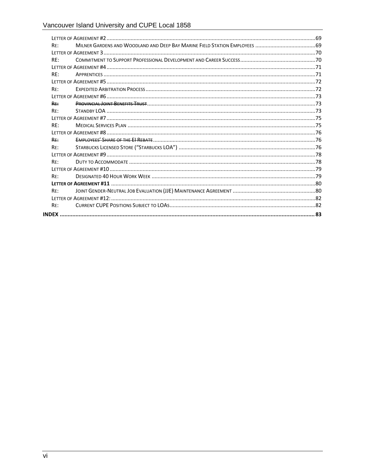| RF: |  |
|-----|--|
|     |  |
| RF: |  |
|     |  |
| RF: |  |
|     |  |
| RF: |  |
|     |  |
| RF: |  |
| RF: |  |
|     |  |
| RF: |  |
|     |  |
| RF: |  |
| RE: |  |
|     |  |
| RF: |  |
|     |  |
| RF: |  |
|     |  |
| RF: |  |
|     |  |
| RE: |  |
|     |  |
|     |  |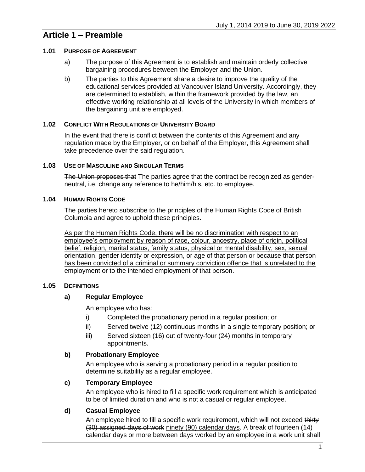# <span id="page-8-0"></span>**Article 1 – Preamble**

### <span id="page-8-1"></span>**1.01 PURPOSE OF AGREEMENT**

- a) The purpose of this Agreement is to establish and maintain orderly collective bargaining procedures between the Employer and the Union.
- b) The parties to this Agreement share a desire to improve the quality of the educational services provided at Vancouver Island University. Accordingly, they are determined to establish, within the framework provided by the law, an effective working relationship at all levels of the University in which members of the bargaining unit are employed.

# <span id="page-8-2"></span>**1.02 CONFLICT WITH REGULATIONS OF UNIVERSITY BOARD**

In the event that there is conflict between the contents of this Agreement and any regulation made by the Employer, or on behalf of the Employer, this Agreement shall take precedence over the said regulation.

### <span id="page-8-3"></span>**1.03 USE OF MASCULINE AND SINGULAR TERMS**

The Union proposes that The parties agree that the contract be recognized as genderneutral, i.e. change any reference to he/him/his, etc. to employee.

### <span id="page-8-4"></span>**1.04 HUMAN RIGHTS CODE**

The parties hereto subscribe to the principles of the Human Rights Code of British Columbia and agree to uphold these principles.

As per the Human Rights Code, there will be no discrimination with respect to an employee's employment by reason of race, colour, ancestry, place of origin, political belief, religion, marital status, family status, physical or mental disability, sex, sexual orientation, gender identity or expression, or age of that person or because that person has been convicted of a criminal or summary conviction offence that is unrelated to the employment or to the intended employment of that person.

# <span id="page-8-6"></span><span id="page-8-5"></span>**1.05 DEFINITIONS**

# **a) Regular Employee**

An employee who has:

- i) Completed the probationary period in a regular position; or
- ii) Served twelve (12) continuous months in a single temporary position; or
- iii) Served sixteen (16) out of twenty-four (24) months in temporary appointments.

#### <span id="page-8-7"></span>**b) Probationary Employee**

An employee who is serving a probationary period in a regular position to determine suitability as a regular employee.

# <span id="page-8-8"></span>**c) Temporary Employee**

An employee who is hired to fill a specific work requirement which is anticipated to be of limited duration and who is not a casual or regular employee.

# <span id="page-8-9"></span>**d) Casual Employee**

An employee hired to fill a specific work requirement, which will not exceed thirty (30) assigned days of work ninety (90) calendar days. A break of fourteen (14) calendar days or more between days worked by an employee in a work unit shall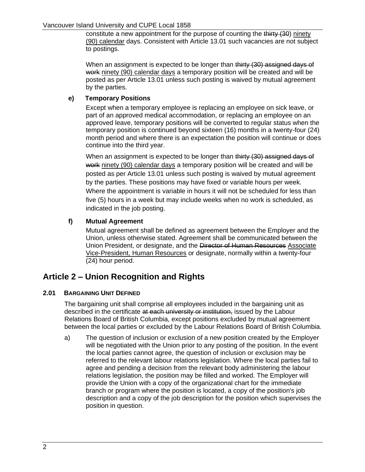constitute a new appointment for the purpose of counting the thirty (30) ninety (90) calendar days. Consistent with [Article 13.01](#page-30-3) such vacancies are not subject to postings.

When an assignment is expected to be longer than thirty (30) assigned days of work ninety (90) calendar days a temporary position will be created and will be posted as per [Article 13.01](#page-30-3) unless such posting is waived by mutual agreement by the parties.

## <span id="page-9-0"></span>**e) Temporary Positions**

Except when a temporary employee is replacing an employee on sick leave, or part of an approved medical accommodation, or replacing an employee on an approved leave, temporary positions will be converted to regular status when the temporary position is continued beyond sixteen (16) months in a twenty-four (24) month period and where there is an expectation the position will continue or does continue into the third year.

When an assignment is expected to be longer than thirty (30) assigned days of work ninety (90) calendar days a temporary position will be created and will be posted as per [Article 13.01](#page-30-3) unless such posting is waived by mutual agreement by the parties. These positions may have fixed or variable hours per week. Where the appointment is variable in hours it will not be scheduled for less than five (5) hours in a week but may include weeks when no work is scheduled, as indicated in the job posting.

# <span id="page-9-1"></span>**f) Mutual Agreement**

Mutual agreement shall be defined as agreement between the Employer and the Union, unless otherwise stated. Agreement shall be communicated between the Union President, or designate, and the Director of Human Resources Associate Vice-President, Human Resources or designate, normally within a twenty-four (24) hour period.

# <span id="page-9-2"></span>**Article 2 – Union Recognition and Rights**

# <span id="page-9-3"></span>**2.01 BARGAINING UNIT DEFINED**

The bargaining unit shall comprise all employees included in the bargaining unit as described in the certificate at each university or institution, issued by the Labour Relations Board of British Columbia, except positions excluded by mutual agreement between the local parties or excluded by the Labour Relations Board of British Columbia.

<span id="page-9-4"></span>a) The question of inclusion or exclusion of a new position created by the Employer will be negotiated with the Union prior to any posting of the position. In the event the local parties cannot agree, the question of inclusion or exclusion may be referred to the relevant labour relations legislation. Where the local parties fail to agree and pending a decision from the relevant body administering the labour relations legislation, the position may be filled and worked. The Employer will provide the Union with a copy of the organizational chart for the immediate branch or program where the position is located, a copy of the position's job description and a copy of the job description for the position which supervises the position in question.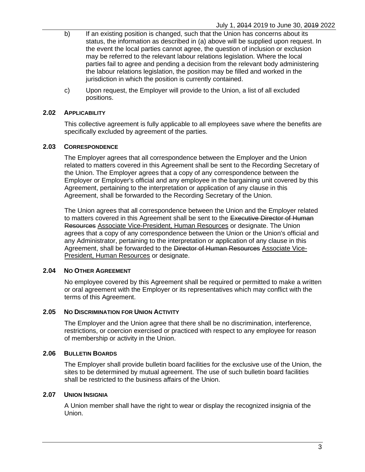- b) If an existing position is changed, such that the Union has concerns about its status, the information as described in [\(a\)](#page-9-4) above will be supplied upon request. In the event the local parties cannot agree, the question of inclusion or exclusion may be referred to the relevant labour relations legislation. Where the local parties fail to agree and pending a decision from the relevant body administering the labour relations legislation, the position may be filled and worked in the jurisdiction in which the position is currently contained.
- c) Upon request, the Employer will provide to the Union, a list of all excluded positions.

#### <span id="page-10-0"></span>**2.02 APPLICABILITY**

This collective agreement is fully applicable to all employees save where the benefits are specifically excluded by agreement of the parties.

#### <span id="page-10-1"></span>**2.03 CORRESPONDENCE**

The Employer agrees that all correspondence between the Employer and the Union related to matters covered in this Agreement shall be sent to the Recording Secretary of the Union. The Employer agrees that a copy of any correspondence between the Employer or Employer's official and any employee in the bargaining unit covered by this Agreement, pertaining to the interpretation or application of any clause in this Agreement, shall be forwarded to the Recording Secretary of the Union.

The Union agrees that all correspondence between the Union and the Employer related to matters covered in this Agreement shall be sent to the Executive Director of Human Resources Associate Vice-President, Human Resources or designate. The Union agrees that a copy of any correspondence between the Union or the Union's official and any Administrator, pertaining to the interpretation or application of any clause in this Agreement, shall be forwarded to the Director of Human Resources Associate Vice-**President, Human Resources or designate.** 

#### <span id="page-10-2"></span>**2.04 NO OTHER AGREEMENT**

No employee covered by this Agreement shall be required or permitted to make a written or oral agreement with the Employer or its representatives which may conflict with the terms of this Agreement.

#### <span id="page-10-3"></span>**2.05 NO DISCRIMINATION FOR UNION ACTIVITY**

The Employer and the Union agree that there shall be no discrimination, interference, restrictions, or coercion exercised or practiced with respect to any employee for reason of membership or activity in the Union.

#### <span id="page-10-4"></span>**2.06 BULLETIN BOARDS**

The Employer shall provide bulletin board facilities for the exclusive use of the Union, the sites to be determined by mutual agreement. The use of such bulletin board facilities shall be restricted to the business affairs of the Union.

#### <span id="page-10-5"></span>**2.07 UNION INSIGNIA**

A Union member shall have the right to wear or display the recognized insignia of the Union.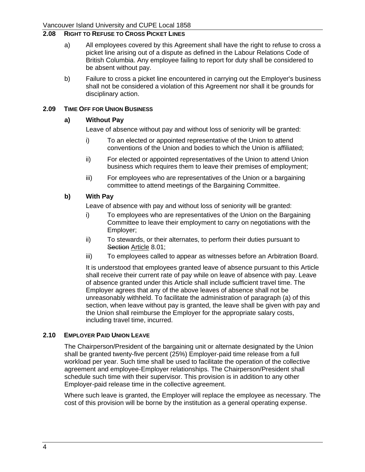# <span id="page-11-0"></span>**2.08 RIGHT TO REFUSE TO CROSS PICKET LINES**

- a) All employees covered by this Agreement shall have the right to refuse to cross a picket line arising out of a dispute as defined in the Labour Relations Code of British Columbia. Any employee failing to report for duty shall be considered to be absent without pay.
- b) Failure to cross a picket line encountered in carrying out the Employer's business shall not be considered a violation of this Agreement nor shall it be grounds for disciplinary action.

#### <span id="page-11-2"></span><span id="page-11-1"></span>**2.09 TIME OFF FOR UNION BUSINESS**

#### **a) Without Pay**

Leave of absence without pay and without loss of seniority will be granted:

- i) To an elected or appointed representative of the Union to attend conventions of the Union and bodies to which the Union is affiliated;
- ii) For elected or appointed representatives of the Union to attend Union business which requires them to leave their premises of employment;
- iii) For employees who are representatives of the Union or a bargaining committee to attend meetings of the Bargaining Committee.

### <span id="page-11-3"></span>**b) With Pay**

Leave of absence with pay and without loss of seniority will be granted:

- i) To employees who are representatives of the Union on the Bargaining Committee to leave their employment to carry on negotiations with the Employer;
- ii) To stewards, or their alternates, to perform their duties pursuant to Section Article [8.01;](#page-14-5)
- iii) To employees called to appear as witnesses before an Arbitration Board.

It is understood that employees granted leave of absence pursuant to this Article shall receive their current rate of pay while on leave of absence with pay. Leave of absence granted under this Article shall include sufficient travel time. The Employer agrees that any of the above leaves of absence shall not be unreasonably withheld. To facilitate the administration of paragraph [\(a\)](#page-11-2) of this section, when leave without pay is granted, the leave shall be given with pay and the Union shall reimburse the Employer for the appropriate salary costs, including travel time, incurred.

#### <span id="page-11-4"></span>**2.10 EMPLOYER PAID UNION LEAVE**

The Chairperson/President of the bargaining unit or alternate designated by the Union shall be granted twenty-five percent (25%) Employer-paid time release from a full workload per year. Such time shall be used to facilitate the operation of the collective agreement and employee-Employer relationships. The Chairperson/President shall schedule such time with their supervisor. This provision is in addition to any other Employer-paid release time in the collective agreement.

Where such leave is granted, the Employer will replace the employee as necessary. The cost of this provision will be borne by the institution as a general operating expense.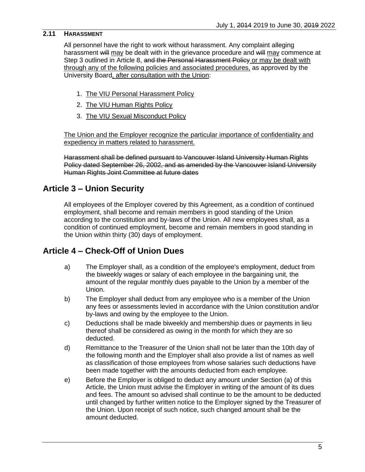# <span id="page-12-0"></span>**2.11 HARASSMENT**

All personnel have the right to work without harassment. Any complaint alleging harassment will may be dealt with in the grievance procedure and will may commence at Step 3 outlined in [Article 8,](#page-14-4) and the Personal Harassment Policy or may be dealt with through any of the following policies and associated procedures, as approved by the University Board, after consultation with the Union:

- 1. The VIU Personal Harassment Policy
- 2. The VIU Human Rights Policy
- 3. The VIU Sexual Misconduct Policy

The Union and the Employer recognize the particular importance of confidentiality and expediency in matters related to harassment.

Harassment shall be defined pursuant to Vancouver Island University Human Rights Policy dated September 26, 2002, and as amended by the Vancouver Island University Human Rights Joint Committee at future dates

# <span id="page-12-1"></span>**Article 3 – Union Security**

All employees of the Employer covered by this Agreement, as a condition of continued employment, shall become and remain members in good standing of the Union according to the constitution and by-laws of the Union. All new employees shall, as a condition of continued employment, become and remain members in good standing in the Union within thirty (30) days of employment.

# <span id="page-12-3"></span><span id="page-12-2"></span>**Article 4 – Check-Off of Union Dues**

- a) The Employer shall, as a condition of the employee's employment, deduct from the biweekly wages or salary of each employee in the bargaining unit, the amount of the regular monthly dues payable to the Union by a member of the Union.
- b) The Employer shall deduct from any employee who is a member of the Union any fees or assessments levied in accordance with the Union constitution and/or by-laws and owing by the employee to the Union.
- c) Deductions shall be made biweekly and membership dues or payments in lieu thereof shall be considered as owing in the month for which they are so deducted.
- d) Remittance to the Treasurer of the Union shall not be later than the 10th day of the following month and the Employer shall also provide a list of names as well as classification of those employees from whose salaries such deductions have been made together with the amounts deducted from each employee.
- e) Before the Employer is obliged to deduct any amount under Section [\(a\)](#page-12-3) of this Article, the Union must advise the Employer in writing of the amount of its dues and fees. The amount so advised shall continue to be the amount to be deducted until changed by further written notice to the Employer signed by the Treasurer of the Union. Upon receipt of such notice, such changed amount shall be the amount deducted.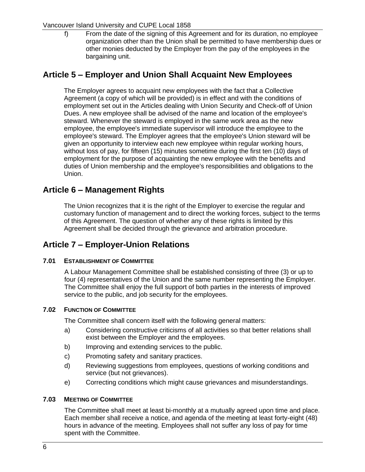#### Vancouver Island University and CUPE Local 1858

f) From the date of the signing of this Agreement and for its duration, no employee organization other than the Union shall be permitted to have membership dues or other monies deducted by the Employer from the pay of the employees in the bargaining unit.

# <span id="page-13-0"></span>**Article 5 – Employer and Union Shall Acquaint New Employees**

The Employer agrees to acquaint new employees with the fact that a Collective Agreement (a copy of which will be provided) is in effect and with the conditions of employment set out in the Articles dealing with Union Security and Check-off of Union Dues. A new employee shall be advised of the name and location of the employee's steward. Whenever the steward is employed in the same work area as the new employee, the employee's immediate supervisor will introduce the employee to the employee's steward. The Employer agrees that the employee's Union steward will be given an opportunity to interview each new employee within regular working hours, without loss of pay, for fifteen (15) minutes sometime during the first ten (10) days of employment for the purpose of acquainting the new employee with the benefits and duties of Union membership and the employee's responsibilities and obligations to the Union.

# <span id="page-13-1"></span>**Article 6 – Management Rights**

The Union recognizes that it is the right of the Employer to exercise the regular and customary function of management and to direct the working forces, subject to the terms of this Agreement. The question of whether any of these rights is limited by this Agreement shall be decided through the grievance and arbitration procedure.

# <span id="page-13-2"></span>**Article 7 – Employer-Union Relations**

# <span id="page-13-3"></span>**7.01 ESTABLISHMENT OF COMMITTEE**

A Labour Management Committee shall be established consisting of three (3) or up to four (4) representatives of the Union and the same number representing the Employer. The Committee shall enjoy the full support of both parties in the interests of improved service to the public, and job security for the employees.

#### <span id="page-13-4"></span>**7.02 FUNCTION OF COMMITTEE**

The Committee shall concern itself with the following general matters:

- a) Considering constructive criticisms of all activities so that better relations shall exist between the Employer and the employees.
- b) Improving and extending services to the public.
- c) Promoting safety and sanitary practices.
- d) Reviewing suggestions from employees, questions of working conditions and service (but not grievances).
- e) Correcting conditions which might cause grievances and misunderstandings.

#### <span id="page-13-5"></span>**7.03 MEETING OF COMMITTEE**

The Committee shall meet at least bi-monthly at a mutually agreed upon time and place. Each member shall receive a notice, and agenda of the meeting at least forty-eight (48) hours in advance of the meeting. Employees shall not suffer any loss of pay for time spent with the Committee.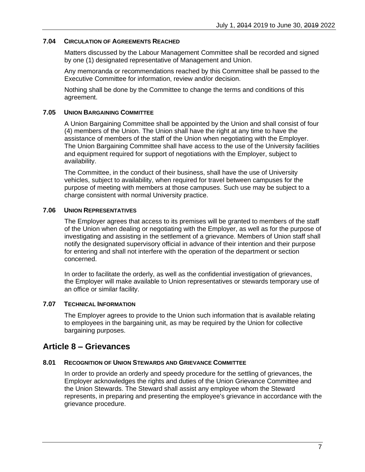#### <span id="page-14-0"></span>**7.04 CIRCULATION OF AGREEMENTS REACHED**

Matters discussed by the Labour Management Committee shall be recorded and signed by one (1) designated representative of Management and Union.

Any memoranda or recommendations reached by this Committee shall be passed to the Executive Committee for information, review and/or decision.

Nothing shall be done by the Committee to change the terms and conditions of this agreement.

### <span id="page-14-1"></span>**7.05 UNION BARGAINING COMMITTEE**

A Union Bargaining Committee shall be appointed by the Union and shall consist of four (4) members of the Union. The Union shall have the right at any time to have the assistance of members of the staff of the Union when negotiating with the Employer. The Union Bargaining Committee shall have access to the use of the University facilities and equipment required for support of negotiations with the Employer, subject to availability.

The Committee, in the conduct of their business, shall have the use of University vehicles, subject to availability, when required for travel between campuses for the purpose of meeting with members at those campuses. Such use may be subject to a charge consistent with normal University practice.

### <span id="page-14-2"></span>**7.06 UNION REPRESENTATIVES**

The Employer agrees that access to its premises will be granted to members of the staff of the Union when dealing or negotiating with the Employer, as well as for the purpose of investigating and assisting in the settlement of a grievance. Members of Union staff shall notify the designated supervisory official in advance of their intention and their purpose for entering and shall not interfere with the operation of the department or section concerned.

In order to facilitate the orderly, as well as the confidential investigation of grievances, the Employer will make available to Union representatives or stewards temporary use of an office or similar facility.

#### <span id="page-14-3"></span>**7.07 TECHNICAL INFORMATION**

The Employer agrees to provide to the Union such information that is available relating to employees in the bargaining unit, as may be required by the Union for collective bargaining purposes.

# <span id="page-14-4"></span>**Article 8 – Grievances**

#### <span id="page-14-5"></span>**8.01 RECOGNITION OF UNION STEWARDS AND GRIEVANCE COMMITTEE**

In order to provide an orderly and speedy procedure for the settling of grievances, the Employer acknowledges the rights and duties of the Union Grievance Committee and the Union Stewards. The Steward shall assist any employee whom the Steward represents, in preparing and presenting the employee's grievance in accordance with the grievance procedure.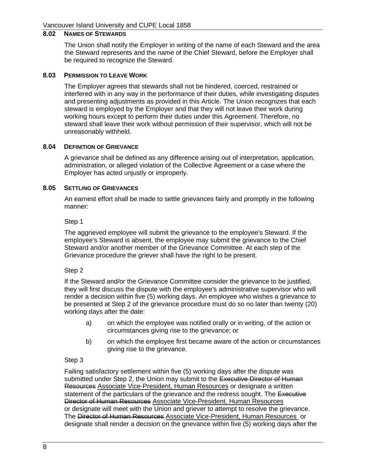# <span id="page-15-0"></span>**8.02 NAMES OF STEWARDS**

The Union shall notify the Employer in writing of the name of each Steward and the area the Steward represents and the name of the Chief Steward, before the Employer shall be required to recognize the Steward.

#### <span id="page-15-1"></span>**8.03 PERMISSION TO LEAVE WORK**

The Employer agrees that stewards shall not be hindered, coerced, restrained or interfered with in any way in the performance of their duties, while investigating disputes and presenting adjustments as provided in this Article. The Union recognizes that each steward is employed by the Employer and that they will not leave their work during working hours except to perform their duties under this Agreement. Therefore, no steward shall leave their work without permission of their supervisor, which will not be unreasonably withheld.

#### <span id="page-15-2"></span>**8.04 DEFINITION OF GRIEVANCE**

A grievance shall be defined as any difference arising out of interpretation, application, administration, or alleged violation of the Collective Agreement or a case where the Employer has acted unjustly or improperly.

#### <span id="page-15-3"></span>**8.05 SETTLING OF GRIEVANCES**

An earnest effort shall be made to settle grievances fairly and promptly in the following manner:

Step 1

The aggrieved employee will submit the grievance to the employee's Steward. If the employee's Steward is absent, the employee may submit the grievance to the Chief Steward and/or another member of the Grievance Committee. At each step of the Grievance procedure the griever shall have the right to be present.

#### <span id="page-15-4"></span>Step 2

If the Steward and/or the Grievance Committee consider the grievance to be justified, they will first discuss the dispute with the employee's administrative supervisor who will render a decision within five (5) working days. An employee who wishes a grievance to be presented at [Step 2](#page-15-4) of the grievance procedure must do so no later than twenty (20) working days after the date:

- a) on which the employee was notified orally or in writing, of the action or circumstances giving rise to the grievance; or
- b) on which the employee first became aware of the action or circumstances giving rise to the grievance.

#### <span id="page-15-5"></span>Step 3

Failing satisfactory settlement within five (5) working days after the dispute was submitted under [Step 2,](#page-15-4) the Union may submit to the Executive Director of Human Resources Associate Vice-President, Human Resources or designate a written statement of the particulars of the grievance and the redress sought. The Executive Director of Human Resources Associate Vice-President, Human Resources or designate will meet with the Union and griever to attempt to resolve the grievance. The Director of Human Resources Associate Vice-President, Human Resources or designate shall render a decision on the grievance within five (5) working days after the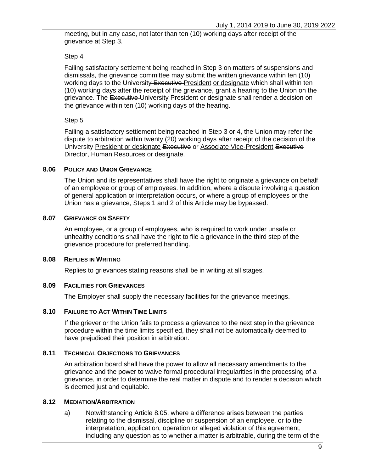meeting, but in any case, not later than ten (10) working days after receipt of the grievance at [Step 3.](#page-15-5)

#### Step 4

Failing satisfactory settlement being reached in [Step 3](#page-15-5) on matters of suspensions and dismissals, the grievance committee may submit the written grievance within ten (10) working days to the University Executive President or designate which shall within ten (10) working days after the receipt of the grievance, grant a hearing to the Union on the grievance. The Executive University President or designate shall render a decision on the grievance within ten (10) working days of the hearing.

### Step 5

Failing a satisfactory settlement being reached in [Step 3](#page-15-5) or 4, the Union may refer the dispute to arbitration within twenty (20) working days after receipt of the decision of the University President or designate Executive or Associate Vice-President Executive Director, Human Resources or designate.

#### <span id="page-16-0"></span>**8.06 POLICY AND UNION GRIEVANCE**

The Union and its representatives shall have the right to originate a grievance on behalf of an employee or group of employees. In addition, where a dispute involving a question of general application or interpretation occurs, or where a group of employees or the Union has a grievance, Steps 1 and 2 of this Article may be bypassed.

### <span id="page-16-1"></span>**8.07 GRIEVANCE ON SAFETY**

An employee, or a group of employees, who is required to work under unsafe or unhealthy conditions shall have the right to file a grievance in the third step of the grievance procedure for preferred handling.

#### <span id="page-16-2"></span>**8.08 REPLIES IN WRITING**

Replies to grievances stating reasons shall be in writing at all stages.

#### <span id="page-16-3"></span>**8.09 FACILITIES FOR GRIEVANCES**

The Employer shall supply the necessary facilities for the grievance meetings.

#### <span id="page-16-4"></span>**8.10 FAILURE TO ACT WITHIN TIME LIMITS**

If the griever or the Union fails to process a grievance to the next step in the grievance procedure within the time limits specified, they shall not be automatically deemed to have prejudiced their position in arbitration.

#### <span id="page-16-5"></span>**8.11 TECHNICAL OBJECTIONS TO GRIEVANCES**

An arbitration board shall have the power to allow all necessary amendments to the grievance and the power to waive formal procedural irregularities in the processing of a grievance, in order to determine the real matter in dispute and to render a decision which is deemed just and equitable.

#### <span id="page-16-6"></span>**8.12 MEDIATION/ARBITRATION**

a) Notwithstanding Article [8.05,](#page-15-3) where a difference arises between the parties relating to the dismissal, discipline or suspension of an employee, or to the interpretation, application, operation or alleged violation of this agreement, including any question as to whether a matter is arbitrable, during the term of the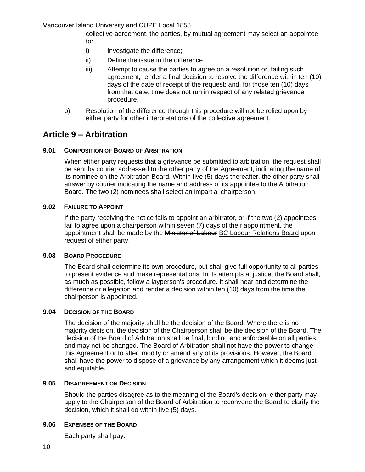collective agreement, the parties, by mutual agreement may select an appointee to:

- i) Investigate the difference;
- ii) Define the issue in the difference;
- iii) Attempt to cause the parties to agree on a resolution or, failing such agreement, render a final decision to resolve the difference within ten (10) days of the date of receipt of the request; and, for those ten (10) days from that date, time does not run in respect of any related grievance procedure.
- b) Resolution of the difference through this procedure will not be relied upon by either party for other interpretations of the collective agreement.

# <span id="page-17-0"></span>**Article 9 – Arbitration**

#### <span id="page-17-1"></span>**9.01 COMPOSITION OF BOARD OF ARBITRATION**

When either party requests that a grievance be submitted to arbitration, the request shall be sent by courier addressed to the other party of the Agreement, indicating the name of its nominee on the Arbitration Board. Within five (5) days thereafter, the other party shall answer by courier indicating the name and address of its appointee to the Arbitration Board. The two (2) nominees shall select an impartial chairperson.

#### <span id="page-17-2"></span>**9.02 FAILURE TO APPOINT**

If the party receiving the notice fails to appoint an arbitrator, or if the two (2) appointees fail to agree upon a chairperson within seven (7) days of their appointment, the appointment shall be made by the Minister of Labour BC Labour Relations Board upon request of either party.

#### <span id="page-17-3"></span>**9.03 BOARD PROCEDURE**

The Board shall determine its own procedure, but shall give full opportunity to all parties to present evidence and make representations. In its attempts at justice, the Board shall, as much as possible, follow a layperson's procedure. It shall hear and determine the difference or allegation and render a decision within ten (10) days from the time the chairperson is appointed.

#### <span id="page-17-4"></span>**9.04 DECISION OF THE BOARD**

The decision of the majority shall be the decision of the Board. Where there is no majority decision, the decision of the Chairperson shall be the decision of the Board. The decision of the Board of Arbitration shall be final, binding and enforceable on all parties, and may not be changed. The Board of Arbitration shall not have the power to change this Agreement or to alter, modify or amend any of its provisions. However, the Board shall have the power to dispose of a grievance by any arrangement which it deems just and equitable.

#### <span id="page-17-5"></span>**9.05 DISAGREEMENT ON DECISION**

Should the parties disagree as to the meaning of the Board's decision, either party may apply to the Chairperson of the Board of Arbitration to reconvene the Board to clarify the decision, which it shall do within five (5) days.

#### <span id="page-17-6"></span>**9.06 EXPENSES OF THE BOARD**

Each party shall pay: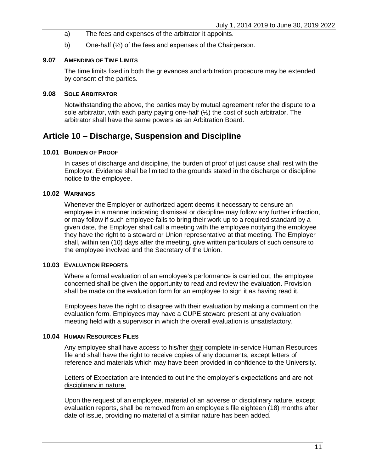- a) The fees and expenses of the arbitrator it appoints.
- b) One-half (½) of the fees and expenses of the Chairperson.

#### <span id="page-18-0"></span>**9.07 AMENDING OF TIME LIMITS**

The time limits fixed in both the grievances and arbitration procedure may be extended by consent of the parties.

### <span id="page-18-1"></span>**9.08 SOLE ARBITRATOR**

Notwithstanding the above, the parties may by mutual agreement refer the dispute to a sole arbitrator, with each party paying one-half (½) the cost of such arbitrator. The arbitrator shall have the same powers as an Arbitration Board.

# <span id="page-18-2"></span>**Article 10 – Discharge, Suspension and Discipline**

#### <span id="page-18-3"></span>**10.01 BURDEN OF PROOF**

In cases of discharge and discipline, the burden of proof of just cause shall rest with the Employer. Evidence shall be limited to the grounds stated in the discharge or discipline notice to the employee.

## <span id="page-18-4"></span>**10.02 WARNINGS**

Whenever the Employer or authorized agent deems it necessary to censure an employee in a manner indicating dismissal or discipline may follow any further infraction, or may follow if such employee fails to bring their work up to a required standard by a given date, the Employer shall call a meeting with the employee notifying the employee they have the right to a steward or Union representative at that meeting. The Employer shall, within ten (10) days after the meeting, give written particulars of such censure to the employee involved and the Secretary of the Union.

#### <span id="page-18-5"></span>**10.03 EVALUATION REPORTS**

Where a formal evaluation of an employee's performance is carried out, the employee concerned shall be given the opportunity to read and review the evaluation. Provision shall be made on the evaluation form for an employee to sign it as having read it.

Employees have the right to disagree with their evaluation by making a comment on the evaluation form. Employees may have a CUPE steward present at any evaluation meeting held with a supervisor in which the overall evaluation is unsatisfactory.

#### <span id="page-18-6"></span>**10.04 HUMAN RESOURCES FILES**

Any employee shall have access to his/her their complete in-service Human Resources file and shall have the right to receive copies of any documents, except letters of reference and materials which may have been provided in confidence to the University.

#### Letters of Expectation are intended to outline the employer's expectations and are not disciplinary in nature.

Upon the request of an employee, material of an adverse or disciplinary nature, except evaluation reports, shall be removed from an employee's file eighteen (18) months after date of issue, providing no material of a similar nature has been added.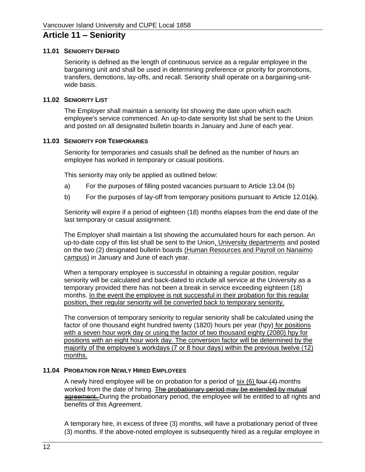# <span id="page-19-0"></span>**Article 11 – Seniority**

#### <span id="page-19-1"></span>**11.01 SENIORITY DEFINED**

Seniority is defined as the length of continuous service as a regular employee in the bargaining unit and shall be used in determining preference or priority for promotions, transfers, demotions, lay-offs, and recall. Seniority shall operate on a bargaining-unitwide basis.

#### <span id="page-19-2"></span>**11.02 SENIORITY LIST**

The Employer shall maintain a seniority list showing the date upon which each employee's service commenced. An up-to-date seniority list shall be sent to the Union and posted on all designated bulletin boards in January and June of each year.

#### <span id="page-19-3"></span>**11.03 SENIORITY FOR TEMPORARIES**

Seniority for temporaries and casuals shall be defined as the number of hours an employee has worked in temporary or casual positions.

This seniority may only be applied as outlined below:

- a) For the purposes of filling posted vacancies pursuant to Article 13.04 [\(b\)](#page-31-4)
- b) For the purposes of lay-off from temporary positions pursuant to Article [12.01](#page-20-1) $(k)$ .

Seniority will expire if a period of eighteen (18) months elapses from the end date of the last temporary or casual assignment.

The Employer shall maintain a list showing the accumulated hours for each person. An up-to-date copy of this list shall be sent to the Union, University departments and posted on the two (2) designated bulletin boards (Human Resources and Payroll on Nanaimo campus) in January and June of each year.

When a temporary employee is successful in obtaining a regular position, regular seniority will be calculated and back-dated to include all service at the University as a temporary provided there has not been a break in service exceeding eighteen (18) months. In the event the employee is not successful in their probation for this regular position, their regular seniority will be converted back to temporary seniority.

The conversion of temporary seniority to regular seniority shall be calculated using the factor of one thousand eight hundred twenty (1820) hours per year (hpy) for positions with a seven hour work day or using the factor of two thousand eighty (2080) hpy for positions with an eight hour work day. The conversion factor will be determined by the majority of the employee's workdays (7 or 8 hour days) within the previous twelve (12) months.

### <span id="page-19-4"></span>**11.04 PROBATION FOR NEWLY HIRED EMPLOYEES**

A newly hired employee will be on probation for a period of six (6) four (4) months worked from the date of hiring. The probationary period may be extended by mutual agreement. During the probationary period, the employee will be entitled to all rights and benefits of this Agreement.

A temporary hire, in excess of three (3) months, will have a probationary period of three (3) months. If the above-noted employee is subsequently hired as a regular employee in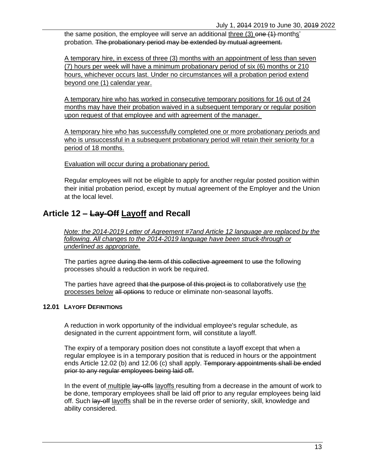the same position, the employee will serve an additional three (3) one (1) months' probation. The probationary period may be extended by mutual agreement.

A temporary hire, in excess of three (3) months with an appointment of less than seven (7) hours per week will have a minimum probationary period of six (6) months or 210 hours, whichever occurs last. Under no circumstances will a probation period extend beyond one (1) calendar year.

A temporary hire who has worked in consecutive temporary positions for 16 out of 24 months may have their probation waived in a subsequent temporary or regular position upon request of that employee and with agreement of the manager.

A temporary hire who has successfully completed one or more probationary periods and who is unsuccessful in a subsequent probationary period will retain their seniority for a period of 18 months.

Evaluation will occur during a probationary period.

Regular employees will not be eligible to apply for another regular posted position within their initial probation period, except by mutual agreement of the Employer and the Union at the local level.

# <span id="page-20-0"></span>**Article 12 – Lay-Off Layoff and Recall**

*Note: the 2014-2019 [Letter of Agreement #7a](#page-82-0)nd [Article 12](#page-20-0) language are replaced by the following. All changes to the 2014-2019 language have been struck-through or underlined as appropriate.*

The parties agree during the term of this collective agreement to use the following processes should a reduction in work be required.

The parties have agreed that the purpose of this project is to collaboratively use the processes below all options to reduce or eliminate non-seasonal layoffs.

#### <span id="page-20-1"></span>**12.01 LAYOFF DEFINITIONS**

A reduction in work opportunity of the individual employee's regular schedule, as designated in the current appointment form, will constitute a layoff.

The expiry of a temporary position does not constitute a layoff except that when a regular employee is in a temporary position that is reduced in hours or the appointment ends [Article 12.02 \(b\)](#page-21-0) and [12.06](#page-23-0) (c) shall apply. Temporary appointments shall be ended prior to any regular employees being laid off.

In the event of multiple lay-offs layoffs resulting from a decrease in the amount of work to be done, temporary employees shall be laid off prior to any regular employees being laid off. Such lay-off layoffs shall be in the reverse order of seniority, skill, knowledge and ability considered.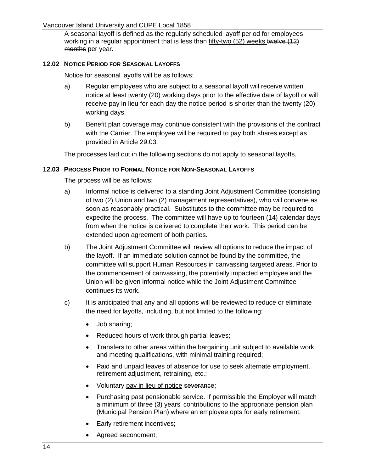### Vancouver Island University and CUPE Local 1858

A seasonal layoff is defined as the regularly scheduled layoff period for employees working in a regular appointment that is less than fifty-two (52) weeks twelve (12) months per year.

### <span id="page-21-0"></span>**12.02 NOTICE PERIOD FOR SEASONAL LAYOFFS**

Notice for seasonal layoffs will be as follows:

- a) Regular employees who are subject to a seasonal layoff will receive written notice at least twenty (20) working days prior to the effective date of layoff or will receive pay in lieu for each day the notice period is shorter than the twenty (20) working days.
- b) Benefit plan coverage may continue consistent with the provisions of the contract with the Carrier. The employee will be required to pay both shares except as provided in [Article](#page-62-1) 29.03.

The processes laid out in the following sections do not apply to seasonal layoffs.

### <span id="page-21-1"></span>**12.03 PROCESS PRIOR TO FORMAL NOTICE FOR NON-SEASONAL LAYOFFS**

The process will be as follows:

- a) Informal notice is delivered to a standing Joint Adjustment Committee (consisting of two (2) Union and two (2) management representatives), who will convene as soon as reasonably practical. Substitutes to the committee may be required to expedite the process. The committee will have up to fourteen (14) calendar days from when the notice is delivered to complete their work. This period can be extended upon agreement of both parties.
- b) The Joint Adjustment Committee will review all options to reduce the impact of the layoff. If an immediate solution cannot be found by the committee, the committee will support Human Resources in canvassing targeted areas. Prior to the commencement of canvassing, the potentially impacted employee and the Union will be given informal notice while the Joint Adjustment Committee continues its work.
- c) It is anticipated that any and all options will be reviewed to reduce or eliminate the need for layoffs, including, but not limited to the following:
	- Job sharing;
	- Reduced hours of work through partial leaves;
	- Transfers to other areas within the bargaining unit subject to available work and meeting qualifications, with minimal training required;
	- Paid and unpaid leaves of absence for use to seek alternate employment, retirement adjustment, retraining, etc.;
	- Voluntary pay in lieu of notice severance;
	- Purchasing past pensionable service. If permissible the Employer will match a minimum of three (3) years' contributions to the appropriate pension plan (Municipal Pension Plan) where an employee opts for early retirement;
	- Early retirement incentives;
	- Agreed secondment;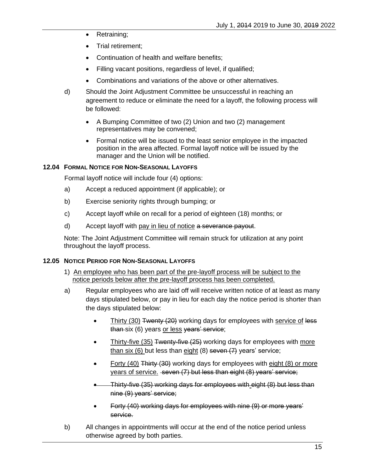- Retraining;
- Trial retirement;
- Continuation of health and welfare benefits;
- Filling vacant positions, regardless of level, if qualified;
- Combinations and variations of the above or other alternatives.
- d) Should the Joint Adjustment Committee be unsuccessful in reaching an agreement to reduce or eliminate the need for a layoff, the following process will be followed:
	- A Bumping Committee of two (2) Union and two (2) management representatives may be convened;
	- Formal notice will be issued to the least senior employee in the impacted position in the area affected. Formal layoff notice will be issued by the manager and the Union will be notified.

### <span id="page-22-0"></span>**12.04 FORMAL NOTICE FOR NON-SEASONAL LAYOFFS**

Formal layoff notice will include four (4) options:

- a) Accept a reduced appointment (if applicable); or
- b) Exercise seniority rights through bumping; or
- c) Accept layoff while on recall for a period of eighteen (18) months; or
- d) Accept layoff with pay in lieu of notice a severance payout.

Note: The Joint Adjustment Committee will remain struck for utilization at any point throughout the layoff process.

#### <span id="page-22-1"></span>**12.05 NOTICE PERIOD FOR NON-SEASONAL LAYOFFS**

- 1) An employee who has been part of the pre-layoff process will be subject to the notice periods below after the pre-layoff process has been completed.
- a) Regular employees who are laid off will receive written notice of at least as many days stipulated below, or pay in lieu for each day the notice period is shorter than the days stipulated below:
	- Thirty (30) Twenty (20) working days for employees with service of less than-six (6) years or less vears' service;
	- Thirty-five (35) Twenty-five (25) working days for employees with more than six  $(6)$  but less than eight  $(8)$  seven  $(7)$  years' service;
	- Forty (40) Thirty (30) working days for employees with eight (8) or more years of service. seven (7) but less than eight (8) years' service;
	- Thirty-five (35) working days for employees with eight (8) but less than nine (9) years' service;
	- Forty (40) working days for employees with nine (9) or more years' service.
- b) All changes in appointments will occur at the end of the notice period unless otherwise agreed by both parties.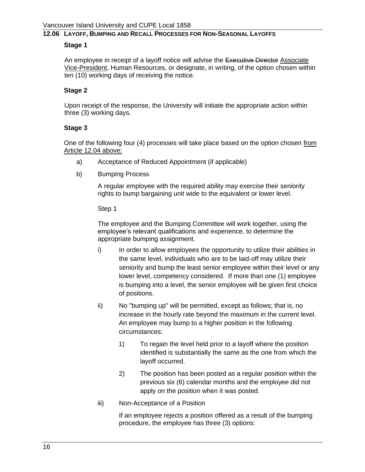### <span id="page-23-0"></span>**12.06 LAYOFF, BUMPING AND RECALL PROCESSES FOR NON-SEASONAL LAYOFFS**

#### **Stage 1**

An employee in receipt of a layoff notice will advise the Executive Director Associate Vice-President, Human Resources, or designate, in writing, of the option chosen within ten (10) working days of receiving the notice.

#### **Stage 2**

Upon receipt of the response, the University will initiate the appropriate action within three (3) working days.

#### **Stage 3**

One of the following four (4) processes will take place based on the option chosen from Article [12.04](#page-22-0) above:

- a) Acceptance of Reduced Appointment (if applicable)
- b) Bumping Process

A regular employee with the required ability may exercise their seniority rights to bump bargaining unit wide to the equivalent or lower level.

Step 1

The employee and the Bumping Committee will work together, using the employee's relevant qualifications and experience, to determine the appropriate bumping assignment.

- i) In order to allow employees the opportunity to utilize their abilities in the same level, individuals who are to be laid-off may utilize their seniority and bump the least senior employee within their level or any lower level, competency considered. If more than one (1) employee is bumping into a level, the senior employee will be given first choice of positions.
- ii) No "bumping up" will be permitted, except as follows; that is, no increase in the hourly rate beyond the maximum in the current level. An employee may bump to a higher position in the following circumstances:
	- 1) To regain the level held prior to a layoff where the position identified is substantially the same as the one from which the layoff occurred.
	- 2) The position has been posted as a regular position within the previous six (6) calendar months and the employee did not apply on the position when it was posted.
- iii) Non-Acceptance of a Position

If an employee rejects a position offered as a result of the bumping procedure, the employee has three (3) options: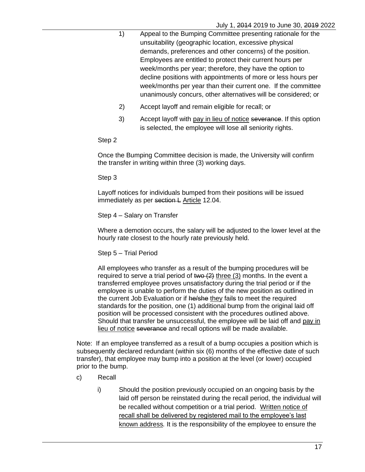- 1) Appeal to the Bumping Committee presenting rationale for the unsuitability (geographic location, excessive physical demands, preferences and other concerns) of the position. Employees are entitled to protect their current hours per week/months per year; therefore, they have the option to decline positions with appointments of more or less hours per week/months per year than their current one. If the committee unanimously concurs, other alternatives will be considered; or
- 2) Accept layoff and remain eligible for recall; or
- 3) Accept layoff with pay in lieu of notice severance. If this option is selected, the employee will lose all seniority rights.

#### Step 2

Once the Bumping Committee decision is made, the University will confirm the transfer in writing within three (3) working days.

Step 3

Layoff notices for individuals bumped from their positions will be issued immediately as per section L [Article](#page-22-0) 12.04.

#### Step 4 – Salary on Transfer

Where a demotion occurs, the salary will be adjusted to the lower level at the hourly rate closest to the hourly rate previously held.

#### Step 5 – Trial Period

All employees who transfer as a result of the bumping procedures will be required to serve a trial period of  $two (2)$  three (3) months. In the event a transferred employee proves unsatisfactory during the trial period or if the employee is unable to perform the duties of the new position as outlined in the current Job Evaluation or if he/she they fails to meet the required standards for the position, one (1) additional bump from the original laid off position will be processed consistent with the procedures outlined above. Should that transfer be unsuccessful, the employee will be laid off and pay in lieu of notice severance and recall options will be made available.

Note: If an employee transferred as a result of a bump occupies a position which is subsequently declared redundant (within six (6) months of the effective date of such transfer), that employee may bump into a position at the level (or lower) occupied prior to the bump.

- c) Recall
	- i) Should the position previously occupied on an ongoing basis by the laid off person be reinstated during the recall period, the individual will be recalled without competition or a trial period. Written notice of recall shall be delivered by registered mail to the employee's last known address*.* It is the responsibility of the employee to ensure the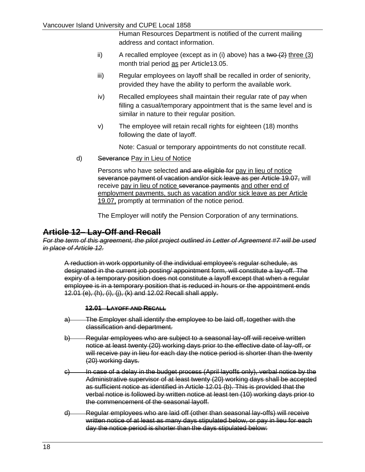Human Resources Department is notified of the current mailing address and contact information.

- ii) A recalled employee (except as in (i) above) has a two  $(2)$  three  $(3)$ month trial period as per [Article13.05.](#page-31-3)
- iii) Regular employees on layoff shall be recalled in order of seniority, provided they have the ability to perform the available work.
- iv) Recalled employees shall maintain their regular rate of pay when filling a casual/temporary appointment that is the same level and is similar in nature to their regular position.
- v) The employee will retain recall rights for eighteen (18) months following the date of layoff.

Note: Casual or temporary appointments do not constitute recall.

d) Severance Pay in Lieu of Notice

Persons who have selected and are eligible for pay in lieu of notice severance payment of vacation and/or sick leave as per Article 19.07, will receive pay in lieu of notice severance payments and other end of employment payments, such as vacation and/or sick leave as per [Article](#page-43-4)  [19.07,](#page-43-4) promptly at termination of the notice period.

The Employer will notify the Pension Corporation of any terminations.

# <span id="page-25-0"></span>**Article 12– Lay-Off and Recall**

*For the term of this agreement, the pilot project outlined in Letter of Agreement #7 will be used in place of [Article 12.](#page-20-0)*

A reduction in work opportunity of the individual employee's regular schedule, as designated in the current job posting/ appointment form, will constitute a lay-off. The expiry of a temporary position does not constitute a layoff except that when a regular employee is in a temporary position that is reduced in hours or the appointment ends [12.01](#page-25-1) [\(e\),](#page-26-3) [\(h\),](#page-26-4) [\(i\),](#page-26-5) [\(j\),](#page-26-6) [\(k\)](#page-26-2) and [12.02](#page-26-0) Recall shall apply.

#### **12.01 LAYOFF AND RECALL**

- <span id="page-25-1"></span>a) The Employer shall identify the employee to be laid off, together with the classification and department.
- <span id="page-25-2"></span>b) Regular employees who are subject to a seasonal lay-off will receive written notice at least twenty (20) working days prior to the effective date of lay-off, or will receive pay in lieu for each day the notice period is shorter than the twenty (20) working days.
- c) In case of a delay in the budget process (April layoffs only), verbal notice by the Administrative supervisor of at least twenty (20) working days shall be accepted as sufficient notice as identified in Article [12.01](#page-25-1) [\(b\).](#page-25-2) This is provided that the verbal notice is followed by written notice at least ten (10) working days prior to the commencement of the seasonal layoff.
- d) Regular employees who are laid off (other than seasonal lay-offs) will receive written notice of at least as many days stipulated below, or pay in lieu for each day the notice period is shorter than the days stipulated below: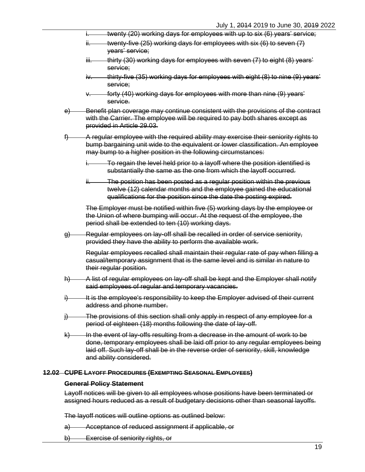- i. twenty (20) working days for employees with up to six  $(6)$  years' service;
- $ii.$  twenty-five (25) working days for employees with six (6) to seven (7) years' service;
- iii. thirty (30) working days for employees with seven (7) to eight (8) years' service;
- iv. thirty-five (35) working days for employees with eight (8) to nine (9) years' service;
- forty (40) working days for employees with more than nine (9) years' service.
- <span id="page-26-3"></span>e) Benefit plan coverage may continue consistent with the provisions of the contract with the Carrier. The employee will be required to pay both shares except as provided in Article [29.03.](#page-62-0)
- <span id="page-26-7"></span>f) A regular employee with the required ability may exercise their seniority rights to bump bargaining unit wide to the equivalent or lower classification. An employee may bump to a higher position in the following circumstances:
	- To regain the level held prior to a layoff where the position identified is substantially the same as the one from which the layoff occurred.
	- ii. The position has been posted as a regular position within the previous twelve (12) calendar months and the employee gained the educational qualifications for the position since the date the posting expired.

The Employer must be notified within five (5) working days by the employee or the Union of where bumping will occur. At the request of the employee, the period shall be extended to ten (10) working days.

g) Regular employees on lay-off shall be recalled in order of service seniority, provided they have the ability to perform the available work.

Regular employees recalled shall maintain their regular rate of pay when filling a casual/temporary assignment that is the same level and is similar in nature to their regular position.

- <span id="page-26-4"></span>h) A list of regular employees on lay-off shall be kept and the Employer shall notify said employees of regular and temporary vacancies.
- <span id="page-26-5"></span>i) It is the employee's responsibility to keep the Employer advised of their current address and phone number.
- <span id="page-26-6"></span>j) The provisions of this section shall only apply in respect of any employee for a period of eighteen (18) months following the date of lay-off.
- <span id="page-26-2"></span> $k$ ) In the event of lay-offs resulting from a decrease in the amount of work to be done, temporary employees shall be laid off prior to any regular employees being laid off. Such lay-off shall be in the reverse order of seniority, skill, knowledge and ability considered.

#### <span id="page-26-1"></span><span id="page-26-0"></span>**12.02 CUPE LAYOFF PROCEDURES (EXEMPTING SEASONAL EMPLOYEES)**

#### **General Policy Statement**

Layoff notices will be given to all employees whose positions have been terminated or assigned hours reduced as a result of budgetary decisions other than seasonal layoffs.

The layoff notices will outline options as outlined below:

- a) Acceptance of reduced assignment if applicable, or
- b) Exercise of seniority rights, or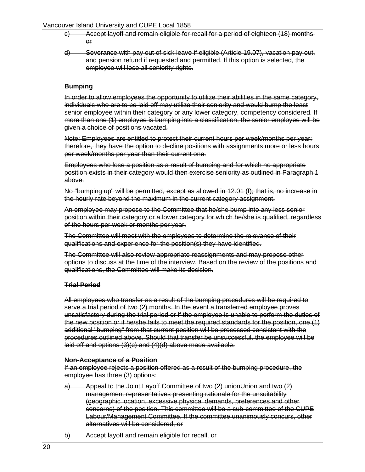#### <span id="page-27-4"></span><span id="page-27-3"></span>Vancouver Island University and CUPE Local 1858

- c) Accept layoff and remain eligible for recall for a period of eighteen (18) months, or
- d) Severance with pay out of sick leave if eligible (Article [19.07\)](#page-43-4), vacation pay out, and pension refund if requested and permitted. If this option is selected, the employee will lose all seniority rights.

### <span id="page-27-0"></span>**Bumping**

In order to allow employees the opportunity to utilize their abilities in the same category, individuals who are to be laid off may utilize their seniority and would bump the least senior employee within their category or any lower category, competency considered. If more than one (1) employee is bumping into a classification, the senior employee will be given a choice of positions vacated.

Note: Employees are entitled to protect their current hours per week/months per year; therefore, they have the option to decline positions with assignments more or less hours per week/months per year than their current one.

Employees who lose a position as a result of bumping and for which no appropriate position exists in their category would then exercise seniority as outlined in Paragraph 1 above.

No "bumping up" will be permitted, except as allowed in [12.01](#page-25-1) [\(f\);](#page-26-7) that is, no increase in the hourly rate beyond the maximum in the current category assignment.

An employee may propose to the Committee that he/she bump into any less senior position within their category or a lower category for which he/she is qualified, regardless of the hours per week or months per year.

The Committee will meet with the employees to determine the relevance of their qualifications and experience for the position(s) they have identified.

The Committee will also review appropriate reassignments and may propose other options to discuss at the time of the interview. Based on the review of the positions and qualifications, the Committee will make its decision.

#### <span id="page-27-1"></span>**Trial Period**

All employees who transfer as a result of the bumping procedures will be required to serve a trial period of two (2) months. In the event a transferred employee proves unsatisfactory during the trial period or if the employee is unable to perform the duties of the new position or if he/she fails to meet the required standards for the position, one (1) additional "bumping" from that current position will be processed consistent with the procedures outlined above. Should that transfer be unsuccessful, the employee will be laid off and options (3)[\(c\)](#page-27-3) and (4)[\(d\)](#page-27-4) above made available.

#### <span id="page-27-2"></span>**Non-Acceptance of a Position**

If an employee rejects a position offered as a result of the bumping procedure, the employee has three (3) options:

- a) Appeal to the Joint Layoff Committee of two (2) unionUnion and two (2) management representatives presenting rationale for the unsuitability (geographic location, excessive physical demands, preferences and other concerns) of the position. This committee will be a sub-committee of the CUPE Labour/Management Committee. If the committee unanimously concurs, other alternatives will be considered, or
- b) Accept layoff and remain eligible for recall, or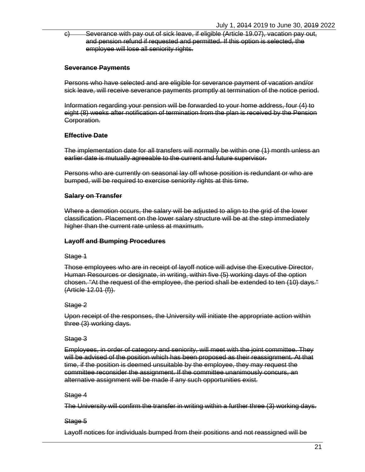c) Severance with pay out of sick leave, if eligible (Article [19.07\)](#page-43-4), vacation pay out, and pension refund if requested and permitted. If this option is selected, the employee will lose all seniority rights.

### <span id="page-28-0"></span>**Severance Payments**

Persons who have selected and are eligible for severance payment of vacation and/or sick leave, will receive severance payments promptly at termination of the notice period.

Information regarding your pension will be forwarded to your home address, four (4) to eight (8) weeks after notification of termination from the plan is received by the Pension Corporation.

### <span id="page-28-1"></span>**Effective Date**

The implementation date for all transfers will normally be within one (1) month unless an earlier date is mutually agreeable to the current and future supervisor.

Persons who are currently on seasonal lay off whose position is redundant or who are bumped, will be required to exercise seniority rights at this time.

### <span id="page-28-2"></span>**Salary on Transfer**

Where a demotion occurs, the salary will be adjusted to align to the grid of the lower classification. Placement on the lower salary structure will be at the step immediately higher than the current rate unless at maximum.

#### <span id="page-28-3"></span>**Layoff and Bumping Procedures**

#### Stage 1

Those employees who are in receipt of layoff notice will advise the Executive Director, Human Resources or designate, in writing, within five (5) working days of the option chosen. "At the request of the employee, the period shall be extended to ten (10) days." (Article [12.01](#page-25-1) [\(f\)\)](#page-26-7).

#### Stage 2

Upon receipt of the responses, the University will initiate the appropriate action within three (3) working days.

#### Stage 3

Employees, in order of category and seniority, will meet with the joint committee. They will be advised of the position which has been proposed as their reassignment. At that time, if the position is deemed unsuitable by the employee, they may request the committee reconsider the assignment. If the committee unanimously concurs, an alternative assignment will be made if any such opportunities exist.

#### Stage 4

The University will confirm the transfer in writing within a further three (3) working days.

# Stage 5

Layoff notices for individuals bumped from their positions and not reassigned will be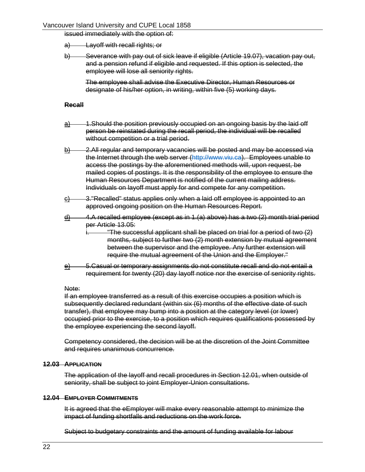#### Vancouver Island University and CUPE Local 1858

issued immediately with the option of:

- a) Layoff with recall rights; or
- b) Severance with pay out of sick leave if eligible (Article [19.07\)](#page-43-4), vacation pay out, and a pension refund if eligible and requested. If this option is selected, the employee will lose all seniority rights.

The employee shall advise the Executive Director, Human Resources or designate of his/her option, in writing, within five (5) working days.

#### <span id="page-29-0"></span>**Recall**

- <span id="page-29-3"></span> $\frac{a}{b}$  1.Should the position previously occupied on an ongoing basis by the laid off person be reinstated during the recall period, the individual will be recalled without competition or a trial period.
- $b)$  2.All regular and temporary vacancies will be posted and may be accessed via the Internet through the web server [\(http://www.viu.ca\)](http://www.viu.ca/). Employees unable to access the postings by the aforementioned methods will, upon request, be mailed copies of postings. It is the responsibility of the employee to ensure the Human Resources Department is notified of the current mailing address. Individuals on layoff must apply for and compete for any competition.
- $\frac{c)}{c}$  3."Recalled" status applies only when a laid off employee is appointed to an approved ongoing position on the Human Resources Report.
- $\frac{d}{dx}$  4.A recalled employee (except as in 1.[\(a\)](#page-29-3) above) has a two (2) month trial period per Article 13.05:

"The successful applicant shall be placed on trial for a period of two (2) months, subject to further two (2) month extension by mutual agreement between the supervisor and the employee. Any further extension will require the mutual agreement of the Union and the Employer."

e) 5.Casual or temporary assignments do not constitute recall and do not entail a requirement for twenty (20) day layoff notice nor the exercise of seniority rights.

#### Note:

If an employee transferred as a result of this exercise occupies a position which is subsequently declared redundant (within six (6) months of the effective date of such transfer), that employee may bump into a position at the category level (or lower) occupied prior to the exercise, to a position which requires qualifications possessed by the employee experiencing the second layoff.

Competency considered, the decision will be at the discretion of the Joint Committee and requires unanimous concurrence.

#### <span id="page-29-1"></span>**12.03 APPLICATION**

The application of the layoff and recall procedures in Section [12.01,](#page-25-1) when outside of seniority, shall be subject to joint Employer-Union consultations.

#### <span id="page-29-2"></span>**12.04 EMPLOYER COMMITMENTS**

It is agreed that the eEmployer will make every reasonable attempt to minimize the impact of funding shortfalls and reductions on the work force.

Subject to budgetary constraints and the amount of funding available for labour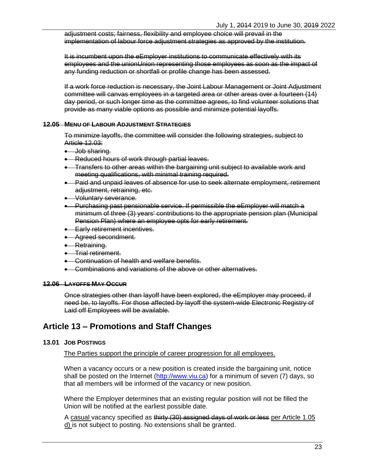adjustment costs; fairness, flexibility and employee choice will prevail in the implementation of labour force adjustment strategies as approved by the institution.

It is incumbent upon the eEmployer institutions to communicate effectively with its employees and the unionUnion representing those employees as soon as the impact of any funding reduction or shortfall or profile change has been assessed.

If a work force reduction is necessary, the Joint Labour Management or Joint Adjustment committee will canvas employees in a targeted area or other areas over a fourteen (14) day period, or such longer time as the committee agrees, to find volunteer solutions that provide as many viable options as possible and minimize potential layoffs.

#### <span id="page-30-0"></span>**12.05 MENU OF LABOUR ADJUSTMENT STRATEGIES**

To minimize layoffs, the committee will consider the following strategies, subject to Article [12.03:](#page-29-1)

- Job sharing.
- Reduced hours of work through partial leaves.
- Transfers to other areas within the bargaining unit subject to available work and meeting qualifications, with minimal training required.
- Paid and unpaid leaves of absence for use to seek alternate employment, retirement adjustment, retraining, etc.
- Voluntary severance.
- Purchasing past pensionable service. If permissible the eEmployer will match a minimum of three (3) years' contributions to the appropriate pension plan (Municipal Pension Plan) where an employee opts for early retirement.
- **•** Early retirement incentives.
- Agreed secondment.
- Retraining.
- Trial retirement.
- Continuation of health and welfare benefits.
- Combinations and variations of the above or other alternatives.

#### <span id="page-30-1"></span>**12.06 LAYOFFS MAY OCCUR**

Once strategies other than layoff have been explored, the eEmployer may proceed, if need be, to layoffs. For those affected by layoff the system-wide Electronic Registry of Laid off Employees will be available.

# <span id="page-30-2"></span>**Article 13 – Promotions and Staff Changes**

#### <span id="page-30-3"></span>**13.01 JOB POSTINGS**

The Parties support the principle of career progression for all employees.

When a vacancy occurs or a new position is created inside the bargaining unit, notice shall be posted on the Internet [\(http://www.viu.ca\)](http://www.viu.ca/) for a minimum of seven (7) days, so that all members will be informed of the vacancy or new position.

Where the Employer determines that an existing regular position will not be filled the Union will be notified at the earliest possible date.

A casual vacancy specified as thirty (30) assigned days of work or less per [Article 1.05](#page-8-9) [d\)](#page-8-9) is not subject to posting. No extensions shall be granted.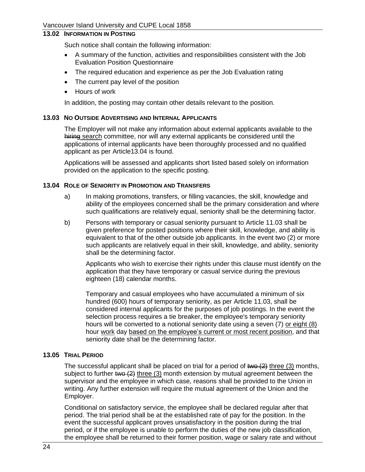### <span id="page-31-0"></span>**13.02 INFORMATION IN POSTING**

Such notice shall contain the following information:

- A summary of the function, activities and responsibilities consistent with the Job Evaluation Position Questionnaire
- The required education and experience as per the Job Evaluation rating
- The current pay level of the position
- Hours of work

In addition, the posting may contain other details relevant to the position.

#### <span id="page-31-1"></span>**13.03 NO OUTSIDE ADVERTISING AND INTERNAL APPLICANTS**

The Employer will not make any information about external applicants available to the hiring search committee, nor will any external applicants be considered until the applications of internal applicants have been thoroughly processed and no qualified applicant as per [Article13.04](#page-31-2) is found.

Applications will be assessed and applicants short listed based solely on information provided on the application to the specific posting.

#### <span id="page-31-2"></span>**13.04 ROLE OF SENIORITY IN PROMOTION AND TRANSFERS**

- a) In making promotions, transfers, or filling vacancies, the skill, knowledge and ability of the employees concerned shall be the primary consideration and where such qualifications are relatively equal, seniority shall be the determining factor.
- <span id="page-31-4"></span>b) Persons with temporary or casual seniority pursuant to [Article](#page-19-3) 11.03 shall be given preference for posted positions where their skill, knowledge, and ability is equivalent to that of the other outside job applicants. In the event two (2) or more such applicants are relatively equal in their skill, knowledge, and ability, seniority shall be the determining factor.

Applicants who wish to exercise their rights under this clause must identify on the application that they have temporary or casual service during the previous eighteen (18) calendar months.

Temporary and casual employees who have accumulated a minimum of six hundred (600) hours of temporary seniority, as per [Article](#page-19-3) 11.03, shall be considered internal applicants for the purposes of job postings. In the event the selection process requires a tie breaker, the employee's temporary seniority hours will be converted to a notional seniority date using a seven (7) or eight (8) hour work day based on the employee's current or most recent position, and that seniority date shall be the determining factor.

#### <span id="page-31-3"></span>**13.05 TRIAL PERIOD**

The successful applicant shall be placed on trial for a period of  $two (2)$  three (3) months, subject to further two  $(2)$  three  $(3)$  month extension by mutual agreement between the supervisor and the employee in which case, reasons shall be provided to the Union in writing. Any further extension will require the mutual agreement of the Union and the Employer.

Conditional on satisfactory service, the employee shall be declared regular after that period. The trial period shall be at the established rate of pay for the position. In the event the successful applicant proves unsatisfactory in the position during the trial period, or if the employee is unable to perform the duties of the new job classification, the employee shall be returned to their former position, wage or salary rate and without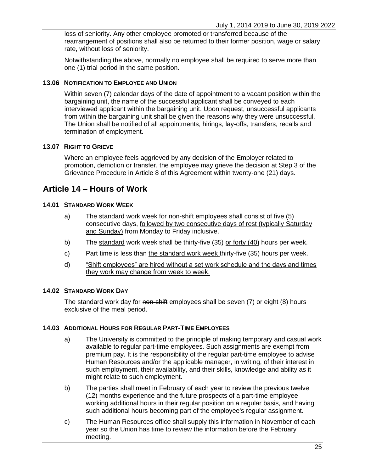loss of seniority. Any other employee promoted or transferred because of the rearrangement of positions shall also be returned to their former position, wage or salary rate, without loss of seniority.

Notwithstanding the above, normally no employee shall be required to serve more than one (1) trial period in the same position.

#### <span id="page-32-0"></span>**13.06 NOTIFICATION TO EMPLOYEE AND UNION**

Within seven (7) calendar days of the date of appointment to a vacant position within the bargaining unit, the name of the successful applicant shall be conveyed to each interviewed applicant within the bargaining unit. Upon request, unsuccessful applicants from within the bargaining unit shall be given the reasons why they were unsuccessful. The Union shall be notified of all appointments, hirings, lay-offs, transfers, recalls and termination of employment.

#### <span id="page-32-1"></span>**13.07 RIGHT TO GRIEVE**

Where an employee feels aggrieved by any decision of the Employer related to promotion, demotion or transfer, the employee may grieve the decision at [Step 3](#page-15-5) of the Grievance Procedure in [Article 8](#page-14-4) of this Agreement within twenty-one (21) days.

# <span id="page-32-2"></span>**Article 14 – Hours of Work**

#### <span id="page-32-3"></span>**14.01 STANDARD WORK WEEK**

- a) The standard work week for non-shift employees shall consist of five (5) consecutive days, followed by two consecutive days of rest (typically Saturday and Sunday) from Monday to Friday inclusive.
- b) The standard work week shall be thirty-five (35) or forty (40) hours per week.
- c) Part time is less than the standard work week thirty-five  $(35)$  hours per week.
- d) "Shift employees" are hired without a set work schedule and the days and times they work may change from week to week.

#### <span id="page-32-4"></span>**14.02 STANDARD WORK DAY**

The standard work day for non-shift employees shall be seven (7) or eight (8) hours exclusive of the meal period.

#### <span id="page-32-5"></span>**14.03 ADDITIONAL HOURS FOR REGULAR PART-TIME EMPLOYEES**

- a) The University is committed to the principle of making temporary and casual work available to regular part-time employees. Such assignments are exempt from premium pay. It is the responsibility of the regular part-time employee to advise Human Resources and/or the applicable manager, in writing, of their interest in such employment, their availability, and their skills, knowledge and ability as it might relate to such employment.
- b) The parties shall meet in February of each year to review the previous twelve (12) months experience and the future prospects of a part-time employee working additional hours in their regular position on a regular basis, and having such additional hours becoming part of the employee's regular assignment.
- c) The Human Resources office shall supply this information in November of each year so the Union has time to review the information before the February meeting.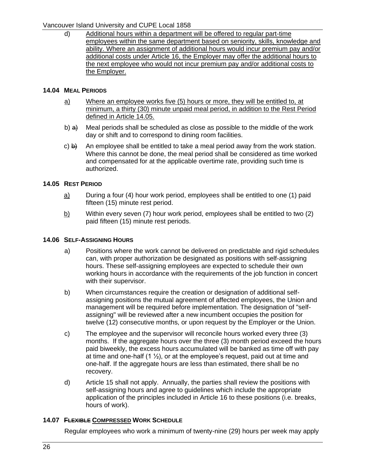# Vancouver Island University and CUPE Local 1858

d) Additional hours within a department will be offered to regular part-time employees within the same department based on seniority, skills, knowledge and ability. Where an assignment of additional hours would incur premium pay and/or additional costs under [Article 16,](#page-36-3) the Employer may offer the additional hours to the next employee who would not incur premium pay and/or additional costs to the Employer.

### <span id="page-33-0"></span>**14.04 MEAL PERIODS**

- a) Where an employee works five (5) hours or more, they will be entitled to, at minimum, a thirty (30) minute unpaid meal period, in addition to the Rest Period defined in [Article 14.05.](#page-33-1)
- b)  $a)$  Meal periods shall be scheduled as close as possible to the middle of the work day or shift and to correspond to dining room facilities.
- c)  $\theta$ ) An employee shall be entitled to take a meal period away from the work station. Where this cannot be done, the meal period shall be considered as time worked and compensated for at the applicable overtime rate, providing such time is authorized.

### <span id="page-33-1"></span>**14.05 REST PERIOD**

- $\underline{a}$  During a four (4) hour work period, employees shall be entitled to one (1) paid fifteen (15) minute rest period.
- b) Within every seven (7) hour work period, employees shall be entitled to two (2) paid fifteen (15) minute rest periods.

### <span id="page-33-2"></span>**14.06 SELF-ASSIGNING HOURS**

- a) Positions where the work cannot be delivered on predictable and rigid schedules can, with proper authorization be designated as positions with self-assigning hours. These self-assigning employees are expected to schedule their own working hours in accordance with the requirements of the job function in concert with their supervisor.
- b) When circumstances require the creation or designation of additional selfassigning positions the mutual agreement of affected employees, the Union and management will be required before implementation. The designation of "selfassigning" will be reviewed after a new incumbent occupies the position for twelve (12) consecutive months, or upon request by the Employer or the Union.
- c) The employee and the supervisor will reconcile hours worked every three (3) months. If the aggregate hours over the three (3) month period exceed the hours paid biweekly, the excess hours accumulated will be banked as time off with pay at time and one-half  $(1 \frac{1}{2})$ , or at the employee's request, paid out at time and one-half. If the aggregate hours are less than estimated, there shall be no recovery.
- d) [Article 15](#page-34-1) shall not apply. Annually, the parties shall review the positions with self-assigning hours and agree to guidelines which include the appropriate application of the principles included in [Article 16](#page-36-3) to these positions (i.e. breaks, hours of work).

# <span id="page-33-3"></span>**14.07 FLEXIBLE COMPRESSED WORK SCHEDULE**

Regular employees who work a minimum of twenty-nine (29) hours per week may apply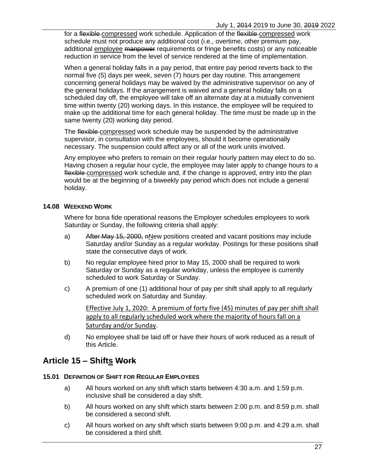for a flexible compressed work schedule. Application of the flexible compressed work schedule must not produce any additional cost (i.e., overtime, other premium pay, additional employee manpower requirements or fringe benefits costs) or any noticeable reduction in service from the level of service rendered at the time of implementation.

When a general holiday falls in a pay period, that entire pay period reverts back to the normal five (5) days per week, seven (7) hours per day routine. This arrangement concerning general holidays may be waived by the administrative supervisor on any of the general holidays. If the arrangement is waived and a general holiday falls on a scheduled day off, the employee will take off an alternate day at a mutually convenient time within twenty (20) working days. In this instance, the employee will be required to make up the additional time for each general holiday. The time must be made up in the same twenty (20) working day period.

The flexible compressed work schedule may be suspended by the administrative supervisor, in consultation with the employees, should it become operationally necessary. The suspension could affect any or all of the work units involved.

Any employee who prefers to remain on their regular hourly pattern may elect to do so. Having chosen a regular hour cycle, the employee may later apply to change hours to a flexible compressed work schedule and, if the change is approved, entry into the plan would be at the beginning of a biweekly pay period which does not include a general holiday.

#### <span id="page-34-0"></span>**14.08 WEEKEND WORK**

Where for bona fide operational reasons the Employer schedules employees to work Saturday or Sunday, the following criteria shall apply:

- a) After May 15, 2000, nNew positions created and vacant positions may include Saturday and/or Sunday as a regular workday. Postings for these positions shall state the consecutive days of work.
- b) No regular employee hired prior to May 15, 2000 shall be required to work Saturday or Sunday as a regular workday, unless the employee is currently scheduled to work Saturday or Sunday.
- c) A premium of one (1) additional hour of pay per shift shall apply to all regularly scheduled work on Saturday and Sunday.

Effective July 1, 2020: A premium of forty five (45) minutes of pay per shift shall apply to all regularly scheduled work where the majority of hours fall on a Saturday and/or Sunday.

d) No employee shall be laid off or have their hours of work reduced as a result of this Article.

# <span id="page-34-1"></span>**Article 15 – Shifts Work**

#### <span id="page-34-2"></span>**15.01 DEFINITION OF SHIFT FOR REGULAR EMPLOYEES**

- a) All hours worked on any shift which starts between 4:30 a.m. and 1:59 p.m. inclusive shall be considered a day shift.
- b) All hours worked on any shift which starts between 2:00 p.m. and 8:59 p.m. shall be considered a second shift.
- c) All hours worked on any shift which starts between 9:00 p.m. and 4:29 a.m. shall be considered a third shift.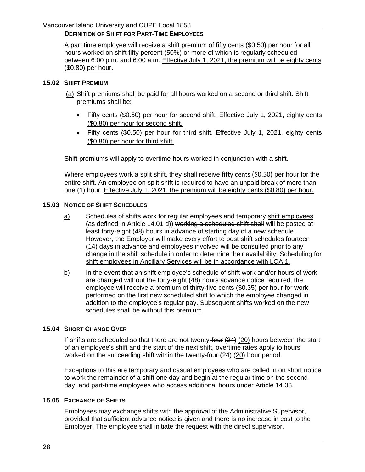# **DEFINITION OF SHIFT FOR PART-TIME EMPLOYEES**

A part time employee will receive a shift premium of fifty cents (\$0.50) per hour for all hours worked on shift fifty percent (50%) or more of which is regularly scheduled between 6:00 p.m. and 6:00 a.m. Effective July 1, 2021, the premium will be eighty cents (\$0.80) per hour.

#### <span id="page-35-0"></span>**15.02 SHIFT PREMIUM**

- (a) Shift premiums shall be paid for all hours worked on a second or third shift. Shift premiums shall be:
	- Fifty cents (\$0.50) per hour for second shift. Effective July 1, 2021, eighty cents (\$0.80) per hour for second shift.
	- Fifty cents (\$0.50) per hour for third shift. Effective July 1, 2021, eighty cents (\$0.80) per hour for third shift.

Shift premiums will apply to overtime hours worked in conjunction with a shift.

Where employees work a split shift, they shall receive fifty cents (\$0.50) per hour for the entire shift. An employee on split shift is required to have an unpaid break of more than one (1) hour. Effective July 1, 2021, the premium will be eighty cents (\$0.80) per hour.

#### <span id="page-35-1"></span>**15.03 NOTICE OF SHIFT SCHEDULES**

- a) Schedules of shifts work for regular employees and temporary shift employees (as defined in [Article 14.01](#page-32-3) d)) working a scheduled shift shall will be posted at least forty-eight (48) hours in advance of starting day of a new schedule. However, the Employer will make every effort to post shift schedules fourteen (14) days in advance and employees involved will be consulted prior to any change in the shift schedule in order to determine their availability. Scheduling for shift employees in Ancillary Services will be in accordance with LOA 1.
- $b)$  In the event that an shift employee's schedule of shift work and/or hours of work are changed without the forty-eight (48) hours advance notice required, the employee will receive a premium of thirty-five cents (\$0.35) per hour for work performed on the first new scheduled shift to which the employee changed in addition to the employee's regular pay. Subsequent shifts worked on the new schedules shall be without this premium.

#### <span id="page-35-2"></span>**15.04 SHORT CHANGE OVER**

If shifts are scheduled so that there are not twenty-four  $(24)$   $(20)$  hours between the start of an employee's shift and the start of the next shift, overtime rates apply to hours worked on the succeeding shift within the twenty-four (24) (20) hour period.

Exceptions to this are temporary and casual employees who are called in on short notice to work the remainder of a shift one day and begin at the regular time on the second day, and part-time employees who access additional hours under [Article](#page-32-5) 14.03.

### <span id="page-35-3"></span>**15.05 EXCHANGE OF SHIFTS**

Employees may exchange shifts with the approval of the Administrative Supervisor, provided that sufficient advance notice is given and there is no increase in cost to the Employer. The employee shall initiate the request with the direct supervisor.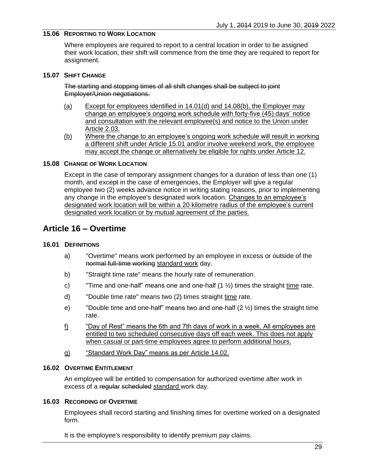### **15.06 REPORTING TO WORK LOCATION**

Where employees are required to report to a central location in order to be assigned their work location, their shift will commence from the time they are required to report for assignment.

#### **15.07 SHIFT CHANGE**

The starting and stopping times of all shift changes shall be subject to joint Employer/Union negotiations.

- (a) Except for employees identified in 14.01(d) and 14.08(b), the Employer may change an employee's ongoing work schedule with forty-five (45) days' notice and consultation with the relevant employee(s) and notice to the Union under [Article 2.03.](#page-10-0)
- (b) Where the change to an employee's ongoing work schedule will result in working a different shift under [Article 15.01](#page-34-0) and/or involve weekend work, the employee may accept the change or alternatively be eligible for rights under [Article 12.](#page-20-0)

#### **15.08 CHANGE OF WORK LOCATION**

Except in the case of temporary assignment changes for a duration of less than one (1) month, and except in the case of emergencies, the Employer will give a regular employee two (2) weeks advance notice in writing stating reasons, prior to implementing any change in the employee's designated work location. Changes to an employee's designated work location will be within a 20 kilometre radius of the employee's current designated work location or by mutual agreement of the parties.

## **Article 16 – Overtime**

#### **16.01 DEFINITIONS**

- a) "Overtime" means work performed by an employee in excess or outside of the normal full-time working standard work day.
- b) "Straight time rate" means the hourly rate of remuneration.
- c) Time and one-half" means one and one-half  $(1 \frac{1}{2})$  times the straight time rate.
- d) "Double time rate" means two (2) times straight time rate.
- e) "Double time and one-half" means two and one-half (2 ½) times the straight time rate.
- f) "Day of Rest" means the 6th and 7th days of work in a week. All employees are entitled to two scheduled consecutive days off each week. This does not apply when casual or part-time employees agree to perform additional hours.
- g) "Standard Work Day" means as per [Article 14.02.](#page-32-0)

#### **16.02 OVERTIME ENTITLEMENT**

An employee will be entitled to compensation for authorized overtime after work in excess of a regular scheduled standard work day.

#### **16.03 RECORDING OF OVERTIME**

Employees shall record starting and finishing times for overtime worked on a designated form.

It is the employee's responsibility to identify premium pay claims.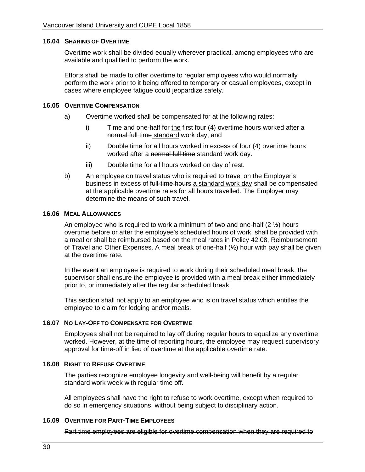#### **16.04 SHARING OF OVERTIME**

Overtime work shall be divided equally wherever practical, among employees who are available and qualified to perform the work.

Efforts shall be made to offer overtime to regular employees who would normally perform the work prior to it being offered to temporary or casual employees, except in cases where employee fatigue could jeopardize safety.

#### **16.05 OVERTIME COMPENSATION**

- a) Overtime worked shall be compensated for at the following rates:
	- i) Time and one-half for the first four (4) overtime hours worked after a normal full time standard work day, and
	- ii) Double time for all hours worked in excess of four (4) overtime hours worked after a normal full time standard work day.
	- iii) Double time for all hours worked on day of rest.
- b) An employee on travel status who is required to travel on the Employer's business in excess of full-time hours a standard work day shall be compensated at the applicable overtime rates for all hours travelled. The Employer may determine the means of such travel.

#### **16.06 MEAL ALLOWANCES**

An employee who is required to work a minimum of two and one-half  $(2 \frac{1}{2})$  hours overtime before or after the employee's scheduled hours of work, shall be provided with a meal or shall be reimbursed based on the meal rates in Policy 42.08, Reimbursement of Travel and Other Expenses. A meal break of one-half  $(\frac{1}{2})$  hour with pay shall be given at the overtime rate.

In the event an employee is required to work during their scheduled meal break, the supervisor shall ensure the employee is provided with a meal break either immediately prior to, or immediately after the regular scheduled break.

This section shall not apply to an employee who is on travel status which entitles the employee to claim for lodging and/or meals.

#### **16.07 NO LAY-OFF TO COMPENSATE FOR OVERTIME**

Employees shall not be required to lay off during regular hours to equalize any overtime worked. However, at the time of reporting hours, the employee may request supervisory approval for time-off in lieu of overtime at the applicable overtime rate.

#### <span id="page-37-0"></span>**16.08 RIGHT TO REFUSE OVERTIME**

The parties recognize employee longevity and well-being will benefit by a regular standard work week with regular time off.

All employees shall have the right to refuse to work overtime, except when required to do so in emergency situations, without being subject to disciplinary action.

#### **16.09 OVERTIME FOR PART-TIME EMPLOYEES**

Part time employees are eligible for overtime compensation when they are required to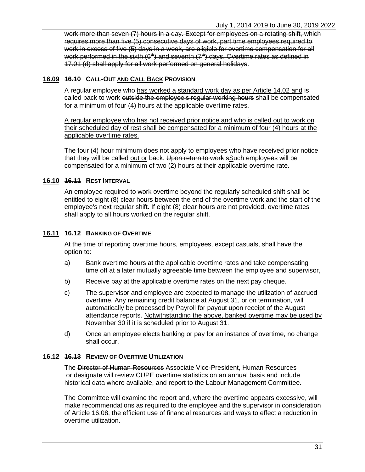work more than seven (7) hours in a day. Except for employees on a rotating shift, which requires more than five (5) consecutive days of work, part time employees required to work in excess of five (5) days in a week, are eligible for overtime compensation for all work performed in the sixth  $(6<sup>th</sup>)$  and seventh  $(7<sup>th</sup>)$  days. Overtime rates as defined in 17.01 (d) shall apply for all work performed on general holidays.

## **16.09 16.10 CALL-OUT AND CALL BACK PROVISION**

A regular employee who has worked a standard work day as per [Article 14.02](#page-32-0) and is called back to work outside the employee's regular working hours shall be compensated for a minimum of four (4) hours at the applicable overtime rates.

A regular employee who has not received prior notice and who is called out to work on their scheduled day of rest shall be compensated for a minimum of four (4) hours at the applicable overtime rates.

The four (4) hour minimum does not apply to employees who have received prior notice that they will be called out or back. Upon return to work sSuch employees will be compensated for a minimum of two (2) hours at their applicable overtime rate.

## **16.10 16.11 REST INTERVAL**

An employee required to work overtime beyond the regularly scheduled shift shall be entitled to eight (8) clear hours between the end of the overtime work and the start of the employee's next regular shift. If eight (8) clear hours are not provided, overtime rates shall apply to all hours worked on the regular shift.

## **16.11 16.12 BANKING OF OVERTIME**

At the time of reporting overtime hours, employees, except casuals, shall have the option to:

- a) Bank overtime hours at the applicable overtime rates and take compensating time off at a later mutually agreeable time between the employee and supervisor,
- b) Receive pay at the applicable overtime rates on the next pay cheque.
- c) The supervisor and employee are expected to manage the utilization of accrued overtime. Any remaining credit balance at August 31, or on termination, will automatically be processed by Payroll for payout upon receipt of the August attendance reports. Notwithstanding the above, banked overtime may be used by November 30 if it is scheduled prior to August 31.
- d) Once an employee elects banking or pay for an instance of overtime, no change shall occur.

### **16.12 16.13 REVIEW OF OVERTIME UTILIZATION**

The Director of Human Resources Associate Vice-President, Human Resources or designate will review CUPE overtime statistics on an annual basis and include historical data where available, and report to the Labour Management Committee.

The Committee will examine the report and, where the overtime appears excessive, will make recommendations as required to the employee and the supervisor in consideration of [Article 16.08,](#page-37-0) the efficient use of financial resources and ways to effect a reduction in overtime utilization.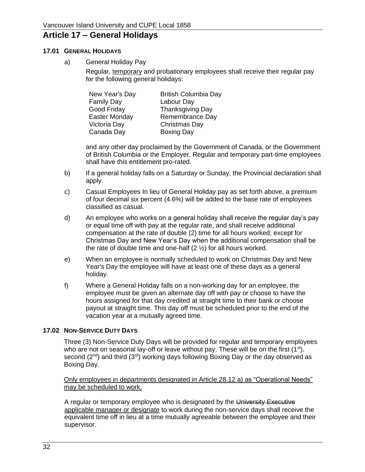## **Article 17 – General Holidays**

#### **17.01 GENERAL HOLIDAYS**

a) General Holiday Pay

Regular, temporary and probationary employees shall receive their regular pay for the following general holidays:

| New Year's Day    | <b>British Columbia Day</b> |
|-------------------|-----------------------------|
| <b>Family Day</b> | Labour Day                  |
| Good Friday       | Thanksgiving Day            |
| Easter Monday     | Remembrance Day             |
| Victoria Day      | Christmas Day               |
| Canada Day        | <b>Boxing Day</b>           |

and any other day proclaimed by the Government of Canada, or the Government of British Columbia or the Employer. Regular and temporary part-time employees shall have this entitlement pro-rated.

- b) If a general holiday falls on a Saturday or Sunday, the Provincial declaration shall apply.
- c) Casual Employees In lieu of General Holiday pay as set forth above, a premium of four decimal six percent (4.6%) will be added to the base rate of employees classified as casual.
- d) An employee who works on a general holiday shall receive the regular day's pay or equal time off with pay at the regular rate, and shall receive additional compensation at the rate of double (2) time for all hours worked; except for Christmas Day and New Year's Day when the additional compensation shall be the rate of double time and one-half (2 ½) for all hours worked.
- e) When an employee is normally scheduled to work on Christmas Day and New Year's Day the employee will have at least one of these days as a general holiday.
- f) Where a General Holiday falls on a non-working day for an employee, the employee must be given an alternate day off with pay or choose to have the hours assigned for that day credited at straight time to their bank or choose payout at straight time. This day off must be scheduled prior to the end of the vacation year at a mutually agreed time.

## **17.02 NON-SERVICE DUTY DAYS**

Three (3) Non-Service Duty Days will be provided for regular and temporary employees who are not on seasonal lay-off or leave without pay. These will be on the first (1<sup>st</sup>), second  $(2^{nd})$  and third  $(3^{rd})$  working days following Boxing Day or the day observed as Boxing Day.

Only employees in departments designated in [Article 28.12](#page-59-0) a) as "Operational Needs" may be scheduled to work.

A regular or temporary employee who is designated by the University Executive applicable manager or designate to work during the non-service days shall receive the equivalent time off in lieu at a time mutually agreeable between the employee and their supervisor.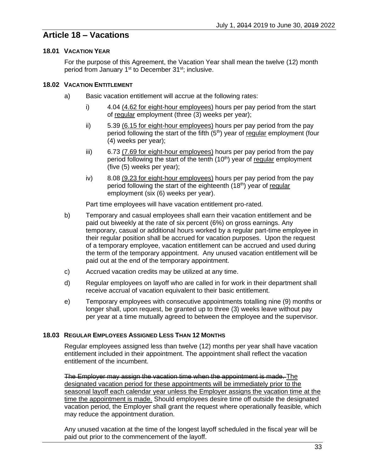## **Article 18 – Vacations**

## **18.01 VACATION YEAR**

For the purpose of this Agreement, the Vacation Year shall mean the twelve (12) month period from January 1<sup>st</sup> to December 31<sup>st</sup>; inclusive.

## **18.02 VACATION ENTITLEMENT**

- a) Basic vacation entitlement will accrue at the following rates:
	- i) 4.04 (4.62 for eight-hour employees) hours per pay period from the start of regular employment (three (3) weeks per year);
	- ii) 5.39 (6.15 for eight-hour employees) hours per pay period from the pay period following the start of the fifth  $(5<sup>th</sup>)$  year of regular employment (four (4) weeks per year);
	- iii) 6.73 (7.69 for eight-hour employees) hours per pay period from the pay period following the start of the tenth  $(10<sup>th</sup>)$  year of regular employment (five (5) weeks per year);
	- iv) 8.08 (9.23 for eight-hour employees) hours per pay period from the pay period following the start of the eighteenth  $(18<sup>th</sup>)$  year of regular employment (six (6) weeks per year).

Part time employees will have vacation entitlement pro-rated.

- b) Temporary and casual employees shall earn their vacation entitlement and be paid out biweekly at the rate of six percent (6%) on gross earnings. Any temporary, casual or additional hours worked by a regular part-time employee in their regular position shall be accrued for vacation purposes. Upon the request of a temporary employee, vacation entitlement can be accrued and used during the term of the temporary appointment. Any unused vacation entitlement will be paid out at the end of the temporary appointment.
- c) Accrued vacation credits may be utilized at any time.
- d) Regular employees on layoff who are called in for work in their department shall receive accrual of vacation equivalent to their basic entitlement.
- e) Temporary employees with consecutive appointments totalling nine (9) months or longer shall, upon request, be granted up to three (3) weeks leave without pay per year at a time mutually agreed to between the employee and the supervisor.

## **18.03 REGULAR EMPLOYEES ASSIGNED LESS THAN 12 MONTHS**

Regular employees assigned less than twelve (12) months per year shall have vacation entitlement included in their appointment. The appointment shall reflect the vacation entitlement of the incumbent.

The Employer may assign the vacation time when the appointment is made. The designated vacation period for these appointments will be immediately prior to the seasonal layoff each calendar year unless the Employer assigns the vacation time at the time the appointment is made. Should employees desire time off outside the designated vacation period, the Employer shall grant the request where operationally feasible, which may reduce the appointment duration.

Any unused vacation at the time of the longest layoff scheduled in the fiscal year will be paid out prior to the commencement of the layoff.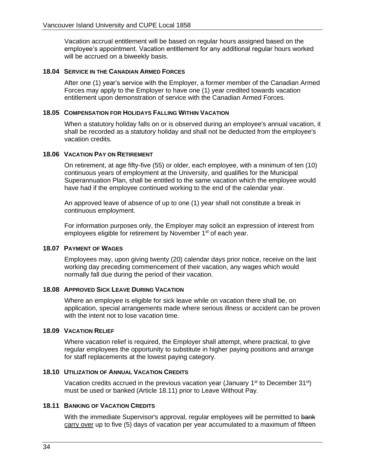Vacation accrual entitlement will be based on regular hours assigned based on the employee's appointment. Vacation entitlement for any additional regular hours worked will be accrued on a biweekly basis.

#### **18.04 SERVICE IN THE CANADIAN ARMED FORCES**

After one (1) year's service with the Employer, a former member of the Canadian Armed Forces may apply to the Employer to have one (1) year credited towards vacation entitlement upon demonstration of service with the Canadian Armed Forces.

#### **18.05 COMPENSATION FOR HOLIDAYS FALLING WITHIN VACATION**

When a statutory holiday falls on or is observed during an employee's annual vacation, it shall be recorded as a statutory holiday and shall not be deducted from the employee's vacation credits.

#### **18.06 VACATION PAY ON RETIREMENT**

On retirement, at age fifty-five (55) or older, each employee, with a minimum of ten (10) continuous years of employment at the University, and qualifies for the Municipal Superannuation Plan, shall be entitled to the same vacation which the employee would have had if the employee continued working to the end of the calendar year.

An approved leave of absence of up to one (1) year shall not constitute a break in continuous employment.

For information purposes only, the Employer may solicit an expression of interest from employees eligible for retirement by November 1<sup>st</sup> of each year.

#### **18.07 PAYMENT OF WAGES**

Employees may, upon giving twenty (20) calendar days prior notice, receive on the last working day preceding commencement of their vacation, any wages which would normally fall due during the period of their vacation.

#### **18.08 APPROVED SICK LEAVE DURING VACATION**

Where an employee is eligible for sick leave while on vacation there shall be, on application, special arrangements made where serious illness or accident can be proven with the intent not to lose vacation time.

#### **18.09 VACATION RELIEF**

Where vacation relief is required, the Employer shall attempt, where practical, to give regular employees the opportunity to substitute in higher paying positions and arrange for staff replacements at the lowest paying category.

#### **18.10 UTILIZATION OF ANNUAL VACATION CREDITS**

Vacation credits accrued in the previous vacation year (January  $1<sup>st</sup>$  to December  $31<sup>st</sup>$ ) must be used or banked (Article [18.11\)](#page-41-0) prior to Leave Without Pay.

## <span id="page-41-0"></span>**18.11 BANKING OF VACATION CREDITS**

With the immediate Supervisor's approval, regular employees will be permitted to bank carry over up to five (5) days of vacation per year accumulated to a maximum of fifteen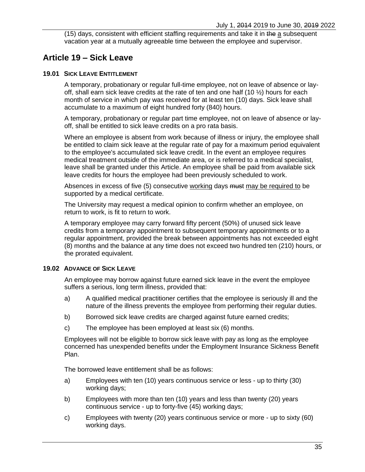(15) days, consistent with efficient staffing requirements and take it in the a subsequent vacation year at a mutually agreeable time between the employee and supervisor.

## **Article 19 – Sick Leave**

#### <span id="page-42-0"></span>**19.01 SICK LEAVE ENTITLEMENT**

A temporary, probationary or regular full-time employee, not on leave of absence or layoff, shall earn sick leave credits at the rate of ten and one half (10  $\frac{1}{2}$ ) hours for each month of service in which pay was received for at least ten (10) days. Sick leave shall accumulate to a maximum of eight hundred forty (840) hours.

A temporary, probationary or regular part time employee, not on leave of absence or layoff, shall be entitled to sick leave credits on a pro rata basis.

Where an employee is absent from work because of illness or injury, the employee shall be entitled to claim sick leave at the regular rate of pay for a maximum period equivalent to the employee's accumulated sick leave credit. In the event an employee requires medical treatment outside of the immediate area, or is referred to a medical specialist, leave shall be granted under this Article. An employee shall be paid from available sick leave credits for hours the employee had been previously scheduled to work.

Absences in excess of five (5) consecutive working days must may be required to be supported by a medical certificate.

The University may request a medical opinion to confirm whether an employee, on return to work, is fit to return to work.

A temporary employee may carry forward fifty percent (50%) of unused sick leave credits from a temporary appointment to subsequent temporary appointments or to a regular appointment, provided the break between appointments has not exceeded eight (8) months and the balance at any time does not exceed two hundred ten (210) hours, or the prorated equivalent.

### **19.02 ADVANCE OF SICK LEAVE**

An employee may borrow against future earned sick leave in the event the employee suffers a serious, long term illness, provided that:

- a) A qualified medical practitioner certifies that the employee is seriously ill and the nature of the illness prevents the employee from performing their regular duties.
- b) Borrowed sick leave credits are charged against future earned credits;
- c) The employee has been employed at least six (6) months.

Employees will not be eligible to borrow sick leave with pay as long as the employee concerned has unexpended benefits under the Employment Insurance Sickness Benefit Plan.

The borrowed leave entitlement shall be as follows:

- a) Employees with ten (10) years continuous service or less up to thirty (30) working days;
- b) Employees with more than ten (10) years and less than twenty (20) years continuous service - up to forty-five (45) working days;
- c) Employees with twenty (20) years continuous service or more up to sixty (60) working days.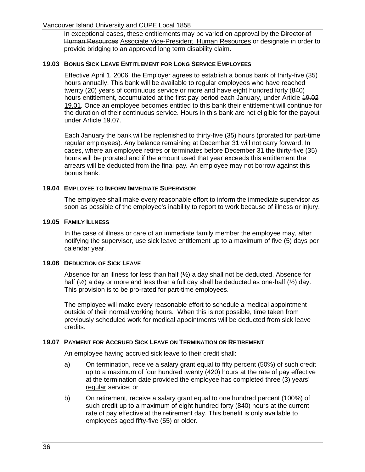#### Vancouver Island University and CUPE Local 1858

In exceptional cases, these entitlements may be varied on approval by the Director of Human Resources Associate Vice-President, Human Resources or designate in order to provide bridging to an approved long term disability claim.

#### **19.03 BONUS SICK LEAVE ENTITLEMENT FOR LONG SERVICE EMPLOYEES**

Effective April 1, 2006, the Employer agrees to establish a bonus bank of thirty-five (35) hours annually. This bank will be available to regular employees who have reached twenty (20) years of continuous service or more and have eight hundred forty (840) hours entitlement, accumulated at the first pay period each January, under Article 49.02 [19.01.](#page-42-0) Once an employee becomes entitled to this bank their entitlement will continue for the duration of their continuous service. Hours in this bank are not eligible for the payout under Article [19.07.](#page-43-0)

Each January the bank will be replenished to thirty-five (35) hours (prorated for part-time regular employees). Any balance remaining at December 31 will not carry forward. In cases, where an employee retires or terminates before December 31 the thirty-five (35) hours will be prorated and if the amount used that year exceeds this entitlement the arrears will be deducted from the final pay*.* An employee may not borrow against this bonus bank.

#### **19.04 EMPLOYEE TO INFORM IMMEDIATE SUPERVISOR**

The employee shall make every reasonable effort to inform the immediate supervisor as soon as possible of the employee's inability to report to work because of illness or injury.

#### **19.05 FAMILY ILLNESS**

In the case of illness or care of an immediate family member the employee may, after notifying the supervisor, use sick leave entitlement up to a maximum of five (5) days per calendar year.

#### **19.06 DEDUCTION OF SICK LEAVE**

Absence for an illness for less than half  $(\frac{1}{2})$  a day shall not be deducted. Absence for half  $(\frac{1}{2})$  a day or more and less than a full day shall be deducted as one-half  $(\frac{1}{2})$  day. This provision is to be pro-rated for part-time employees.

The employee will make every reasonable effort to schedule a medical appointment outside of their normal working hours. When this is not possible, time taken from previously scheduled work for medical appointments will be deducted from sick leave credits.

#### <span id="page-43-0"></span>**19.07 PAYMENT FOR ACCRUED SICK LEAVE ON TERMINATION OR RETIREMENT**

An employee having accrued sick leave to their credit shall:

- a) On termination, receive a salary grant equal to fifty percent (50%) of such credit up to a maximum of four hundred twenty (420) hours at the rate of pay effective at the termination date provided the employee has completed three (3) years' regular service; or
- b) On retirement, receive a salary grant equal to one hundred percent (100%) of such credit up to a maximum of eight hundred forty (840) hours at the current rate of pay effective at the retirement day. This benefit is only available to employees aged fifty-five (55) or older.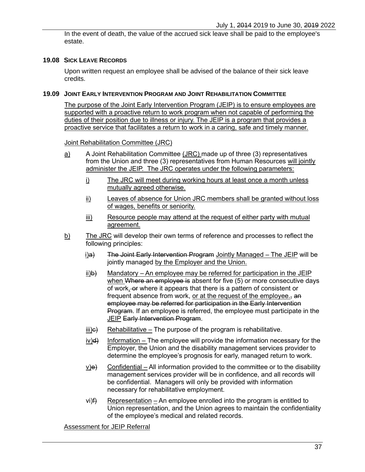In the event of death, the value of the accrued sick leave shall be paid to the employee's estate.

### **19.08 SICK LEAVE RECORDS**

Upon written request an employee shall be advised of the balance of their sick leave credits.

#### **19.09 JOINT EARLY INTERVENTION PROGRAM AND JOINT REHABILITATION COMMITTEE**

The purpose of the Joint Early Intervention Program (JEIP) is to ensure employees are supported with a proactive return to work program when not capable of performing the duties of their position due to illness or injury. The JEIP is a program that provides a proactive service that facilitates a return to work in a caring, safe and timely manner.

Joint Rehabilitation Committee (JRC)

- $\underline{a}$  A Joint Rehabilitation Committee (JRC) made up of three (3) representatives from the Union and three (3) representatives from Human Resources will jointly administer the JEIP. The JRC operates under the following parameters:
	- i) The JRC will meet during working hours at least once a month unless mutually agreed otherwise.
	- ii) Leaves of absence for Union JRC members shall be granted without loss of wages, benefits or seniority.
	- iii) Resource people may attend at the request of either party with mutual agreement.
- $\underline{b}$  The JRC will develop their own terms of reference and processes to reflect the following principles:
	- i)a) The Joint Early Intervention Program Jointly Managed The JEIP will be jointly managed by the Employer and the Union.
	- $ii)$  Mandatory An employee may be referred for participation in the JEIP when Where an employee is absent for five (5) or more consecutive days of work $_{1}$ -or where it appears that there is a pattern of consistent or frequent absence from work, or at the request of the employee. employee may be referred for participation in the Early Intervention Program. If an employee is referred, the employee must participate in the JEIP Early Intervention Program.
	- $\overline{ii}$ ) Rehabilitative The purpose of the program is rehabilitative.
	- $iv)$ d) Information The employee will provide the information necessary for the Employer, the Union and the disability management services provider to determine the employee's prognosis for early, managed return to work.
	- $\underline{v}$ )e) Confidential All information provided to the committee or to the disability management services provider will be in confidence, and all records will be confidential. Managers will only be provided with information necessary for rehabilitative employment.
	- $vi)$  Representation An employee enrolled into the program is entitled to Union representation, and the Union agrees to maintain the confidentiality of the employee's medical and related records.

Assessment for JEIP Referral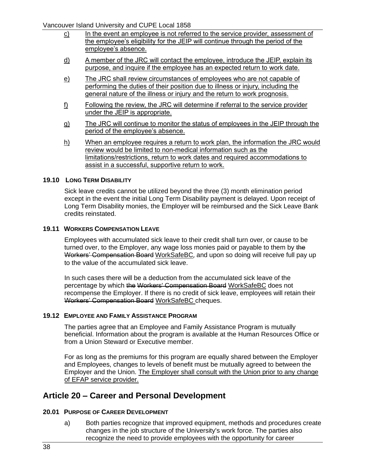Vancouver Island University and CUPE Local 1858

- c) In the event an employee is not referred to the service provider, assessment of the employee's eligibility for the JEIP will continue through the period of the employee's absence.
- d) A member of the JRC will contact the employee, introduce the JEIP, explain its purpose, and inquire if the employee has an expected return to work date.
- e) The JRC shall review circumstances of employees who are not capable of performing the duties of their position due to illness or injury, including the general nature of the illness or injury and the return to work prognosis.
- f) Following the review, the JRC will determine if referral to the service provider under the JEIP is appropriate.
- g) The JRC will continue to monitor the status of employees in the JEIP through the period of the employee's absence.
- h) When an employee requires a return to work plan, the information the JRC would review would be limited to non-medical information such as the limitations/restrictions, return to work dates and required accommodations to assist in a successful, supportive return to work.

### **19.10 LONG TERM DISABILITY**

Sick leave credits cannot be utilized beyond the three (3) month elimination period except in the event the initial Long Term Disability payment is delayed. Upon receipt of Long Term Disability monies, the Employer will be reimbursed and the Sick Leave Bank credits reinstated.

#### **19.11 WORKERS COMPENSATION LEAVE**

Employees with accumulated sick leave to their credit shall turn over, or cause to be turned over, to the Employer, any wage loss monies paid or payable to them by the Workers' Compensation Board WorkSafeBC, and upon so doing will receive full pay up to the value of the accumulated sick leave.

In such cases there will be a deduction from the accumulated sick leave of the percentage by which the Workers' Compensation Board WorkSafeBC does not recompense the Employer. If there is no credit of sick leave, employees will retain their Workers' Compensation Board WorkSafeBC cheques.

#### **19.12 EMPLOYEE AND FAMILY ASSISTANCE PROGRAM**

The parties agree that an Employee and Family Assistance Program is mutually beneficial. Information about the program is available at the Human Resources Office or from a Union Steward or Executive member.

For as long as the premiums for this program are equally shared between the Employer and Employees, changes to levels of benefit must be mutually agreed to between the Employer and the Union. The Employer shall consult with the Union prior to any change of EFAP service provider.

## **Article 20 – Career and Personal Development**

#### **20.01 PURPOSE OF CAREER DEVELOPMENT**

a) Both parties recognize that improved equipment, methods and procedures create changes in the job structure of the University's work force. The parties also recognize the need to provide employees with the opportunity for career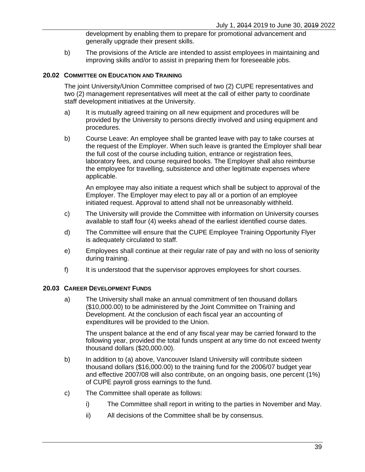development by enabling them to prepare for promotional advancement and generally upgrade their present skills.

b) The provisions of the Article are intended to assist employees in maintaining and improving skills and/or to assist in preparing them for foreseeable jobs.

#### <span id="page-46-1"></span>**20.02 COMMITTEE ON EDUCATION AND TRAINING**

The joint University/Union Committee comprised of two (2) CUPE representatives and two (2) management representatives will meet at the call of either party to coordinate staff development initiatives at the University.

- a) It is mutually agreed training on all new equipment and procedures will be provided by the University to persons directly involved and using equipment and procedures.
- b) Course Leave: An employee shall be granted leave with pay to take courses at the request of the Employer. When such leave is granted the Employer shall bear the full cost of the course including tuition, entrance or registration fees, laboratory fees, and course required books. The Employer shall also reimburse the employee for travelling, subsistence and other legitimate expenses where applicable.

An employee may also initiate a request which shall be subject to approval of the Employer. The Employer may elect to pay all or a portion of an employee initiated request. Approval to attend shall not be unreasonably withheld.

- c) The University will provide the Committee with information on University courses available to staff four (4) weeks ahead of the earliest identified course dates.
- d) The Committee will ensure that the CUPE Employee Training Opportunity Flyer is adequately circulated to staff.
- e) Employees shall continue at their regular rate of pay and with no loss of seniority during training.
- f) It is understood that the supervisor approves employees for short courses.

#### <span id="page-46-0"></span>**20.03 CAREER DEVELOPMENT FUNDS**

a) The University shall make an annual commitment of ten thousand dollars (\$10,000.00) to be administered by the Joint Committee on Training and Development. At the conclusion of each fiscal year an accounting of expenditures will be provided to the Union.

The unspent balance at the end of any fiscal year may be carried forward to the following year, provided the total funds unspent at any time do not exceed twenty thousand dollars (\$20,000.00).

- b) In addition to [\(a\)](#page-46-0) above, Vancouver Island University will contribute sixteen thousand dollars (\$16,000.00) to the training fund for the 2006/07 budget year and effective 2007/08 will also contribute, on an ongoing basis, one percent (1%) of CUPE payroll gross earnings to the fund.
- c) The Committee shall operate as follows:
	- i) The Committee shall report in writing to the parties in November and May.
	- ii) All decisions of the Committee shall be by consensus.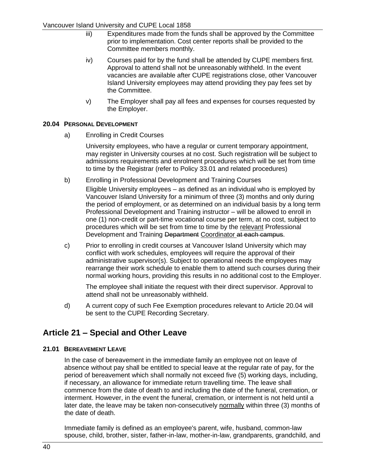- iii) Expenditures made from the funds shall be approved by the Committee prior to implementation. Cost center reports shall be provided to the Committee members monthly.
- iv) Courses paid for by the fund shall be attended by CUPE members first. Approval to attend shall not be unreasonably withheld. In the event vacancies are available after CUPE registrations close, other Vancouver Island University employees may attend providing they pay fees set by the Committee.
- v) The Employer shall pay all fees and expenses for courses requested by the Employer.

## <span id="page-47-0"></span>**20.04 PERSONAL DEVELOPMENT**

a) Enrolling in Credit Courses

University employees, who have a regular or current temporary appointment, may register in University courses at no cost. Such registration will be subject to admissions requirements and enrolment procedures which will be set from time to time by the Registrar (refer to Policy 33.01 and related procedures)

- b) Enrolling in Professional Development and Training Courses
	- Eligible University employees as defined as an individual who is employed by Vancouver Island University for a minimum of three (3) months and only during the period of employment, or as determined on an individual basis by a long term Professional Development and Training instructor – will be allowed to enroll in one (1) non-credit or part-time vocational course per term, at no cost, subject to procedures which will be set from time to time by the relevant Professional Development and Training Department Coordinator at each campus.
- c) Prior to enrolling in credit courses at Vancouver Island University which may conflict with work schedules, employees will require the approval of their administrative supervisor(s). Subject to operational needs the employees may rearrange their work schedule to enable them to attend such courses during their normal working hours, providing this results in no additional cost to the Employer.

The employee shall initiate the request with their direct supervisor. Approval to attend shall not be unreasonably withheld.

d) A current copy of such Fee Exemption procedures relevant to Article [20.04](#page-47-0) will be sent to the CUPE Recording Secretary.

# **Article 21 – Special and Other Leave**

## **21.01 BEREAVEMENT LEAVE**

In the case of bereavement in the immediate family an employee not on leave of absence without pay shall be entitled to special leave at the regular rate of pay, for the period of bereavement which shall normally not exceed five (5) working days, including, if necessary, an allowance for immediate return travelling time. The leave shall commence from the date of death to and including the date of the funeral, cremation, or interment. However, in the event the funeral, cremation, or interment is not held until a later date, the leave may be taken non-consecutively normally within three (3) months of the date of death.

Immediate family is defined as an employee's parent, wife, husband, common-law spouse, child, brother, sister, father-in-law, mother-in-law, grandparents, grandchild, and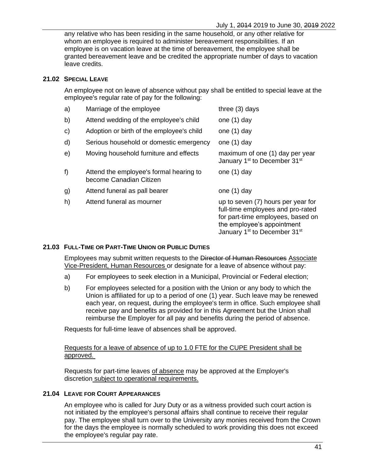any relative who has been residing in the same household, or any other relative for whom an employee is required to administer bereavement responsibilities. If an employee is on vacation leave at the time of bereavement, the employee shall be granted bereavement leave and be credited the appropriate number of days to vacation leave credits.

### **21.02 SPECIAL LEAVE**

An employee not on leave of absence without pay shall be entitled to special leave at the employee's regular rate of pay for the following:

| a)         | Marriage of the employee                                           | three $(3)$ days                                                                                                                                                                                   |
|------------|--------------------------------------------------------------------|----------------------------------------------------------------------------------------------------------------------------------------------------------------------------------------------------|
| b)         | Attend wedding of the employee's child                             | one (1) day                                                                                                                                                                                        |
| C)         | Adoption or birth of the employee's child                          | one $(1)$ day                                                                                                                                                                                      |
| d)         | Serious household or domestic emergency                            | one $(1)$ day                                                                                                                                                                                      |
| $\Theta$ ) | Moving household furniture and effects                             | maximum of one (1) day per year<br>January 1 <sup>st</sup> to December 31 <sup>st</sup>                                                                                                            |
| f)         | Attend the employee's formal hearing to<br>become Canadian Citizen | one $(1)$ day                                                                                                                                                                                      |
| g)         | Attend funeral as pall bearer                                      | one $(1)$ day                                                                                                                                                                                      |
| h)         | Attend funeral as mourner                                          | up to seven (7) hours per year for<br>full-time employees and pro-rated<br>for part-time employees, based on<br>the employee's appointment<br>January 1 <sup>st</sup> to December 31 <sup>st</sup> |

#### **21.03 FULL-TIME OR PART-TIME UNION OR PUBLIC DUTIES**

Employees may submit written requests to the Director of Human Resources Associate Vice-President, Human Resources or designate for a leave of absence without pay:

- a) For employees to seek election in a Municipal, Provincial or Federal election;
- b) For employees selected for a position with the Union or any body to which the Union is affiliated for up to a period of one (1) year. Such leave may be renewed each year, on request, during the employee's term in office. Such employee shall receive pay and benefits as provided for in this Agreement but the Union shall reimburse the Employer for all pay and benefits during the period of absence.

Requests for full-time leave of absences shall be approved.

### Requests for a leave of absence of up to 1.0 FTE for the CUPE President shall be approved.

Requests for part-time leaves of absence may be approved at the Employer's discretion subject to operational requirements.

#### **21.04 LEAVE FOR COURT APPEARANCES**

An employee who is called for Jury Duty or as a witness provided such court action is not initiated by the employee's personal affairs shall continue to receive their regular pay. The employee shall turn over to the University any monies received from the Crown for the days the employee is normally scheduled to work providing this does not exceed the employee's regular pay rate.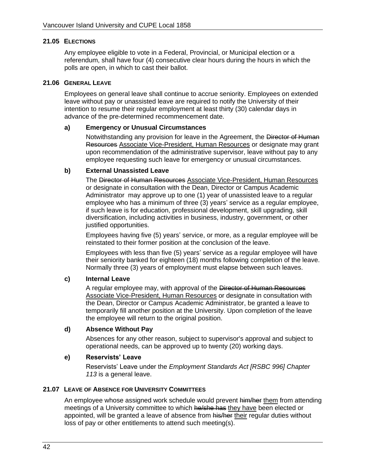#### **21.05 ELECTIONS**

Any employee eligible to vote in a Federal, Provincial, or Municipal election or a referendum, shall have four (4) consecutive clear hours during the hours in which the polls are open, in which to cast their ballot.

#### <span id="page-49-0"></span>**21.06 GENERAL LEAVE**

Employees on general leave shall continue to accrue seniority. Employees on extended leave without pay or unassisted leave are required to notify the University of their intention to resume their regular employment at least thirty (30) calendar days in advance of the pre-determined recommencement date.

#### **a) Emergency or Unusual Circumstances**

Notwithstanding any provision for leave in the Agreement, the Director of Human Resources Associate Vice-President, Human Resources or designate may grant upon recommendation of the administrative supervisor, leave without pay to any employee requesting such leave for emergency or unusual circumstances.

#### **b) External Unassisted Leave**

The Director of Human Resources Associate Vice-President, Human Resources or designate in consultation with the Dean, Director or Campus Academic Administrator may approve up to one (1) year of unassisted leave to a regular employee who has a minimum of three (3) years' service as a regular employee, if such leave is for education, professional development, skill upgrading, skill diversification, including activities in business, industry, government, or other justified opportunities.

Employees having five (5) years' service, or more, as a regular employee will be reinstated to their former position at the conclusion of the leave.

Employees with less than five (5) years' service as a regular employee will have their seniority banked for eighteen (18) months following completion of the leave. Normally three (3) years of employment must elapse between such leaves.

#### **c) Internal Leave**

A regular employee may, with approval of the Director of Human Resources Associate Vice-President, Human Resources or designate in consultation with the Dean, Director or Campus Academic Administrator, be granted a leave to temporarily fill another position at the University. Upon completion of the leave the employee will return to the original position.

#### **d) Absence Without Pay**

Absences for any other reason, subject to supervisor's approval and subject to operational needs, can be approved up to twenty (20) working days.

#### **e) Reservists' Leave**

Reservists' Leave under the *Employment Standards Act [RSBC 996] Chapter 113* is a general leave.

#### **21.07 LEAVE OF ABSENCE FOR UNIVERSITY COMMITTEES**

An employee whose assigned work schedule would prevent him/her them from attending meetings of a University committee to which he/she has they have been elected or appointed, will be granted a leave of absence from his/her their regular duties without loss of pay or other entitlements to attend such meeting(s).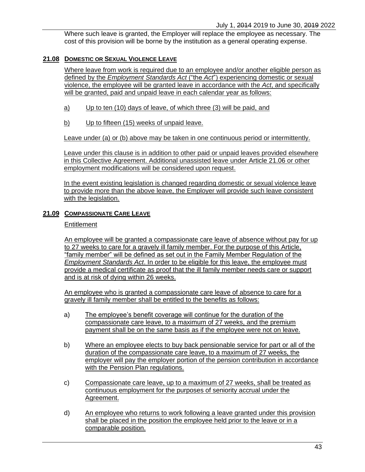Where such leave is granted, the Employer will replace the employee as necessary. The cost of this provision will be borne by the institution as a general operating expense.

## **21.08 DOMESTIC OR SEXUAL VIOLENCE LEAVE**

Where leave from work is required due to an employee and/or another eligible person as defined by the *Employment Standards Act* ("the *Act*") experiencing domestic or sexual violence, the employee will be granted leave in accordance with the *Act*, and specifically will be granted, paid and unpaid leave in each calendar year as follows:

- a) Up to ten (10) days of leave, of which three (3) will be paid, and
- b) Up to fifteen (15) weeks of unpaid leave.

Leave under (a) or (b) above may be taken in one continuous period or intermittently.

Leave under this clause is in addition to other paid or unpaid leaves provided elsewhere in this Collective Agreement. Additional unassisted leave under [Article 21.06](#page-49-0) or other employment modifications will be considered upon request.

In the event existing legislation is changed regarding domestic or sexual violence leave to provide more than the above leave, the Employer will provide such leave consistent with the legislation.

## **21.09 COMPASSIONATE CARE LEAVE**

### **Entitlement**

An employee will be granted a compassionate care leave of absence without pay for up to 27 weeks to care for a gravely ill family member. For the purpose of this Article, "family member" will be defined as set out in the Family Member Regulation of the *Employment Standards Act*. In order to be eligible for this leave, the employee must provide a medical certificate as proof that the ill family member needs care or support and is at risk of dying within 26 weeks.

An employee who is granted a compassionate care leave of absence to care for a gravely ill family member shall be entitled to the benefits as follows:

- a) The employee's benefit coverage will continue for the duration of the compassionate care leave, to a maximum of 27 weeks, and the premium payment shall be on the same basis as if the employee were not on leave.
- b) Where an employee elects to buy back pensionable service for part or all of the duration of the compassionate care leave, to a maximum of 27 weeks, the employer will pay the employer portion of the pension contribution in accordance with the Pension Plan regulations.
- c) Compassionate care leave, up to a maximum of 27 weeks, shall be treated as continuous employment for the purposes of seniority accrual under the Agreement.
- d) An employee who returns to work following a leave granted under this provision shall be placed in the position the employee held prior to the leave or in a comparable position.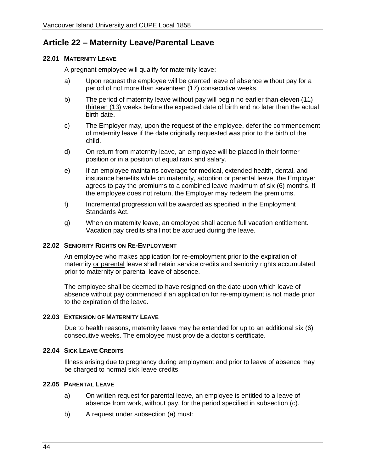# **Article 22 – Maternity Leave/Parental Leave**

## <span id="page-51-1"></span>**22.01 MATERNITY LEAVE**

A pregnant employee will qualify for maternity leave:

- a) Upon request the employee will be granted leave of absence without pay for a period of not more than seventeen (17) consecutive weeks.
- b) The period of maternity leave without pay will begin no earlier than-eleven (11) thirteen (13) weeks before the expected date of birth and no later than the actual birth date.
- c) The Employer may, upon the request of the employee, defer the commencement of maternity leave if the date originally requested was prior to the birth of the child.
- d) On return from maternity leave, an employee will be placed in their former position or in a position of equal rank and salary.
- e) If an employee maintains coverage for medical, extended health, dental, and insurance benefits while on maternity, adoption or parental leave, the Employer agrees to pay the premiums to a combined leave maximum of six (6) months. If the employee does not return, the Employer may redeem the premiums.
- f) Incremental progression will be awarded as specified in the Employment Standards Act.
- g) When on maternity leave, an employee shall accrue full vacation entitlement. Vacation pay credits shall not be accrued during the leave.

#### **22.02 SENIORITY RIGHTS ON RE-EMPLOYMENT**

An employee who makes application for re-employment prior to the expiration of maternity or parental leave shall retain service credits and seniority rights accumulated prior to maternity or parental leave of absence.

The employee shall be deemed to have resigned on the date upon which leave of absence without pay commenced if an application for re-employment is not made prior to the expiration of the leave.

#### <span id="page-51-2"></span>**22.03 EXTENSION OF MATERNITY LEAVE**

Due to health reasons, maternity leave may be extended for up to an additional six (6) consecutive weeks. The employee must provide a doctor's certificate.

#### **22.04 SICK LEAVE CREDITS**

Illness arising due to pregnancy during employment and prior to leave of absence may be charged to normal sick leave credits.

### <span id="page-51-3"></span><span id="page-51-0"></span>**22.05 PARENTAL LEAVE**

- a) On written request for parental leave, an employee is entitled to a leave of absence from work, without pay, for the period specified in subsection [\(c\).](#page-52-0)
- b) A request under subsection [\(a\)](#page-51-0) must: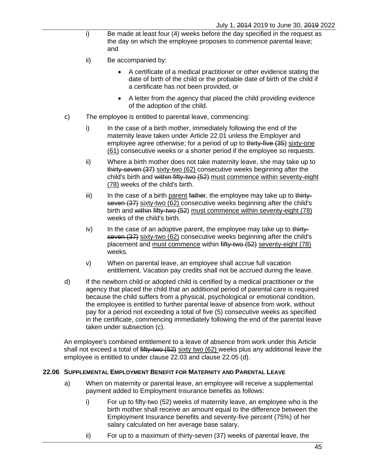- i) Be made at least four (4) weeks before the day specified in the request as the day on which the employee proposes to commence parental leave; and
- ii) Be accompanied by:
	- A certificate of a medical practitioner or other evidence stating the date of birth of the child or the probable date of birth of the child if a certificate has not been provided, or
	- A letter from the agency that placed the child providing evidence of the adoption of the child.
- <span id="page-52-0"></span>c) The employee is entitled to parental leave, commencing:
	- i) In the case of a birth mother, immediately following the end of the maternity leave taken under [Article 22.01](#page-51-1) unless the Employer and employee agree otherwise; for a period of up to thirty-five (35) sixty-one (61) consecutive weeks or a shorter period if the employee so requests.
	- ii) Where a birth mother does not take maternity leave, she may take up to thirty-seven (37) sixty-two (62) consecutive weeks beginning after the child's birth and within fifty-two (52) must commence within seventy-eight (78) weeks of the child's birth.
	- iii) In the case of a birth parent father, the employee may take up to thirtyseven (37) sixty-two (62) consecutive weeks beginning after the child's birth and within fifty-two (52) must commence within seventy-eight (78) weeks of the child's birth.
	- iv) In the case of an adoptive parent, the employee may take up to thirtyseven (37) sixty-two (62) consecutive weeks beginning after the child's placement and must commence within fifty-two (52) seventy-eight (78) weeks.
	- v) When on parental leave, an employee shall accrue full vacation entitlement. Vacation pay credits shall not be accrued during the leave.
- d) If the newborn child or adopted child is certified by a medical practitioner or the agency that placed the child that an additional period of parental care is required because the child suffers from a physical, psychological or emotional condition, the employee is entitled to further parental leave of absence from work, without pay for a period not exceeding a total of five (5) consecutive weeks as specified in the certificate, commencing immediately following the end of the parental leave taken under subsection (c).

An employee's combined entitlement to a leave of absence from work under this Article shall not exceed a total of fifty-two (52) sixty two (62) weeks plus any additional leave the employee is entitled to under clause 22.03 and clause 22.05 (d).

#### <span id="page-52-2"></span><span id="page-52-1"></span>**22.06 SUPPLEMENTAL EMPLOYMENT BENEFIT FOR MATERNITY AND PARENTAL LEAVE**

- <span id="page-52-3"></span>a) When on maternity or parental leave, an employee will receive a supplemental payment added to Employment Insurance benefits as follows:
	- i) For up to fifty-two (52) weeks of maternity leave, an employee who is the birth mother shall receive an amount equal to the difference between the Employment Insurance benefits and seventy-five percent (75%) of her salary calculated on her average base salary.
	- ii) For up to a maximum of thirty-seven (37) weeks of parental leave, the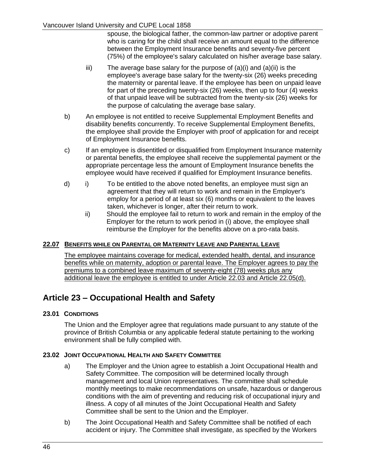spouse, the biological father, the common-law partner or adoptive parent who is caring for the child shall receive an amount equal to the difference between the Employment Insurance benefits and seventy-five percent (75%) of the employee's salary calculated on his/her average base salary.

- $iii)$  $iii)$  The average base salary for the purpose of  $(a)(i)$  $(a)(i)$  and  $(a)(ii)$  $(a)(ii)$  is the employee's average base salary for the twenty-six (26) weeks preceding the maternity or parental leave. If the employee has been on unpaid leave for part of the preceding twenty-six (26) weeks, then up to four (4) weeks of that unpaid leave will be subtracted from the twenty-six (26) weeks for the purpose of calculating the average base salary.
- b) An employee is not entitled to receive Supplemental Employment Benefits and disability benefits concurrently. To receive Supplemental Employment Benefits, the employee shall provide the Employer with proof of application for and receipt of Employment Insurance benefits.
- c) If an employee is disentitled or disqualified from Employment Insurance maternity or parental benefits, the employee shall receive the supplemental payment or the appropriate percentage less the amount of Employment Insurance benefits the employee would have received if qualified for Employment Insurance benefits.
- d) i) To be entitled to the above noted benefits, an employee must sign an agreement that they will return to work and remain in the Employer's employ for a period of at least six (6) months or equivalent to the leaves taken, whichever is longer, after their return to work.
	- ii) Should the employee fail to return to work and remain in the employ of the Employer for the return to work period in [\(i\)](#page-52-2) above, the employee shall reimburse the Employer for the benefits above on a pro-rata basis.

## **22.07 BENEFITS WHILE ON PARENTAL OR MATERNITY LEAVE AND PARENTAL LEAVE**

The employee maintains coverage for medical, extended health, dental, and insurance benefits while on maternity, adoption or parental leave. The Employer agrees to pay the premiums to a combined leave maximum of seventy-eight (78) weeks plus any additional leave the employee is entitled to under [Article 22.03](#page-51-2) and [Article 22.05\(](#page-51-3)d).

# **Article 23 – Occupational Health and Safety**

## **23.01 CONDITIONS**

The Union and the Employer agree that regulations made pursuant to any statute of the province of British Columbia or any applicable federal statute pertaining to the working environment shall be fully complied with.

## **23.02 JOINT OCCUPATIONAL HEALTH AND SAFETY COMMITTEE**

- a) The Employer and the Union agree to establish a Joint Occupational Health and Safety Committee. The composition will be determined locally through management and local Union representatives. The committee shall schedule monthly meetings to make recommendations on unsafe, hazardous or dangerous conditions with the aim of preventing and reducing risk of occupational injury and illness. A copy of all minutes of the Joint Occupational Health and Safety Committee shall be sent to the Union and the Employer.
- b) The Joint Occupational Health and Safety Committee shall be notified of each accident or injury. The Committee shall investigate, as specified by the Workers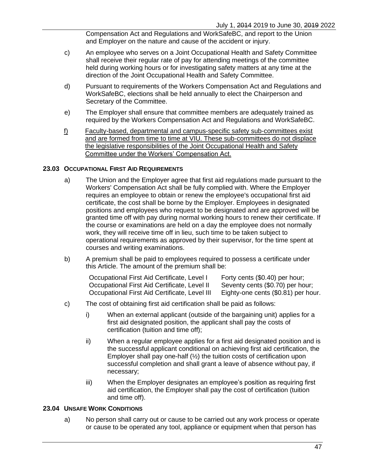Compensation Act and Regulations and WorkSafeBC, and report to the Union and Employer on the nature and cause of the accident or injury.

- c) An employee who serves on a Joint Occupational Health and Safety Committee shall receive their regular rate of pay for attending meetings of the committee held during working hours or for investigating safety matters at any time at the direction of the Joint Occupational Health and Safety Committee.
- d) Pursuant to requirements of the Workers Compensation Act and Regulations and WorkSafeBC, elections shall be held annually to elect the Chairperson and Secretary of the Committee.
- e) The Employer shall ensure that committee members are adequately trained as required by the Workers Compensation Act and Regulations and WorkSafeBC.
- f) Faculty-based, departmental and campus-specific safety sub-committees exist and are formed from time to time at VIU. These sub-committees do not displace the legislative responsibilities of the Joint Occupational Health and Safety Committee under the Workers' Compensation Act.

#### **23.03 OCCUPATIONAL FIRST AID REQUIREMENTS**

- a) The Union and the Employer agree that first aid regulations made pursuant to the Workers' Compensation Act shall be fully complied with. Where the Employer requires an employee to obtain or renew the employee's occupational first aid certificate, the cost shall be borne by the Employer. Employees in designated positions and employees who request to be designated and are approved will be granted time off with pay during normal working hours to renew their certificate. If the course or examinations are held on a day the employee does not normally work, they will receive time off in lieu, such time to be taken subject to operational requirements as approved by their supervisor, for the time spent at courses and writing examinations.
- b) A premium shall be paid to employees required to possess a certificate under this Article. The amount of the premium shall be:

| Occupational First Aid Certificate, Level I   | Forty cents (\$0.40) per hour;      |
|-----------------------------------------------|-------------------------------------|
| Occupational First Aid Certificate, Level II  | Seventy cents (\$0.70) per hour;    |
| Occupational First Aid Certificate, Level III | Eighty-one cents (\$0.81) per hour. |

- c) The cost of obtaining first aid certification shall be paid as follows:
	- i) When an external applicant (outside of the bargaining unit) applies for a first aid designated position, the applicant shall pay the costs of certification (tuition and time off);
	- ii) When a regular employee applies for a first aid designated position and is the successful applicant conditional on achieving first aid certification, the Employer shall pay one-half (½) the tuition costs of certification upon successful completion and shall grant a leave of absence without pay, if necessary;
	- iii) When the Employer designates an employee's position as requiring first aid certification, the Employer shall pay the cost of certification (tuition and time off).

#### <span id="page-54-0"></span>**23.04 UNSAFE WORK CONDITIONS**

a) No person shall carry out or cause to be carried out any work process or operate or cause to be operated any tool, appliance or equipment when that person has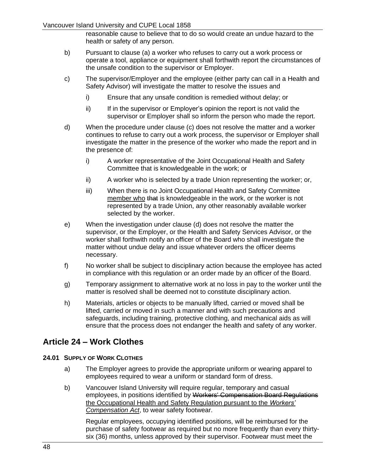reasonable cause to believe that to do so would create an undue hazard to the health or safety of any person.

- b) Pursuant to clause [\(a\)](#page-54-0) a worker who refuses to carry out a work process or operate a tool, appliance or equipment shall forthwith report the circumstances of the unsafe condition to the supervisor or Employer.
- <span id="page-55-0"></span>c) The supervisor/Employer and the employee (either party can call in a Health and Safety Advisor) will investigate the matter to resolve the issues and
	- i) Ensure that any unsafe condition is remedied without delay; or
	- ii) If in the supervisor or Employer's opinion the report is not valid the supervisor or Employer shall so inform the person who made the report.
- <span id="page-55-1"></span>d) When the procedure under clause [\(c\)](#page-55-0) does not resolve the matter and a worker continues to refuse to carry out a work process, the supervisor or Employer shall investigate the matter in the presence of the worker who made the report and in the presence of:
	- i) A worker representative of the Joint Occupational Health and Safety Committee that is knowledgeable in the work; or
	- ii) A worker who is selected by a trade Union representing the worker; or,
	- iii) When there is no Joint Occupational Health and Safety Committee member who that is knowledgeable in the work, or the worker is not represented by a trade Union, any other reasonably available worker selected by the worker.
- e) When the investigation under clause [\(d\)](#page-55-1) does not resolve the matter the supervisor, or the Employer, or the Health and Safety Services Advisor, or the worker shall forthwith notify an officer of the Board who shall investigate the matter without undue delay and issue whatever orders the officer deems necessary.
- f) No worker shall be subject to disciplinary action because the employee has acted in compliance with this regulation or an order made by an officer of the Board.
- g) Temporary assignment to alternative work at no loss in pay to the worker until the matter is resolved shall be deemed not to constitute disciplinary action.
- h) Materials, articles or objects to be manually lifted, carried or moved shall be lifted, carried or moved in such a manner and with such precautions and safeguards, including training, protective clothing, and mechanical aids as will ensure that the process does not endanger the health and safety of any worker.

## **Article 24 – Work Clothes**

#### **24.01 SUPPLY OF WORK CLOTHES**

- a) The Employer agrees to provide the appropriate uniform or wearing apparel to employees required to wear a uniform or standard form of dress.
- b) Vancouver Island University will require regular, temporary and casual employees, in positions identified by Workers' Compensation Board Regulations the Occupational Health and Safety Regulation pursuant to the *Workers' Compensation Act*, to wear safety footwear.

Regular employees, occupying identified positions, will be reimbursed for the purchase of safety footwear as required but no more frequently than every thirtysix (36) months, unless approved by their supervisor. Footwear must meet the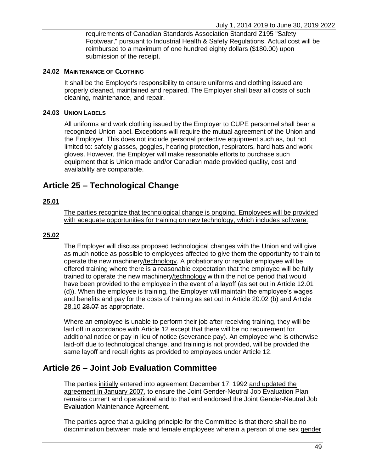requirements of Canadian Standards Association Standard Z195 "Safety Footwear," pursuant to Industrial Health & Safety Regulations. Actual cost will be reimbursed to a maximum of one hundred eighty dollars (\$180.00) upon submission of the receipt.

#### **24.02 MAINTENANCE OF CLOTHING**

It shall be the Employer's responsibility to ensure uniforms and clothing issued are properly cleaned, maintained and repaired. The Employer shall bear all costs of such cleaning, maintenance, and repair.

#### **24.03 UNION LABELS**

All uniforms and work clothing issued by the Employer to CUPE personnel shall bear a recognized Union label. Exceptions will require the mutual agreement of the Union and the Employer. This does not include personal protective equipment such as, but not limited to: safety glasses, goggles, hearing protection, respirators, hard hats and work gloves. However, the Employer will make reasonable efforts to purchase such equipment that is Union made and/or Canadian made provided quality, cost and availability are comparable.

## **Article 25 – Technological Change**

#### **25.01**

The parties recognize that technological change is ongoing. Employees will be provided with adequate opportunities for training on new technology, which includes software.

#### **25.02**

The Employer will discuss proposed technological changes with the Union and will give as much notice as possible to employees affected to give them the opportunity to train to operate the new machinery/technology. A probationary or regular employee will be offered training where there is a reasonable expectation that the employee will be fully trained to operate the new machinery/technology within the notice period that would have been provided to the employee in the event of a layoff (as set out in Article 12.01 (d)). When the employee is training, the Employer will maintain the employee's wages and benefits and pay for the costs of training as set out in [Article 20.02](#page-46-1) (b) and [Article](#page-59-1)  [28.10](#page-59-1) 28.07 as appropriate.

Where an employee is unable to perform their job after receiving training, they will be laid off in accordance with [Article 12](#page-20-0) except that there will be no requirement for additional notice or pay in lieu of notice (severance pay). An employee who is otherwise laid-off due to technological change, and training is not provided, will be provided the same layoff and recall rights as provided to employees under [Article 12.](#page-20-0)

## **Article 26 – Joint Job Evaluation Committee**

The parties initially entered into agreement December 17, 1992 and updated the agreement in January 2007, to ensure the Joint Gender-Neutral Job Evaluation Plan remains current and operational and to that end endorsed the Joint Gender-Neutral Job Evaluation Maintenance Agreement.

The parties agree that a guiding principle for the Committee is that there shall be no discrimination between male and female employees wherein a person of one sex gender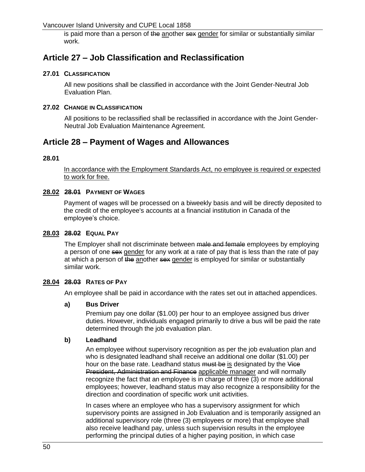is paid more than a person of the another sex gender for similar or substantially similar work.

## **Article 27 – Job Classification and Reclassification**

### **27.01 CLASSIFICATION**

All new positions shall be classified in accordance with the Joint Gender-Neutral Job Evaluation Plan.

#### **27.02 CHANGE IN CLASSIFICATION**

All positions to be reclassified shall be reclassified in accordance with the Joint Gender-Neutral Job Evaluation Maintenance Agreement.

## **Article 28 – Payment of Wages and Allowances**

#### **28.01**

In accordance with the Employment Standards Act, no employee is required or expected to work for free.

#### **28.02 28.01 PAYMENT OF WAGES**

Payment of wages will be processed on a biweekly basis and will be directly deposited to the credit of the employee's accounts at a financial institution in Canada of the employee's choice.

#### **28.03 28.02 EQUAL PAY**

The Employer shall not discriminate between male and female employees by employing a person of one sex gender for any work at a rate of pay that is less than the rate of pay at which a person of the another sex gender is employed for similar or substantially similar work.

#### **28.04 28.03 RATES OF PAY**

An employee shall be paid in accordance with the rates set out in attached appendices.

#### **a) Bus Driver**

Premium pay one dollar (\$1.00) per hour to an employee assigned bus driver duties. However, individuals engaged primarily to drive a bus will be paid the rate determined through the job evaluation plan.

#### **b) Leadhand**

An employee without supervisory recognition as per the job evaluation plan and who is designated leadhand shall receive an additional one dollar (\$1.00) per hour on the base rate. Leadhand status must be is designated by the Vice President, Administration and Finance applicable manager and will normally recognize the fact that an employee is in charge of three (3) or more additional employees; however, leadhand status may also recognize a responsibility for the direction and coordination of specific work unit activities.

In cases where an employee who has a supervisory assignment for which supervisory points are assigned in Job Evaluation and is temporarily assigned an additional supervisory role (three (3) employees or more) that employee shall also receive leadhand pay, unless such supervision results in the employee performing the principal duties of a higher paying position, in which case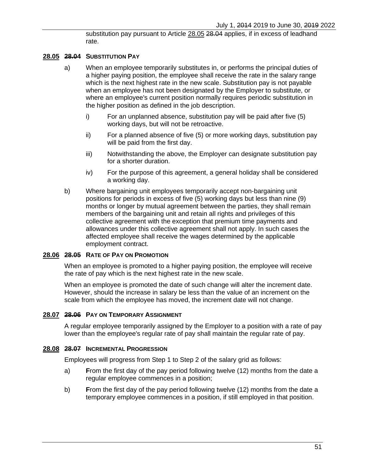substitution pay pursuant to Article 28.05 28.04 applies, if in excess of leadhand rate.

#### **28.05 28.04 SUBSTITUTION PAY**

- a) When an employee temporarily substitutes in, or performs the principal duties of a higher paying position, the employee shall receive the rate in the salary range which is the next highest rate in the new scale. Substitution pay is not payable when an employee has not been designated by the Employer to substitute, or where an employee's current position normally requires periodic substitution in the higher position as defined in the job description.
	- i) For an unplanned absence, substitution pay will be paid after five (5) working days, but will not be retroactive.
	- ii) For a planned absence of five (5) or more working days, substitution pay will be paid from the first day.
	- iii) Notwithstanding the above, the Employer can designate substitution pay for a shorter duration.
	- iv) For the purpose of this agreement, a general holiday shall be considered a working day.
- b) Where bargaining unit employees temporarily accept non-bargaining unit positions for periods in excess of five (5) working days but less than nine (9) months or longer by mutual agreement between the parties, they shall remain members of the bargaining unit and retain all rights and privileges of this collective agreement with the exception that premium time payments and allowances under this collective agreement shall not apply. In such cases the affected employee shall receive the wages determined by the applicable employment contract.

#### **28.06 28.05 RATE OF PAY ON PROMOTION**

When an employee is promoted to a higher paying position, the employee will receive the rate of pay which is the next highest rate in the new scale.

When an employee is promoted the date of such change will alter the increment date. However, should the increase in salary be less than the value of an increment on the scale from which the employee has moved, the increment date will not change.

#### **28.07 28.06 PAY ON TEMPORARY ASSIGNMENT**

A regular employee temporarily assigned by the Employer to a position with a rate of pay lower than the employee's regular rate of pay shall maintain the regular rate of pay.

#### **28.08 28.07 INCREMENTAL PROGRESSION**

Employees will progress from Step 1 to Step 2 of the salary grid as follows:

- a) **F**rom the first day of the pay period following twelve (12) months from the date a regular employee commences in a position;
- b) **F**rom the first day of the pay period following twelve (12) months from the date a temporary employee commences in a position, if still employed in that position.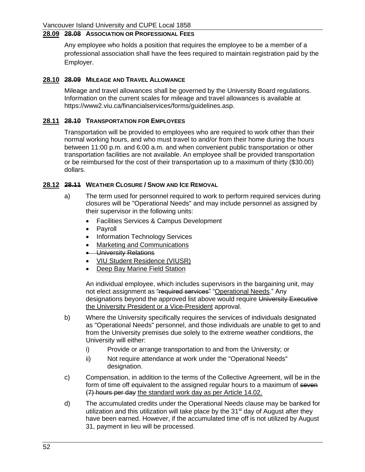## **28.09 28.08 ASSOCIATION OR PROFESSIONAL FEES**

Any employee who holds a position that requires the employee to be a member of a professional association shall have the fees required to maintain registration paid by the Employer.

#### <span id="page-59-1"></span>**28.10 28.09 MILEAGE AND TRAVEL ALLOWANCE**

Mileage and travel allowances shall be governed by the University Board regulations. Information on the current scales for mileage and travel allowances is available at [https://www2.viu.ca/financialservices/forms/guidelines.asp.](https://www2.viu.ca/financialservices/forms/guidelines.asp)

#### **28.11 28.10 TRANSPORTATION FOR EMPLOYEES**

Transportation will be provided to employees who are required to work other than their normal working hours, and who must travel to and/or from their home during the hours between 11:00 p.m. and 6:00 a.m. and when convenient public transportation or other transportation facilities are not available. An employee shall be provided transportation or be reimbursed for the cost of their transportation up to a maximum of thirty (\$30.00) dollars.

#### <span id="page-59-0"></span>**28.12 28.11 WEATHER CLOSURE / SNOW AND ICE REMOVAL**

- a) The term used for personnel required to work to perform required services during closures will be "Operational Needs" and may include personnel as assigned by their supervisor in the following units:
	- Facilities Services & Campus Development
	- Payroll
	- Information Technology Services
	- Marketing and Communications
	- **•** University Relations
	- VIU Student Residence (VIUSR)
	- Deep Bay Marine Field Station

An individual employee, which includes supervisors in the bargaining unit, may not elect assignment as "required services" "Operational Needs." Any designations beyond the approved list above would require University Executive the University President or a Vice-President approval.

- b) Where the University specifically requires the services of individuals designated as "Operational Needs" personnel, and those individuals are unable to get to and from the University premises due solely to the extreme weather conditions, the University will either:
	- i) Provide or arrange transportation to and from the University; or
	- ii) Not require attendance at work under the "Operational Needs" designation.
- c) Compensation, in addition to the terms of the Collective Agreement, will be in the form of time off equivalent to the assigned regular hours to a maximum of seven (7) hours per day the standard work day as per [Article 14.02.](#page-32-0)
- d) The accumulated credits under the Operational Needs clause may be banked for utilization and this utilization will take place by the  $31<sup>st</sup>$  day of August after they have been earned. However, if the accumulated time off is not utilized by August 31, payment in lieu will be processed.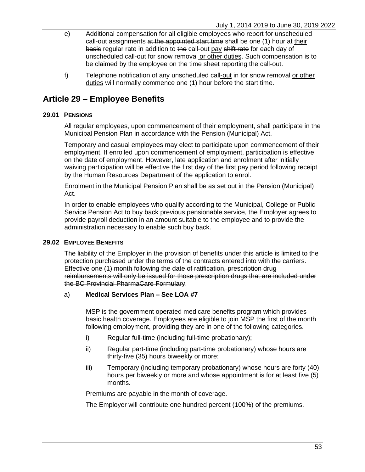- e) Additional compensation for all eligible employees who report for unscheduled call-out assignments at the appointed start time shall be one (1) hour at their basic regular rate in addition to the call-out pay shift rate for each day of unscheduled call-out for snow removal or other duties. Such compensation is to be claimed by the employee on the time sheet reporting the call-out.
- f) Telephone notification of any unscheduled call-out in for snow removal or other duties will normally commence one (1) hour before the start time.

# **Article 29 – Employee Benefits**

### **29.01 PENSIONS**

All regular employees, upon commencement of their employment, shall participate in the Municipal Pension Plan in accordance with the Pension (Municipal) Act.

Temporary and casual employees may elect to participate upon commencement of their employment. If enrolled upon commencement of employment, participation is effective on the date of employment. However, late application and enrolment after initially waiving participation will be effective the first day of the first pay period following receipt by the Human Resources Department of the application to enrol.

Enrolment in the Municipal Pension Plan shall be as set out in the Pension (Municipal) Act.

In order to enable employees who qualify according to the Municipal, College or Public Service Pension Act to buy back previous pensionable service, the Employer agrees to provide payroll deduction in an amount suitable to the employee and to provide the administration necessary to enable such buy back.

#### **29.02 EMPLOYEE BENEFITS**

The liability of the Employer in the provision of benefits under this article is limited to the protection purchased under the terms of the contracts entered into with the carriers. Effective one (1) month following the date of ratification, prescription drug reimbursements will only be issued for those prescription drugs that are included under the BC Provincial PharmaCare Formulary.

#### a) **Medical Services Plan – See LOA #7**

MSP is the government operated medicare benefits program which provides basic health coverage. Employees are eligible to join MSP the first of the month following employment, providing they are in one of the following categories.

- i) Regular full-time (including full-time probationary);
- ii) Regular part-time (including part-time probationary) whose hours are thirty-five (35) hours biweekly or more;
- iii) Temporary (including temporary probationary) whose hours are forty (40) hours per biweekly or more and whose appointment is for at least five (5) months.

Premiums are payable in the month of coverage.

The Employer will contribute one hundred percent (100%) of the premiums.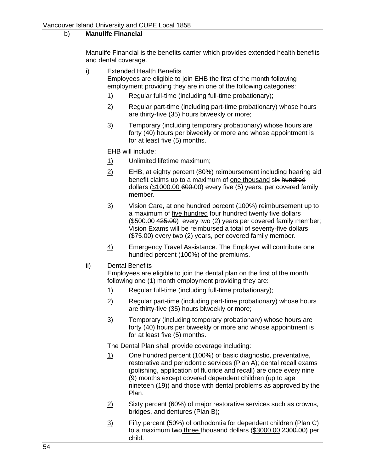## b) **Manulife Financial**

Manulife Financial is the benefits carrier which provides extended health benefits and dental coverage.

- i) Extended Health Benefits Employees are eligible to join EHB the first of the month following employment providing they are in one of the following categories:
	- 1) Regular full-time (including full-time probationary);
	- 2) Regular part-time (including part-time probationary) whose hours are thirty-five (35) hours biweekly or more;
	- 3) Temporary (including temporary probationary) whose hours are forty (40) hours per biweekly or more and whose appointment is for at least five (5) months.

EHB will include:

- 1) Unlimited lifetime maximum;
- $2$  EHB, at eighty percent (80%) reimbursement including hearing aid benefit claims up to a maximum of one thousand six hundred dollars (\$1000.00 600.00) every five (5) years, per covered family member.
- 3) Vision Care, at one hundred percent (100%) reimbursement up to a maximum of five hundred four hundred twenty five dollars (\$500.00 425.00) every two (2) years per covered family member; Vision Exams will be reimbursed a total of seventy-five dollars (\$75.00) every two (2) years, per covered family member.
- 4) Emergency Travel Assistance. The Employer will contribute one hundred percent (100%) of the premiums.
- ii) Dental Benefits

Employees are eligible to join the dental plan on the first of the month following one (1) month employment providing they are:

- 1) Regular full-time (including full-time probationary);
- 2) Regular part-time (including part-time probationary) whose hours are thirty-five (35) hours biweekly or more;
- 3) Temporary (including temporary probationary) whose hours are forty (40) hours per biweekly or more and whose appointment is for at least five (5) months.

The Dental Plan shall provide coverage including:

- 1) One hundred percent (100%) of basic diagnostic, preventative, restorative and periodontic services (Plan A); dental recall exams (polishing, application of fluoride and recall) are once every nine (9) months except covered dependent children (up to age nineteen (19)) and those with dental problems as approved by the Plan.
- 2) Sixty percent (60%) of major restorative services such as crowns, bridges, and dentures (Plan B);
- $3$  Fifty percent (50%) of orthodontia for dependent children (Plan C) to a maximum two three thousand dollars (\$3000.00 2000.00) per child.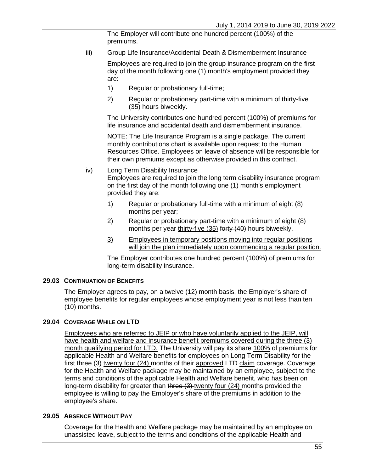The Employer will contribute one hundred percent (100%) of the premiums.

iii) Group Life Insurance/Accidental Death & Dismemberment Insurance

Employees are required to join the group insurance program on the first day of the month following one (1) month's employment provided they are:

- 1) Regular or probationary full-time;
- 2) Regular or probationary part-time with a minimum of thirty-five (35) hours biweekly.

The University contributes one hundred percent (100%) of premiums for life insurance and accidental death and dismemberment insurance.

NOTE: The Life Insurance Program is a single package. The current monthly contributions chart is available upon request to the Human Resources Office. Employees on leave of absence will be responsible for their own premiums except as otherwise provided in this contract.

- iv) Long Term Disability Insurance Employees are required to join the long term disability insurance program on the first day of the month following one (1) month's employment provided they are:
	- 1) Regular or probationary full-time with a minimum of eight (8) months per year;
	- 2) Regular or probationary part-time with a minimum of eight (8) months per year thirty-five (35) forty (40) hours biweekly.
	- 3) Employees in temporary positions moving into regular positions will join the plan immediately upon commencing a regular position.

The Employer contributes one hundred percent (100%) of premiums for long-term disability insurance.

#### **29.03 CONTINUATION OF BENEFITS**

The Employer agrees to pay, on a twelve (12) month basis, the Employer's share of employee benefits for regular employees whose employment year is not less than ten (10) months.

#### **29.04 COVERAGE WHILE ON LTD**

Employees who are referred to JEIP or who have voluntarily applied to the JEIP, will have health and welfare and insurance benefit premiums covered during the three (3) month qualifying period for LTD. The University will pay its share 100% of premiums for applicable Health and Welfare benefits for employees on Long Term Disability for the first three (3) twenty four (24) months of their approved LTD claim coverage. Coverage for the Health and Welfare package may be maintained by an employee, subject to the terms and conditions of the applicable Health and Welfare benefit, who has been on long-term disability for greater than three (3)-twenty four (24) months provided the employee is willing to pay the Employer's share of the premiums in addition to the employee's share.

#### **29.05 ABSENCE WITHOUT PAY**

Coverage for the Health and Welfare package may be maintained by an employee on unassisted leave, subject to the terms and conditions of the applicable Health and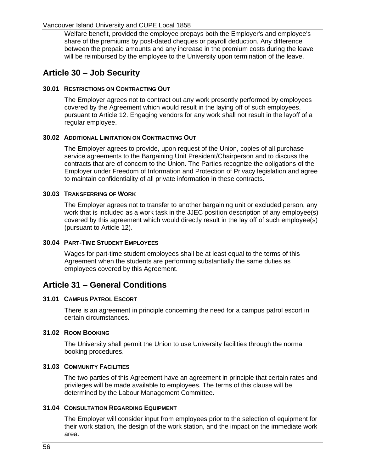Welfare benefit, provided the employee prepays both the Employer's and employee's share of the premiums by post-dated cheques or payroll deduction. Any difference between the prepaid amounts and any increase in the premium costs during the leave will be reimbursed by the employee to the University upon termination of the leave.

## **Article 30 – Job Security**

### **30.01 RESTRICTIONS ON CONTRACTING OUT**

The Employer agrees not to contract out any work presently performed by employees covered by the Agreement which would result in the laying off of such employees, pursuant to [Article 12.](#page-20-0) Engaging vendors for any work shall not result in the layoff of a regular employee.

### **30.02 ADDITIONAL LIMITATION ON CONTRACTING OUT**

The Employer agrees to provide, upon request of the Union, copies of all purchase service agreements to the Bargaining Unit President/Chairperson and to discuss the contracts that are of concern to the Union. The Parties recognize the obligations of the Employer under Freedom of Information and Protection of Privacy legislation and agree to maintain confidentiality of all private information in these contracts.

#### **30.03 TRANSFERRING OF WORK**

The Employer agrees not to transfer to another bargaining unit or excluded person, any work that is included as a work task in the JJEC position description of any employee(s) covered by this agreement which would directly result in the lay off of such employee(s) (pursuant to [Article 12\)](#page-20-0).

## **30.04 PART-TIME STUDENT EMPLOYEES**

Wages for part-time student employees shall be at least equal to the terms of this Agreement when the students are performing substantially the same duties as employees covered by this Agreement.

## **Article 31 – General Conditions**

#### **31.01 CAMPUS PATROL ESCORT**

There is an agreement in principle concerning the need for a campus patrol escort in certain circumstances.

#### **31.02 ROOM BOOKING**

The University shall permit the Union to use University facilities through the normal booking procedures.

### **31.03 COMMUNITY FACILITIES**

The two parties of this Agreement have an agreement in principle that certain rates and privileges will be made available to employees. The terms of this clause will be determined by the Labour Management Committee.

#### **31.04 CONSULTATION REGARDING EQUIPMENT**

The Employer will consider input from employees prior to the selection of equipment for their work station, the design of the work station, and the impact on the immediate work area.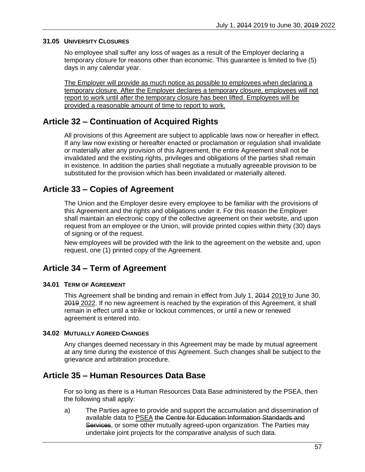#### **31.05 UNIVERSITY CLOSURES**

No employee shall suffer any loss of wages as a result of the Employer declaring a temporary closure for reasons other than economic. This guarantee is limited to five (5) days in any calendar year.

The Employer will provide as much notice as possible to employees when declaring a temporary closure. After the Employer declares a temporary closure, employees will not report to work until after the temporary closure has been lifted. Employees will be provided a reasonable amount of time to report to work.

## **Article 32 – Continuation of Acquired Rights**

All provisions of this Agreement are subject to applicable laws now or hereafter in effect. If any law now existing or hereafter enacted or proclamation or regulation shall invalidate or materially alter any provision of this Agreement, the entire Agreement shall not be invalidated and the existing rights, privileges and obligations of the parties shall remain in existence. In addition the parties shall negotiate a mutually agreeable provision to be substituted for the provision which has been invalidated or materially altered.

## **Article 33 – Copies of Agreement**

The Union and the Employer desire every employee to be familiar with the provisions of this Agreement and the rights and obligations under it. For this reason the Employer shall maintain an electronic copy of the collective agreement on their website, and upon request from an employee or the Union, will provide printed copies within thirty (30) days of signing or of the request.

New employees will be provided with the link to the agreement on the website and, upon request, one (1) printed copy of the Agreement.

## **Article 34 – Term of Agreement**

#### **34.01 TERM OF AGREEMENT**

This Agreement shall be binding and remain in effect from July 1, 2014 2019 to June 30, 2019 2022. If no new agreement is reached by the expiration of this Agreement, it shall remain in effect until a strike or lockout commences, or until a new or renewed agreement is entered into.

#### **34.02 MUTUALLY AGREED CHANGES**

Any changes deemed necessary in this Agreement may be made by mutual agreement at any time during the existence of this Agreement. Such changes shall be subject to the grievance and arbitration procedure.

## **Article 35 – Human Resources Data Base**

For so long as there is a Human Resources Data Base administered by the PSEA, then the following shall apply:

a) The Parties agree to provide and support the accumulation and dissemination of available data to PSEA the Centre for Education Information Standards and Services, or some other mutually agreed-upon organization. The Parties may undertake joint projects for the comparative analysis of such data.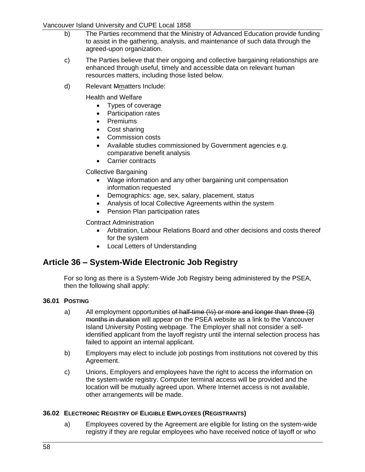### Vancouver Island University and CUPE Local 1858

- b) The Parties recommend that the Ministry of Advanced Education provide funding to assist in the gathering, analysis, and maintenance of such data through the agreed-upon organization.
- c) The Parties believe that their ongoing and collective bargaining relationships are enhanced through useful, timely and accessible data on relevant human resources matters, including those listed below.
- d) Relevant Mmatters Include:

Health and Welfare

- Types of coverage
- Participation rates
- Premiums
- Cost sharing
- Commission costs
- Available studies commissioned by Government agencies e.g. comparative benefit analysis
- Carrier contracts

### Collective Bargaining

- Wage information and any other bargaining unit compensation information requested
- Demographics: age, sex, salary, placement, status
- Analysis of local Collective Agreements within the system
- Pension Plan participation rates

#### Contract Administration

- Arbitration, Labour Relations Board and other decisions and costs thereof for the system
- Local Letters of Understanding

## **Article 36 – System-Wide Electronic Job Registry**

For so long as there is a System-Wide Job Registry being administered by the PSEA, then the following shall apply:

#### **36.01 POSTING**

- a) All employment opportunities of half-time  $(½)$  or more and longer than three  $(3)$ months in duration will appear on the PSEA website as a link to the Vancouver Island University Posting webpage. The Employer shall not consider a selfidentified applicant from the layoff registry until the internal selection process has failed to appoint an internal applicant.
- b) Employers may elect to include job postings from institutions not covered by this Agreement.
- c) Unions, Employers and employees have the right to access the information on the system-wide registry. Computer terminal access will be provided and the location will be mutually agreed upon. Where Internet access is not available, other arrangements will be made.

#### **36.02 ELECTRONIC REGISTRY OF ELIGIBLE EMPLOYEES (REGISTRANTS)**

a) Employees covered by the Agreement are eligible for listing on the system-wide registry if they are regular employees who have received notice of layoff or who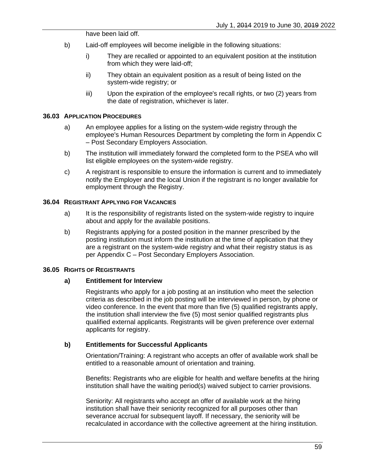have been laid off.

- b) Laid-off employees will become ineligible in the following situations:
	- i) They are recalled or appointed to an equivalent position at the institution from which they were laid-off;
	- ii) They obtain an equivalent position as a result of being listed on the system-wide registry; or
	- iii) Upon the expiration of the employee's recall rights, or two (2) years from the date of registration, whichever is later.

#### **36.03 APPLICATION PROCEDURES**

- a) An employee applies for a listing on the system-wide registry through the employee's Human Resources Department by completing the form in [Appendix C](#page-74-0) – [Post Secondary Employers Association.](#page-74-0)
- b) The institution will immediately forward the completed form to the PSEA who will list eligible employees on the system-wide registry.
- c) A registrant is responsible to ensure the information is current and to immediately notify the Employer and the local Union if the registrant is no longer available for employment through the Registry.

#### **36.04 REGISTRANT APPLYING FOR VACANCIES**

- a) It is the responsibility of registrants listed on the system-wide registry to inquire about and apply for the available positions.
- b) Registrants applying for a posted position in the manner prescribed by the posting institution must inform the institution at the time of application that they are a registrant on the system-wide registry and what their registry status is as per Appendix C – [Post Secondary Employers Association.](#page-74-0)

#### **36.05 RIGHTS OF REGISTRANTS**

#### **a) Entitlement for Interview**

Registrants who apply for a job posting at an institution who meet the selection criteria as described in the job posting will be interviewed in person, by phone or video conference. In the event that more than five (5) qualified registrants apply, the institution shall interview the five (5) most senior qualified registrants plus qualified external applicants. Registrants will be given preference over external applicants for registry.

#### **b) Entitlements for Successful Applicants**

Orientation/Training: A registrant who accepts an offer of available work shall be entitled to a reasonable amount of orientation and training.

Benefits: Registrants who are eligible for health and welfare benefits at the hiring institution shall have the waiting period(s) waived subject to carrier provisions.

Seniority: All registrants who accept an offer of available work at the hiring institution shall have their seniority recognized for all purposes other than severance accrual for subsequent layoff. If necessary, the seniority will be recalculated in accordance with the collective agreement at the hiring institution.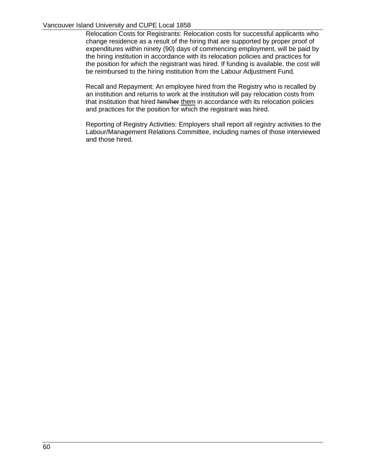#### Vancouver Island University and CUPE Local 1858

Relocation Costs for Registrants: Relocation costs for successful applicants who change residence as a result of the hiring that are supported by proper proof of expenditures within ninety (90) days of commencing employment, will be paid by the hiring institution in accordance with its relocation policies and practices for the position for which the registrant was hired. If funding is available, the cost will be reimbursed to the hiring institution from the Labour Adjustment Fund.

Recall and Repayment: An employee hired from the Registry who is recalled by an institution and returns to work at the institution will pay relocation costs from that institution that hired him/her them in accordance with its relocation policies and practices for the position for which the registrant was hired.

Reporting of Registry Activities: Employers shall report all registry activities to the Labour/Management Relations Committee, including names of those interviewed and those hired.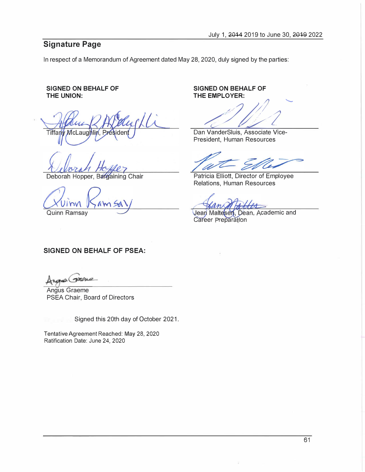## **Signature Page**

In respect of a Memorandum of Agreement dated May 28, 2020, duly signed by the parties:

#### **SIGNED ON BEHALF OF THE UNION:**

McLaugh Tiffany

Deborah Hopper, Bargaining Chair

Mm

Quinn Ramsay *:.....7* 

**SIGNED ON BEHALF OF THE EMPLOYER:** 

**de Maria Vice-**<br>
Dan VanderSluis, Associate Vice-*�*  $\frac{1}{2}$ 

President, Human Resources

Patricia Elliott, Director of Employee Relations, Human Resources

Jean Maltesen, Dean, Academic and **Career Preparation** 

## **SIGNED ON BEHALF OF PSEA:**

waan Dre

Angus Graeme PSEA Chair, Board of Directors

Signed this 20th day of October 2021.

Tentative Agreement Reached: May 28, 2020 Ratification Date: June 24, 2020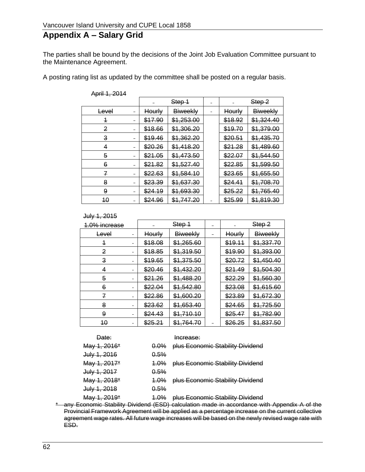# **Appendix A – Salary Grid**

The parties shall be bound by the decisions of the Joint Job Evaluation Committee pursuant to the Maintenance Agreement.

A posting rating list as updated by the committee shall be posted on a regular basis.

|       | Step 1        |                 |         | Step 2          |
|-------|---------------|-----------------|---------|-----------------|
| Level | <b>Hourly</b> | <b>Biweekly</b> | Hourly  | <b>Biweekly</b> |
| 4     | \$17.90       | \$1,253.00      | \$18.92 | \$1,324.40      |
| 2     | \$18.66       | \$1,306.20      | \$19.70 | \$1,379.00      |
| з     | \$19.46       | \$1,362.20      | \$20.51 | \$1,435.70      |
| 4     | \$20.26       | \$1,418.20      | \$21.28 | \$1,489.60      |
| 5     | \$21.05       | \$1,473.50      | \$22.07 | \$1,544.50      |
| 6     | \$21.82       | \$1,527.40      | \$22.85 | \$1,599.50      |
| 7     | \$22.63       | \$1,584.10      | \$23.65 | \$1,655.50      |
| 8     | \$23.39       | \$1,637.30      | \$24.41 | \$1,708.70      |
| 9     | \$24.19       | \$1,693.30      | \$25.22 | \$1,765.40      |
| 40    | \$24.96       | \$1,747.20      | \$25.99 | \$1,819.30      |

April 1, 2014

#### July 1, 2015

| 1.0% increase | Step 1  |                       |  |               | Step-2          |
|---------------|---------|-----------------------|--|---------------|-----------------|
| <b>Level</b>  | Hourly  | Biweekly              |  | <b>Hourly</b> | <b>Biweekly</b> |
| 4             | \$18.08 | \$1,265.60            |  | \$19.11       | \$1,337.70      |
| 2             | \$18.85 | \$1,319.50            |  | \$19.90       | \$1,393.00      |
| 3             | \$19.65 | \$1,375.50            |  | \$20.72       | \$1,450.40      |
| 4             | \$20.46 | \$1,432.20            |  | \$21.49       | \$1,504.30      |
| 5             | \$21.26 | \$1,488.20            |  | \$22.29       | \$1,560.30      |
| 6             | \$22.04 | \$1,542.80            |  | \$23.08       | \$1,615.60      |
| 7             | \$22.86 | <del>\$1,600.20</del> |  | \$23.89       | \$1,672.30      |
| 8             | \$23.62 | \$1,653.40            |  | \$24.65       | \$1,725.50      |
| 9             | \$24.43 | \$1,710.10            |  | \$25.47       | \$1,782.90      |
| 40            | \$25.21 | \$1,764.70            |  | \$26.25       | \$1,837.50      |

| <del>Date:</del>        |         | Increase:                             |
|-------------------------|---------|---------------------------------------|
| <del>May 1, 2016*</del> | $0.0\%$ | plus Economic Stability Dividend      |
| <del>July 1, 2016</del> | 0.5%    |                                       |
| <del>May 1, 2017*</del> | 4.0%    | plus Economic Stability Dividend      |
| <del>July 1, 2017</del> | 0.5%    |                                       |
| <del>May 1, 2018*</del> | 1.0%    | plus Economic Stability Dividend      |
| <del>July 1, 2018</del> | 0.5%    |                                       |
| <del>May 1, 2019*</del> |         | 1.0% plus Economic Stability Dividend |

\* any Economic Stability Dividend (ESD) calculation made in accordance with Appendix A of the Provincial Framework Agreement will be applied as a percentage increase on the current collective agreement wage rates. All future wage increases will be based on the newly revised wage rate with ESD.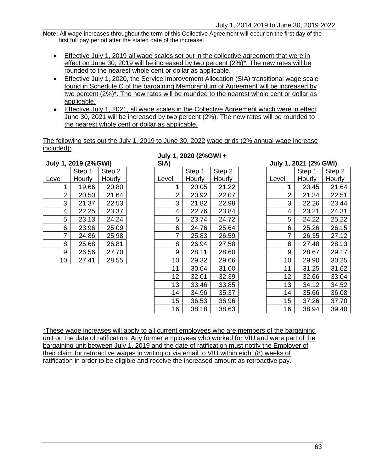**Note:** All wage increases throughout the term of this Collective Agreement will occur on the first day of the first full pay period after the stated date of the increase.

- Effective July 1, 2019 all wage scales set out in the collective agreement that were in effect on June 30, 2019 will be increased by two percent (2%)<sup>\*</sup>. The new rates will be rounded to the nearest whole cent or dollar as applicable.
- Effective July 1, 2020, the Service Improvement Allocation (SIA) transitional wage scale found in Schedule C of the bargaining Memorandum of Agreement will be increased by two percent (2%)\*. The new rates will be rounded to the nearest whole cent or dollar as applicable.
- Effective July 1, 2021, all wage scales in the Collective Agreement which were in effect June 30, 2021 will be increased by two percent (2%). The new rates will be rounded to the nearest whole cent or dollar as applicable.

The following sets out the July 1, 2019 to June 30, 2022 wage grids (2% annual wage increase included):

|       | July 1, 2019 (2%GWI) |        | SIA)  |
|-------|----------------------|--------|-------|
|       | Step 1               | Step 2 |       |
| Level | Hourly               | Hourly | Level |
| 1     | 19.66                | 20.80  |       |
| 2     | 20.50                | 21.64  |       |
| 3     | 21.37                | 22.53  |       |
| 4     | 22.25                | 23.37  |       |
| 5     | 23.13                | 24.24  |       |
| 6     | 23.96                | 25.09  |       |
| 7     | 24.86                | 25.98  |       |
| 8     | 25.68                | 26.81  |       |
| 9     | 26.56                | 27.70  |       |
| 10    | 27.41                | 28.55  |       |

# **July 1, 2020 (2%GWI +**

|                 | 1, 2013 (20011) |        | ורש            |        |        |                  | $0$ $\mu$ $\mu$ $\mu$ $\mu$ $\mu$ $\mu$ $\mu$ $\sigma$ $\mu$ |        |
|-----------------|-----------------|--------|----------------|--------|--------|------------------|--------------------------------------------------------------|--------|
|                 | Step 1          | Step 2 |                | Step 1 | Step 2 |                  | Step 1                                                       | Step 2 |
| L               | Hourly          | Hourly | Level          | Hourly | Hourly | Level            | Hourly                                                       | Hourly |
| 1               | 19.66           | 20.80  | 1              | 20.05  | 21.22  |                  | 20.45                                                        | 21.64  |
| 2               | 20.50           | 21.64  | $\overline{2}$ | 20.92  | 22.07  | $\overline{2}$   | 21.34                                                        | 22.51  |
| 3               | 21.37           | 22.53  | 3              | 21.82  | 22.98  | 3                | 22.26                                                        | 23.44  |
| 4               | 22.25           | 23.37  | 4              | 22.76  | 23.84  | 4                | 23.21                                                        | 24.31  |
| 5               | 23.13           | 24.24  | 5              | 23.74  | 24.72  | 5                | 24.22                                                        | 25.22  |
| 6               | 23.96           | 25.09  | 6              | 24.76  | 25.64  | 6                | 25.26                                                        | 26.15  |
| $\overline{7}$  | 24.86           | 25.98  | $\overline{7}$ | 25.83  | 26.59  | 7                | 26.35                                                        | 27.12  |
| 8               | 25.68           | 26.81  | 8              | 26.94  | 27.58  | 8                | 27.48                                                        | 28.13  |
| 9               | 26.56           | 27.70  | 9              | 28.11  | 28.60  | 9                | 28.67                                                        | 29.17  |
| 10 <sup>°</sup> | 27.41           | 28.55  | 10             | 29.32  | 29.66  | 10               | 29.90                                                        | 30.25  |
|                 |                 |        | 11             | 30.64  | 31.00  | 11               | 31.25                                                        | 31.62  |
|                 |                 |        | 12             | 32.01  | 32.39  | 12               | 32.66                                                        | 33.04  |
|                 |                 |        | 13             | 33.46  | 33.85  | 13               | 34.12                                                        | 34.52  |
|                 |                 |        | 14             | 34.96  | 35.37  | 14               | 35.66                                                        | 36.08  |
|                 |                 |        | 15             | 36.53  | 36.96  | 15 <sub>15</sub> | 37.26                                                        | 37.70  |
|                 |                 |        | 16             | 38.18  | 38.63  | 16               | 38.94                                                        | 39.40  |

|    | Step 1 | Step 2 |       | Step 1 | Step 2 |
|----|--------|--------|-------|--------|--------|
| I  | Hourly | Hourly | Level | Hourly | Hourly |
| 1  | 20.05  | 21.22  | 1     | 20.45  | 21.64  |
| 2  | 20.92  | 22.07  | 2     | 21.34  | 22.51  |
| 3  | 21.82  | 22.98  | 3     | 22.26  | 23.44  |
| 4  | 22.76  | 23.84  | 4     | 23.21  | 24.31  |
| 5  | 23.74  | 24.72  | 5     | 24.22  | 25.22  |
| 6  | 24.76  | 25.64  | 6     | 25.26  | 26.15  |
| 7  | 25.83  | 26.59  | 7     | 26.35  | 27.12  |
| 8  | 26.94  | 27.58  | 8     | 27.48  | 28.13  |
| 9  | 28.11  | 28.60  | 9     | 28.67  | 29.17  |
| 10 | 29.32  | 29.66  | 10    | 29.90  | 30.25  |
| 11 | 30.64  | 31.00  | 11    | 31.25  | 31.62  |
| 12 | 32.01  | 32.39  | 12    | 32.66  | 33.04  |
| 13 | 33.46  | 33.85  | 13    | 34.12  | 34.52  |
| 14 | 34.96  | 35.37  | 14    | 35.66  | 36.08  |
| 15 | 36.53  | 36.96  | 15    | 37.26  | 37.70  |
| 16 | 38 18  | 38 63. | 16    | 38.94  | 39.40  |

**SIA) July 1, 2021 (2% GWI)**

\*These wage increases will apply to all current employees who are members of the bargaining unit on the date of ratification. Any former employees who worked for VIU and were part of the bargaining unit between July 1, 2019 and the date of ratification must notify the Employer of their claim for retroactive wages in writing or via email to VIU within eight (8) weeks of ratification in order to be eligible and receive the increased amount as retroactive pay.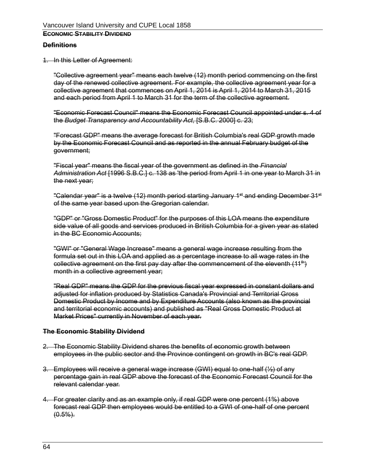### **ECONOMIC STABILITY DIVIDEND**

#### **Definitions**

1. In this Letter of Agreement:

"Collective agreement year" means each twelve (12) month period commencing on the first day of the renewed collective agreement. For example, the collective agreement year for a collective agreement that commences on April 1, 2014 is April 1, 2014 to March 31, 2015 and each period from April 1 to March 31 for the term of the collective agreement.

"Economic Forecast Council" means the Economic Forecast Council appointed under s. 4 of the *Budget Transparency and Accountability Act*, [S.B.C. 2000] c. 23;

"Forecast GDP" means the average forecast for British Columbia's real GDP growth made by the Economic Forecast Council and as reported in the annual February budget of the government;

"Fiscal year" means the fiscal year of the government as defined in the *Financial Administration Act* [1996 S.B.C.] c. 138 as 'the period from April 1 in one year to March 31 in the next year;

"Calendar year" is a twelve (12) month period starting January 1<sup>st</sup> and ending December 31<sup>st</sup> of the same year based upon the Gregorian calendar.

"GDP" or "Gross Domestic Product" for the purposes of this LOA means the expenditure side value of all goods and services produced in British Columbia for a given year as stated in the BC Economic Accounts:

"GWI" or "General Wage Increase" means a general wage increase resulting from the formula set out in this LOA and applied as a percentage increase to all wage rates in the collective agreement on the first pay day after the commencement of the eleventh  $(11<sup>th</sup>)$ month in a collective agreement year;

"Real GDP" means the GDP for the previous fiscal year expressed in constant dollars and adjusted for inflation produced by Statistics Canada's Provincial and Territorial Gross Domestic Product by Income and by Expenditure Accounts (also known as the provincial and territorial economic accounts) and published as "Real Gross Domestic Product at Market Prices" currently in November of each year.

#### **The Economic Stability Dividend**

- 2. The Economic Stability Dividend shares the benefits of economic growth between employees in the public sector and the Province contingent on growth in BC's real GDP.
- 3. Employees will receive a general wage increase (GWI) equal to one-half (½) of any percentage gain in real GDP above the forecast of the Economic Forecast Council for the relevant calendar year.
- 4. For greater clarity and as an example only, if real GDP were one percent (1%) above forecast real GDP then employees would be entitled to a GWI of one-half of one percent  $(0.5\%)$ .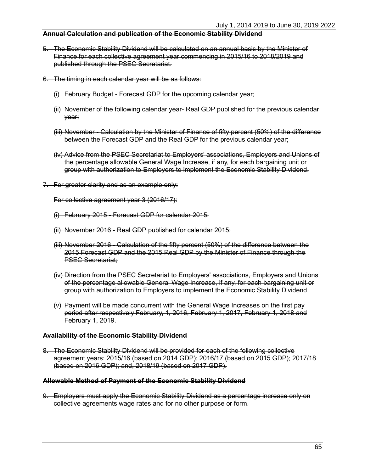#### **Annual Calculation and publication of the Economic Stability Dividend**

- 5. The Economic Stability Dividend will be calculated on an annual basis by the Minister of Finance for each collective agreement year commencing in 2015/16 to 2018/2019 and published through the PSEC Secretariat.
- 6. The timing in each calendar year will be as follows:
	- (i) February Budget Forecast GDP for the upcoming calendar year;
	- (ii) November of the following calendar year- Real GDP published for the previous calendar year;
	- (iii) November Calculation by the Minister of Finance of fifty percent (50%) of the difference between the Forecast GDP and the Real GDP for the previous calendar year;
	- (iv) Advice from the PSEC Secretariat to Employers' associations, Employers and Unions of the percentage allowable General Wage Increase, if any, for each bargaining unit or group with authorization to Employers to implement the Economic Stability Dividend.
- 7. For greater clarity and as an example only:

For collective agreement year 3 (2016/17):

- (i) February 2015 Forecast GDP for calendar 2015;
- (ii) November 2016 Real GDP published for calendar 2015;
- (iii) November 2016 Calculation of the fifty percent (50%) of the difference between the 2015 Forecast GDP and the 2015 Real GDP by the Minister of Finance through the PSEC Secretariat;
- (iv) Direction from the PSEC Secretariat to Employers' associations, Employers and Unions of the percentage allowable General Wage Increase, if any, for each bargaining unit or group with authorization to Employers to implement the Economic Stability Dividend
- (v) Payment will be made concurrent with the General Wage Increases on the first pay period after respectively February, 1, 2016, February 1, 2017, February 1, 2018 and February 1, 2019.

#### **Availability of the Economic Stability Dividend**

8. The Economic Stability Dividend will be provided for each of the following collective agreement years: 2015/16 (based on 2014 GDP); 2016/17 (based on 2015 GDP); 2017/18 (based on 2016 GDP); and, 2018/19 (based on 2017 GDP).

#### **Allowable Method of Payment of the Economic Stability Dividend**

9. Employers must apply the Economic Stability Dividend as a percentage increase only on collective agreements wage rates and for no other purpose or form.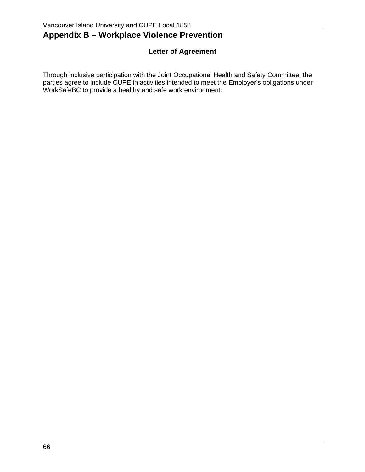# **Appendix B – Workplace Violence Prevention**

# **Letter of Agreement**

Through inclusive participation with the Joint Occupational Health and Safety Committee, the parties agree to include CUPE in activities intended to meet the Employer's obligations under WorkSafeBC to provide a healthy and safe work environment.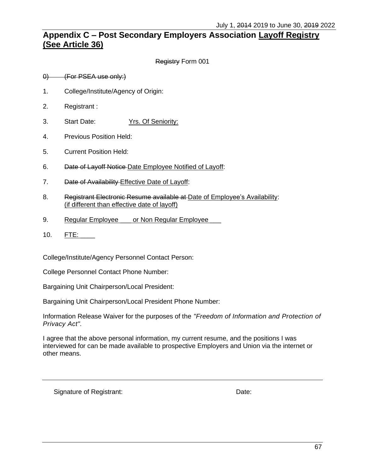# **Appendix C – Post Secondary Employers Association Layoff Registry (See [Article 36\)](#page-65-0)**

Registry Form 001

0) (For PSEA use only:)

- 1. College/Institute/Agency of Origin:
- 2. Registrant :
- 3. Start Date: Yrs. Of Seniority:
- 4. Previous Position Held:
- 5. Current Position Held:
- 6. Date of Layoff Notice-Date Employee Notified of Layoff:
- 7. Date of Availability Effective Date of Layoff:
- 8. Registrant Electronic Resume available at Date of Employee's Availability: (if different than effective date of layoff)
- 9. Regular Employee \_\_\_ or Non Regular Employee
- 10. FTE: \_\_\_\_

College/Institute/Agency Personnel Contact Person:

College Personnel Contact Phone Number:

Bargaining Unit Chairperson/Local President:

Bargaining Unit Chairperson/Local President Phone Number:

Information Release Waiver for the purposes of the *"Freedom of Information and Protection of Privacy Act".*

I agree that the above personal information, my current resume, and the positions I was interviewed for can be made available to prospective Employers and Union via the internet or other means.

Signature of Registrant: Date: Date: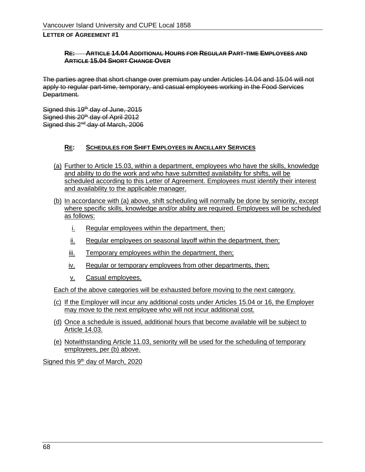#### **RE: ARTICLE [14.04](#page-33-0) ADDITIONAL HOURS FOR REGULAR PART-TIME EMPLOYEES AND ARTICLE [15.04](#page-35-0) SHORT CHANGE OVER**

The parties agree that short change over premium pay under Articles 14.04 and [15.04](#page-35-0) will not apply to regular part-time, temporary, and casual employees working in the Food Services Department.

Signed this 19<sup>th</sup> day of June, 2015 Signed this 20<sup>th</sup> day of April 2012 Signed this 2<sup>nd</sup> day of March, 2006

#### **RE: SCHEDULES FOR SHIFT EMPLOYEES IN ANCILLARY SERVICES**

- (a) Further to [Article 15.03,](#page-35-1) within a department, employees who have the skills, knowledge and ability to do the work and who have submitted availability for shifts, will be scheduled according to this Letter of Agreement. Employees must identify their interest and availability to the applicable manager.
- (b) In accordance with (a) above, shift scheduling will normally be done by seniority, except where specific skills, knowledge and/or ability are required. Employees will be scheduled as follows:
	- i. Regular employees within the department, then;
	- ii. Regular employees on seasonal layoff within the department, then;
	- iii. Temporary employees within the department, then;
	- iv. Regular or temporary employees from other departments, then;
	- v. Casual employees.

Each of the above categories will be exhausted before moving to the next category.

- (c) If the Employer will incur any additional costs under Articles [15.04](#page-35-0) or [16,](#page-36-0) the Employer may move to the next employee who will not incur additional cost.
- (d) Once a schedule is issued, additional hours that become available will be subject to [Article 14.03.](#page-32-0)
- (e) Notwithstanding [Article 11.03,](#page-19-0) seniority will be used for the scheduling of temporary employees, per (b) above.

Signed this 9<sup>th</sup> day of March, 2020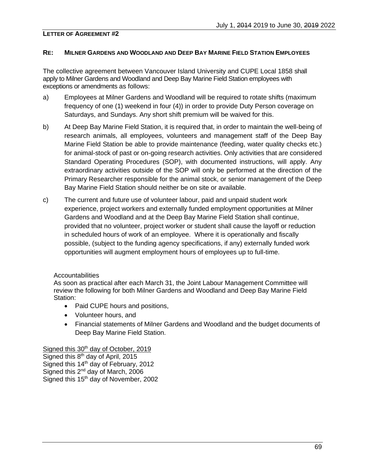#### **RE: MILNER GARDENS AND WOODLAND AND DEEP BAY MARINE FIELD STATION EMPLOYEES**

The collective agreement between Vancouver Island University and CUPE Local 1858 shall apply to Milner Gardens and Woodland and Deep Bay Marine Field Station employees with exceptions or amendments as follows:

- a) Employees at Milner Gardens and Woodland will be required to rotate shifts (maximum frequency of one (1) weekend in four (4)) in order to provide Duty Person coverage on Saturdays, and Sundays. Any short shift premium will be waived for this.
- b) At Deep Bay Marine Field Station, it is required that, in order to maintain the well-being of research animals, all employees, volunteers and management staff of the Deep Bay Marine Field Station be able to provide maintenance (feeding, water quality checks etc.) for animal-stock of past or on-going research activities. Only activities that are considered Standard Operating Procedures (SOP), with documented instructions, will apply. Any extraordinary activities outside of the SOP will only be performed at the direction of the Primary Researcher responsible for the animal stock, or senior management of the Deep Bay Marine Field Station should neither be on site or available.
- c) The current and future use of volunteer labour, paid and unpaid student work experience, project workers and externally funded employment opportunities at Milner Gardens and Woodland and at the Deep Bay Marine Field Station shall continue, provided that no volunteer, project worker or student shall cause the layoff or reduction in scheduled hours of work of an employee. Where it is operationally and fiscally possible, (subject to the funding agency specifications, if any) externally funded work opportunities will augment employment hours of employees up to full-time.

#### Accountabilities

As soon as practical after each March 31, the Joint Labour Management Committee will review the following for both Milner Gardens and Woodland and Deep Bay Marine Field Station:

- Paid CUPE hours and positions,
- Volunteer hours, and
- Financial statements of Milner Gardens and Woodland and the budget documents of Deep Bay Marine Field Station.

#### Signed this 30<sup>th</sup> day of October, 2019

Signed this 8<sup>th</sup> day of April, 2015 Signed this 14<sup>th</sup> day of February, 2012 Signed this 2<sup>nd</sup> day of March, 2006 Signed this 15<sup>th</sup> day of November, 2002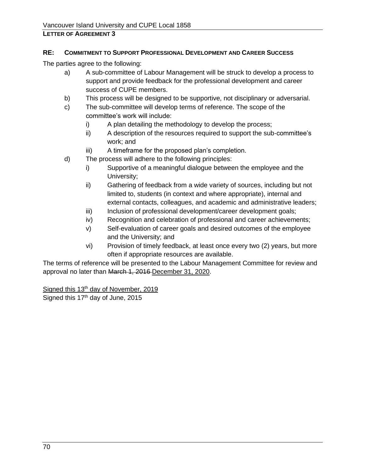#### **RE: COMMITMENT TO SUPPORT PROFESSIONAL DEVELOPMENT AND CAREER SUCCESS**

The parties agree to the following:

- a) A sub-committee of Labour Management will be struck to develop a process to support and provide feedback for the professional development and career success of CUPE members.
- b) This process will be designed to be supportive, not disciplinary or adversarial.
- c) The sub-committee will develop terms of reference. The scope of the committee's work will include:
	- i) A plan detailing the methodology to develop the process;
	- ii) A description of the resources required to support the sub-committee's work; and
	- iii) A timeframe for the proposed plan's completion.
- d) The process will adhere to the following principles:
	- i) Supportive of a meaningful dialogue between the employee and the University;
	- ii) Gathering of feedback from a wide variety of sources, including but not limited to, students (in context and where appropriate), internal and external contacts, colleagues, and academic and administrative leaders;
	- iii) Inclusion of professional development/career development goals;
	- iv) Recognition and celebration of professional and career achievements;
	- v) Self-evaluation of career goals and desired outcomes of the employee and the University; and
	- vi) Provision of timely feedback, at least once every two (2) years, but more often if appropriate resources are available.

The terms of reference will be presented to the Labour Management Committee for review and approval no later than March 1, 2016 December 31, 2020.

Signed this 13<sup>th</sup> day of November, 2019 Signed this 17<sup>th</sup> day of June, 2015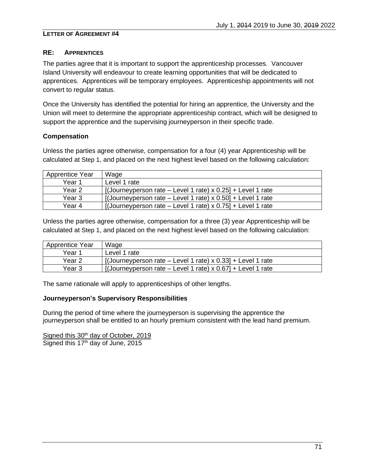#### **RE: APPRENTICES**

The parties agree that it is important to support the apprenticeship processes. Vancouver Island University will endeavour to create learning opportunities that will be dedicated to apprentices. Apprentices will be temporary employees. Apprenticeship appointments will not convert to regular status.

Once the University has identified the potential for hiring an apprentice, the University and the Union will meet to determine the appropriate apprenticeship contract, which will be designed to support the apprentice and the supervising journeyperson in their specific trade.

#### **Compensation**

Unless the parties agree otherwise, compensation for a four (4) year Apprenticeship will be calculated at [Step 1](#page-69-0), and placed on the next highest level based on the following calculation:

| <b>Apprentice Year</b> | Wage                                                               |
|------------------------|--------------------------------------------------------------------|
| Year 1                 | Level 1 rate                                                       |
| Year 2                 | [(Journeyperson rate – Level 1 rate) $x$ 0.25] + Level 1 rate      |
| Year 3                 | $\int$ [(Journeyperson rate – Level 1 rate) x 0.50] + Level 1 rate |
| Year 4                 | [(Journeyperson rate – Level 1 rate) x $0.75$ ] + Level 1 rate     |

Unless the parties agree otherwise, compensation for a three (3) year Apprenticeship will be calculated at [Step 1](#page-69-0), and placed on the next highest level based on the following calculation:

| Apprentice Year | Wage                                                               |
|-----------------|--------------------------------------------------------------------|
| Year 1          | Level 1 rate                                                       |
| Year 2          | [(Journeyperson rate – Level 1 rate) $\times$ 0.33] + Level 1 rate |
| Year 3          | [(Journeyperson rate – Level 1 rate) $x$ 0.67] + Level 1 rate      |

The same rationale will apply to apprenticeships of other lengths.

#### **Journeyperson's Supervisory Responsibilities**

During the period of time where the journeyperson is supervising the apprentice the journeyperson shall be entitled to an hourly premium consistent with the lead hand premium.

Signed this 30<sup>th</sup> day of October, 2019 Signed this 17<sup>th</sup> day of June, 2015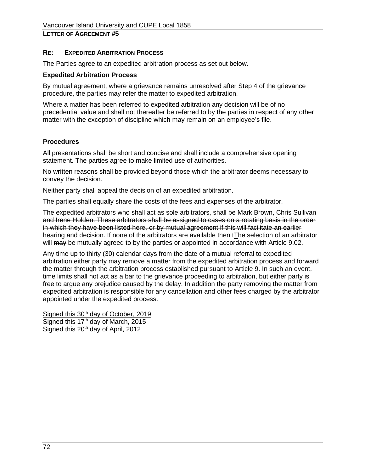#### **RE: EXPEDITED ARBITRATION PROCESS**

The Parties agree to an expedited arbitration process as set out below.

#### **Expedited Arbitration Process**

By mutual agreement, where a grievance remains unresolved after [Step 4](#page-16-0) of the grievance procedure, the parties may refer the matter to expedited arbitration.

Where a matter has been referred to expedited arbitration any decision will be of no precedential value and shall not thereafter be referred to by the parties in respect of any other matter with the exception of discipline which may remain on an employee's file.

#### **Procedures**

All presentations shall be short and concise and shall include a comprehensive opening statement. The parties agree to make limited use of authorities.

No written reasons shall be provided beyond those which the arbitrator deems necessary to convey the decision.

Neither party shall appeal the decision of an expedited arbitration.

The parties shall equally share the costs of the fees and expenses of the arbitrator.

The expedited arbitrators who shall act as sole arbitrators, shall be Mark Brown, Chris Sullivan and Irene Holden. These arbitrators shall be assigned to cases on a rotating basis in the order in which they have been listed here, or by mutual agreement if this will facilitate an earlier hearing and decision. If none of the arbitrators are available then tThe selection of an arbitrator will may be mutually agreed to by the parties or appointed in accordance with [Article](#page-17-0) 9.02.

Any time up to thirty (30) calendar days from the date of a mutual referral to expedited arbitration either party may remove a matter from the expedited arbitration process and forward the matter through the arbitration process established pursuant to [Article 9.](#page-17-1) In such an event, time limits shall not act as a bar to the grievance proceeding to arbitration, but either party is free to argue any prejudice caused by the delay. In addition the party removing the matter from expedited arbitration is responsible for any cancellation and other fees charged by the arbitrator appointed under the expedited process.

Signed this 30<sup>th</sup> day of October, 2019 Signed this 17<sup>th</sup> day of March, 2015 Signed this 20<sup>th</sup> day of April, 2012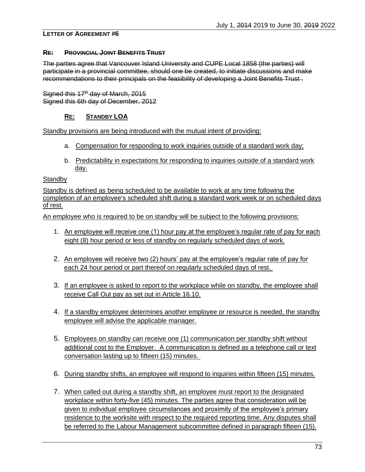#### **RE: PROVINCIAL JOINT BENEFITS TRUST**

The parties agree that Vancouver Island University and CUPE Local 1858 (the parties) will participate in a provincial committee, should one be created, to initiate discussions and make recommendations to their principals on the feasibility of developing a Joint Benefits Trust .

Signed this  $17<sup>th</sup>$  day of March, 2015 Signed this 6th day of December, 2012

## **RE: STANDBY LOA**

Standby provisions are being introduced with the mutual intent of providing:

- a. Compensation for responding to work inquiries outside of a standard work day;
- b. Predictability in expectations for responding to inquiries outside of a standard work day.

#### **Standby**

Standby is defined as being scheduled to be available to work at any time following the completion of an employee's scheduled shift during a standard work week or on scheduled days of rest.

An employee who is required to be on standby will be subject to the following provisions:

- 1. An employee will receive one (1) hour pay at the employee's regular rate of pay for each eight (8) hour period or less of standby on regularly scheduled days of work.
- 2. An employee will receive two (2) hours' pay at the employee's regular rate of pay for each 24 hour period or part thereof on regularly scheduled days of rest.
- 3. If an employee is asked to report to the workplace while on standby, the employee shall receive Call Out pay as set out in Article 16.10.
- 4. If a standby employee determines another employee or resource is needed, the standby employee will advise the applicable manager.
- 5. Employees on standby can receive one (1) communication per standby shift without additional cost to the Employer. A communication is defined as a telephone call or text conversation lasting up to fifteen (15) minutes.
- 6. During standby shifts, an employee will respond to inquiries within fifteen (15) minutes.
- 7. When called out during a standby shift, an employee must report to the designated workplace within forty-five (45) minutes. The parties agree that consideration will be given to individual employee circumstances and proximity of the employee's primary residence to the worksite with respect to the required reporting time. Any disputes shall be referred to the Labour Management subcommittee defined in paragraph fifteen (15).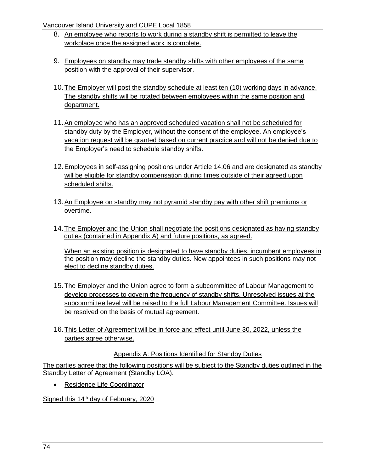Vancouver Island University and CUPE Local 1858

- 8. An employee who reports to work during a standby shift is permitted to leave the workplace once the assigned work is complete.
- 9. Employees on standby may trade standby shifts with other employees of the same position with the approval of their supervisor.
- 10.The Employer will post the standby schedule at least ten (10) working days in advance. The standby shifts will be rotated between employees within the same position and department.
- 11.An employee who has an approved scheduled vacation shall not be scheduled for standby duty by the Employer, without the consent of the employee. An employee's vacation request will be granted based on current practice and will not be denied due to the Employer's need to schedule standby shifts.
- 12.Employees in self-assigning positions under [Article 14.06](#page-33-1) and are designated as standby will be eligible for standby compensation during times outside of their agreed upon scheduled shifts.
- 13.An Employee on standby may not pyramid standby pay with other shift premiums or overtime.
- 14.The Employer and the Union shall negotiate the positions designated as having standby duties (contained in Appendix A) and future positions, as agreed.

When an existing position is designated to have standby duties, incumbent employees in the position may decline the standby duties. New appointees in such positions may not elect to decline standby duties.

- 15.The Employer and the Union agree to form a subcommittee of Labour Management to develop processes to govern the frequency of standby shifts. Unresolved issues at the subcommittee level will be raised to the full Labour Management Committee. Issues will be resolved on the basis of mutual agreement.
- 16.This Letter of Agreement will be in force and effect until June 30, 2022, unless the parties agree otherwise.

## Appendix A: Positions Identified for Standby Duties

The parties agree that the following positions will be subject to the Standby duties outlined in the Standby Letter of Agreement (Standby LOA).

• Residence Life Coordinator

Signed this 14<sup>th</sup> day of February, 2020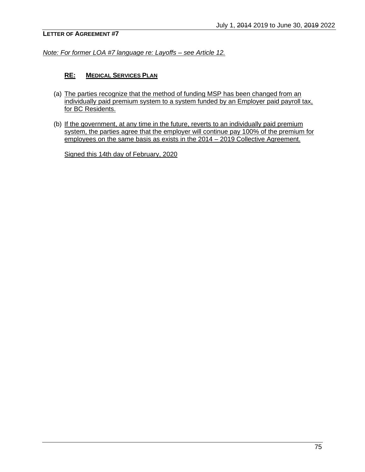*Note: For former LOA #7 language re: Layoffs – see [Article 12.](#page-20-0)*

#### **RE: MEDICAL SERVICES PLAN**

- (a) The parties recognize that the method of funding MSP has been changed from an individually paid premium system to a system funded by an Employer paid payroll tax, for BC Residents.
- (b) If the government, at any time in the future, reverts to an individually paid premium system, the parties agree that the employer will continue pay 100% of the premium for employees on the same basis as exists in the 2014 – 2019 Collective Agreement.

Signed this 14th day of February, 2020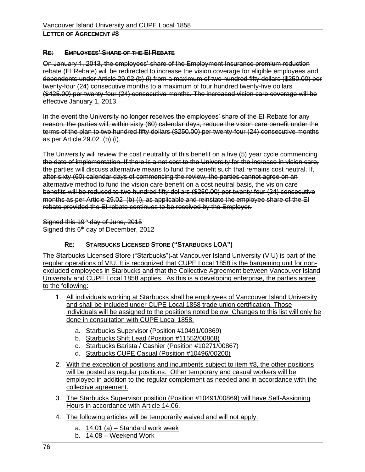#### **RE: EMPLOYEES' SHARE OF THE EI REBATE**

On January 1, 2013, the employees' share of the Employment Insurance premium reduction rebate (EI Rebate) will be redirected to increase the vision coverage for eligible employees and dependents under Article [29.02](#page-60-0) [\(b\)](#page-61-0) [\(i\)](#page-61-1) from a maximum of two hundred fifty dollars (\$250.00) per twenty-four (24) consecutive months to a maximum of four hundred twenty-five dollars (\$425.00) per twenty-four (24) consecutive months. The increased vision care coverage will be effective January 1, 2013.

In the event the University no longer receives the employees' share of the EI Rebate for any reason, the parties will, within sixty (60) calendar days, reduce the vision care benefit under the terms of the plan to two hundred fifty dollars (\$250.00) per twenty-four (24) consecutive months as per Article [29.02](#page-60-0) [\(b\)](#page-61-0) [\(i\).](#page-61-1)

The University will review the cost neutrality of this benefit on a five (5) year cycle commencing the date of implementation. If there is a net cost to the University for the increase in vision care, the parties will discuss alternative means to fund the benefit such that remains cost neutral. If, after sixty (60) calendar days of commencing the review, the parties cannot agree on an alternative method to fund the vision care benefit on a cost neutral basis, the vision care benefits will be reduced to two hundred fifty dollars (\$250.00) per twenty-four (24) consecutive months as per Article [29.02](#page-60-0) [\(b\)](#page-61-0) [\(i\),](#page-61-1) as applicable and reinstate the employee share of the EI rebate provided the EI rebate continues to be received by the Employer.

Signed this  $19<sup>th</sup>$  day of June, 2015 Signed this 6<sup>th</sup> day of December, 2012

## **RE: STARBUCKS LICENSED STORE ("STARBUCKS LOA")**

The Starbucks Licensed Store ("Starbucks") at Vancouver Island University (VIU) is part of the regular operations of VIU. It is recognized that CUPE Local 1858 is the bargaining unit for nonexcluded employees in Starbucks and that the Collective Agreement between Vancouver Island University and CUPE Local 1858 applies. As this is a developing enterprise, the parties agree to the following:

- 1. All individuals working at Starbucks shall be employees of Vancouver Island University and shall be included under CUPE Local 1858 trade union certification. Those individuals will be assigned to the positions noted below. Changes to this list will only be done in consultation with CUPE Local 1858.
	- a. Starbucks Supervisor (Position #10491/00869)
	- b. Starbucks Shift Lead (Position #11552/00868)
	- c. Starbucks Barista / Cashier (Position #10271/00867)
	- d. Starbucks CUPE Casual (Position #10496/00200)
- 2. With the exception of positions and incumbents subject to item #8, the other positions will be posted as regular positions. Other temporary and casual workers will be employed in addition to the regular complement as needed and in accordance with the collective agreement.
- 3. The Starbucks Supervisor position (Position #10491/00869) will have Self-Assigning Hours in accordance with [Article 14.06.](#page-33-1)
- 4. The following articles will be temporarily waived and will not apply:
	- a.  $14.01$  (a) Standard work week
	- b. [14.08](#page-34-0) Weekend Work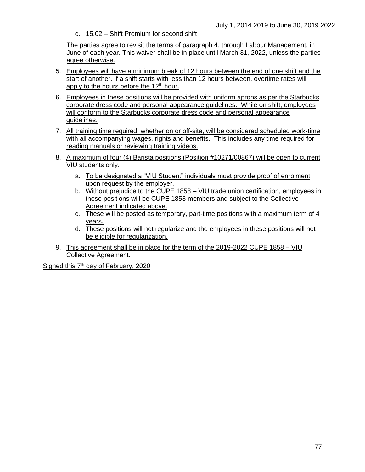c. 15.02 – Shift Premium for second shift

The parties agree to revisit the terms of paragraph 4, through Labour Management, in June of each year. This waiver shall be in place until March 31, 2022, unless the parties agree otherwise.

- 5. Employees will have a minimum break of 12 hours between the end of one shift and the start of another. If a shift starts with less than 12 hours between, overtime rates will apply to the hours before the  $12<sup>th</sup>$  hour.
- 6. Employees in these positions will be provided with uniform aprons as per the Starbucks corporate dress code and personal appearance guidelines. While on shift, employees will conform to the Starbucks corporate dress code and personal appearance guidelines.
- 7. All training time required, whether on or off-site, will be considered scheduled work-time with all accompanying wages, rights and benefits. This includes any time required for reading manuals or reviewing training videos.
- 8. A maximum of four (4) Barista positions (Position #10271/00867) will be open to current VIU students only.
	- a. To be designated a "VIU Student" individuals must provide proof of enrolment upon request by the employer.
	- b. Without prejudice to the CUPE 1858 VIU trade union certification, employees in these positions will be CUPE 1858 members and subject to the Collective Agreement indicated above.
	- c. These will be posted as temporary, part-time positions with a maximum term of 4 years.
	- d. These positions will not regularize and the employees in these positions will not be eligible for regularization.
- 9. This agreement shall be in place for the term of the 2019-2022 CUPE 1858 VIU Collective Agreement.

Signed this 7<sup>th</sup> day of February, 2020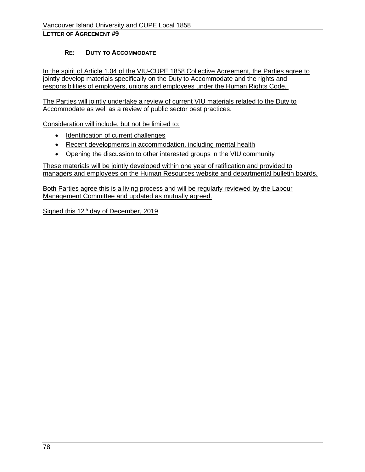# **RE: DUTY TO ACCOMMODATE**

In the spirit of [Article 1.04](#page-8-0) of the VIU-CUPE 1858 Collective Agreement, the Parties agree to jointly develop materials specifically on the Duty to Accommodate and the rights and responsibilities of employers, unions and employees under the Human Rights Code.

The Parties will jointly undertake a review of current VIU materials related to the Duty to Accommodate as well as a review of public sector best practices.

Consideration will include, but not be limited to:

- Identification of current challenges
- Recent developments in accommodation, including mental health
- Opening the discussion to other interested groups in the VIU community

These materials will be jointly developed within one year of ratification and provided to managers and employees on the Human Resources website and departmental bulletin boards.

Both Parties agree this is a living process and will be regularly reviewed by the Labour Management Committee and updated as mutually agreed.

Signed this  $12<sup>th</sup>$  day of December, 2019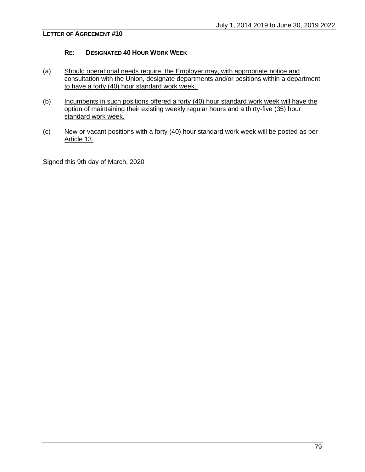#### **RE: DESIGNATED 40 HOUR WORK WEEK**

- (a) Should operational needs require, the Employer may, with appropriate notice and consultation with the Union, designate departments and/or positions within a department to have a forty (40) hour standard work week.
- (b) Incumbents in such positions offered a forty (40) hour standard work week will have the option of maintaining their existing weekly regular hours and a thirty-five (35) hour standard work week.
- (c) New or vacant positions with a forty (40) hour standard work week will be posted as per [Article 13.](#page-30-0)

Signed this 9th day of March, 2020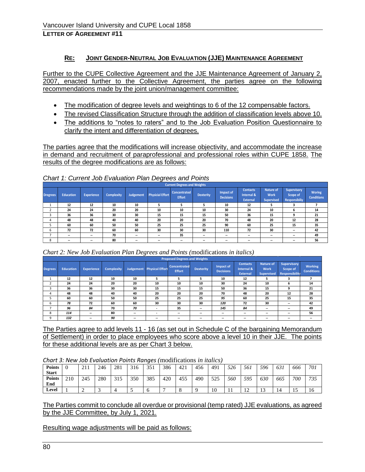## **RE: JOINT GENDER-NEUTRAL JOB EVALUATION (JJE) MAINTENANCE AGREEMENT**

Further to the CUPE Collective Agreement and the JJE Maintenance Agreement of January 2, 2007, enacted further to the Collective Agreement, the parties agree on the following recommendations made by the joint union/management committee:

- The modification of degree levels and weightings to 6 of the 12 compensable factors.
- The revised Classification Structure through the addition of classification levels above 10.
- The additions to "notes to raters" and to the Job Evaluation Position Questionnaire to clarify the intent and differentiation of degrees.

The parties agree that the modifications will increase objectivity, and accommodate the increase in demand and recruitment of paraprofessional and professional roles within CUPE 1858. The results of the degree modifications are as follows:

|          |                          |                   |                   |           |                          | <b>Current Degrees and Weights</b> |                          |                               |                                                  |                                                      |                                                        |                                    |
|----------|--------------------------|-------------------|-------------------|-----------|--------------------------|------------------------------------|--------------------------|-------------------------------|--------------------------------------------------|------------------------------------------------------|--------------------------------------------------------|------------------------------------|
| Dregrees | <b>Education</b>         | <b>Experience</b> | <b>Complexity</b> | Judgement | <b>Physicial Effort</b>  | Concentrated<br><b>Effort</b>      | <b>Dexterity</b>         | Impact of<br><b>Decisions</b> | <b>Contacts</b><br>Internal &<br><b>External</b> | <b>Nature of</b><br><b>Work</b><br><b>Supervised</b> | <b>Supervisory</b><br>Scope of<br><b>Responsibiliy</b> | <b>Woring</b><br><b>Conditions</b> |
|          | 12                       | 12                | 10                | 10        |                          |                                    |                          | 10                            | 12                                               |                                                      |                                                        |                                    |
|          | 24                       | 24                | 20                | 20        | 10                       | 10                                 | 10                       | 30                            | 24                                               | 10                                                   | b                                                      | 14                                 |
|          | 36                       | 36                | 30                | 30        | 15                       | 15                                 | 15                       | 50                            | 36                                               | 15                                                   | q                                                      | 21                                 |
|          | 48                       | 48                | 40                | 40        | 20                       | 20                                 | 20                       | 70                            | 48                                               | 20                                                   | 12                                                     | 28                                 |
|          | 60                       | 60                | 50                | 50        | 25                       | 25                                 | 25                       | 90                            | 60                                               | 25                                                   | 15                                                     | 35                                 |
| h        | 72                       | 72                | 60                | 60        | 30                       | 30                                 | 30                       | 110                           | 72                                               | 30                                                   | $\overline{\phantom{a}}$                               | 42                                 |
|          | $\sim$                   | --                | 70                | $\sim$    | $\sim$                   | 35                                 | $\overline{\phantom{a}}$ | $\overline{\phantom{a}}$      | ۰.                                               | $\overline{\phantom{a}}$                             | $\overline{\phantom{a}}$                               | 49                                 |
| 8        | $\overline{\phantom{a}}$ | --                | 80                | --        | $\overline{\phantom{a}}$ | $\overline{\phantom{a}}$           | --                       | $\overline{\phantom{a}}$      | --                                               | $\overline{\phantom{a}}$                             | $\overline{\phantom{a}}$                               | 56                                 |

*Chart 1: Current Job Evaluation Plan Degrees and Points*

*Chart 2: New Job Evaluation Plan Degrees and Points (*modifications *in italics)*

|                |                  |                          |            |                          |                                  | <b>Proposed Degrees and Weights</b>  |                          |                               |                                                  |                                                      |                                                         |                                     |
|----------------|------------------|--------------------------|------------|--------------------------|----------------------------------|--------------------------------------|--------------------------|-------------------------------|--------------------------------------------------|------------------------------------------------------|---------------------------------------------------------|-------------------------------------|
| <b>Degrees</b> | <b>Education</b> | <b>Experience</b>        | Complexity |                          | <b>Judgement</b> Physical Effort | <b>Concentrated</b><br><b>Effort</b> | <b>Dexterity</b>         | Impact of<br><b>Decisions</b> | <b>Contacts</b><br>Internal &<br><b>External</b> | <b>Nature of</b><br><b>Work</b><br><b>Supervised</b> | Supervisory<br><b>Scope of</b><br><b>Responsibility</b> | <b>Working</b><br><b>Conditions</b> |
|                | 12               | 12                       | 10         | 10                       | 5                                | 5                                    | 5                        | 10                            | 12                                               | ь                                                    | з                                                       |                                     |
|                | 24               | 24                       | 20         | 20                       | 10                               | 10                                   | 10                       | 30                            | 24                                               | 10                                                   | ь                                                       | 14                                  |
|                | 36               | 36                       | 30         | 30                       | 15                               | 15                                   | 15                       | 50                            | 36                                               | 15                                                   | 9                                                       | 21                                  |
| 4              | 48               | 48                       | 40         | 40                       | 20                               | 20                                   | 20                       | 70                            | 48                                               | 20                                                   | 12                                                      | 28                                  |
|                | 60               | 60                       | 50         | 50                       | 25                               | 25                                   | 25                       | 95                            | 60                                               | 25                                                   | 15                                                      | 35                                  |
| ь              | 78               | 72                       | 60         | 60                       | 30                               | 30                                   | 30                       | 120                           | 72                                               | 30                                                   | $\sim$                                                  | 42                                  |
|                | 96               | 84                       | 70         | 70                       | ۰                                | 35                                   | $\overline{\phantom{a}}$ | 145                           | 84                                               | $\overline{\phantom{a}}$                             | $\sim$                                                  | 49                                  |
| 8              | 114              | $\overline{\phantom{a}}$ | 80         | $\overline{\phantom{a}}$ | ۰                                | $\overline{\phantom{a}}$             | $\overline{\phantom{a}}$ | $\overline{\phantom{a}}$      | $\overline{\phantom{a}}$                         | $\overline{\phantom{a}}$                             | $\overline{\phantom{a}}$                                | 56                                  |
| 9              | 132              | $\overline{\phantom{a}}$ | 90         | $\sim$                   | --                               | $\overline{\phantom{a}}$             | $\overline{\phantom{a}}$ | $\overline{\phantom{a}}$      | $\overline{\phantom{a}}$                         | $\overline{\phantom{a}}$                             | $\overline{\phantom{a}}$                                | $- -$                               |

The Parties agree to add levels 11 - 16 (as set out in Schedule C of the bargaining Memorandum of Settlement) in order to place employees who score above a level 10 in their JJE. The points for these additional levels are as per Chart 3 below.

*Chart 3: New Job Evaluation Points Ranges (*modifications *in italics)*

| <b>Points</b><br><b>Start</b> |     | 211<br>211 | 246 | 281 | 316 | 351 | 386 | 421 | 456 | 491 | 526       | 561                              | 596         | 631 | 666 | 701 |
|-------------------------------|-----|------------|-----|-----|-----|-----|-----|-----|-----|-----|-----------|----------------------------------|-------------|-----|-----|-----|
| <b>Points</b><br>End          | 210 | 245        | 280 | 315 | 350 | 385 | 420 | 455 | 490 | 525 | 560       | 595                              | 630         | 665 | 700 | 735 |
| Level                         |     |            |     |     |     | O   |     |     |     | 10  | 11<br>-11 | 1 <sub>0</sub><br>$\overline{ }$ | $\sim$<br>⊥ | 14  | ⊥ J | 16  |

The Parties commit to conclude all overdue or provisional (temp rated) JJE evaluations, as agreed by the JJE Committee, by July 1, 2021.

Resulting wage adjustments will be paid as follows: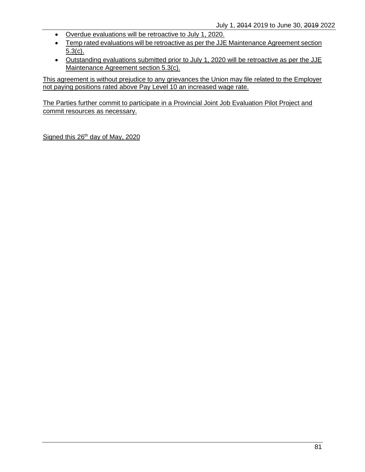- Overdue evaluations will be retroactive to July 1, 2020.
- Temp rated evaluations will be retroactive as per the JJE Maintenance Agreement section 5.3(c).
- Outstanding evaluations submitted prior to July 1, 2020 will be retroactive as per the JJE Maintenance Agreement section 5.3(c).

This agreement is without prejudice to any grievances the Union may file related to the Employer not paying positions rated above Pay Level 10 an increased wage rate.

The Parties further commit to participate in a Provincial Joint Job Evaluation Pilot Project and commit resources as necessary.

Signed this 26<sup>th</sup> day of May, 2020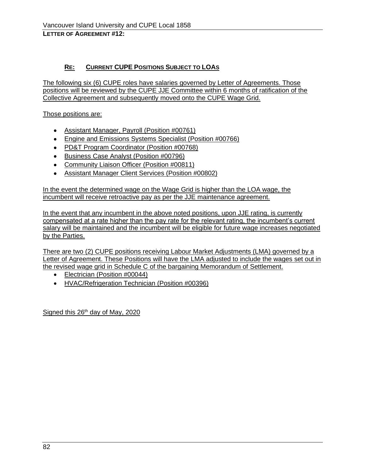# **RE: CURRENT CUPE POSITIONS SUBJECT TO LOAS**

The following six (6) CUPE roles have salaries governed by Letter of Agreements. Those positions will be reviewed by the CUPE JJE Committee within 6 months of ratification of the Collective Agreement and subsequently moved onto the CUPE Wage Grid.

Those positions are:

- Assistant Manager, Payroll (Position #00761)
- Engine and Emissions Systems Specialist (Position #00766)
- PD&T Program Coordinator (Position #00768)
- Business Case Analyst (Position #00796)
- Community Liaison Officer (Position #00811)
- Assistant Manager Client Services (Position #00802)

In the event the determined wage on the Wage Grid is higher than the LOA wage, the incumbent will receive retroactive pay as per the JJE maintenance agreement.

In the event that any incumbent in the above noted positions, upon JJE rating, is currently compensated at a rate higher than the pay rate for the relevant rating, the incumbent's current salary will be maintained and the incumbent will be eligible for future wage increases negotiated by the Parties.

There are two (2) CUPE positions receiving Labour Market Adjustments (LMA) governed by a Letter of Agreement. These Positions will have the LMA adjusted to include the wages set out in the revised wage grid in Schedule C of the bargaining Memorandum of Settlement.

- Electrician (Position #00044)
- HVAC/Refrigeration Technician (Position #00396)

Signed this 26<sup>th</sup> day of May, 2020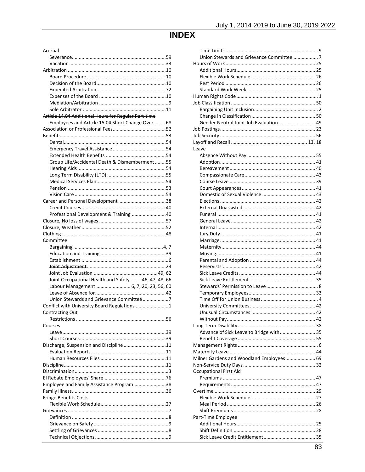# **INDEX**

| Accrual                                              |  |
|------------------------------------------------------|--|
|                                                      |  |
|                                                      |  |
|                                                      |  |
|                                                      |  |
|                                                      |  |
|                                                      |  |
|                                                      |  |
|                                                      |  |
| Article 14.04 Additional Hours for Regular Part-time |  |
| Employees and Article 15.04 Short Change Over68      |  |
|                                                      |  |
|                                                      |  |
|                                                      |  |
|                                                      |  |
|                                                      |  |
| Group Life/Accidental Death & Dismemberment55        |  |
|                                                      |  |
|                                                      |  |
|                                                      |  |
|                                                      |  |
|                                                      |  |
|                                                      |  |
|                                                      |  |
| Professional Development & Training 40               |  |
|                                                      |  |
|                                                      |  |
|                                                      |  |
| Committee                                            |  |
|                                                      |  |
|                                                      |  |
|                                                      |  |
|                                                      |  |
| Joint Occupational Health and Safety  46, 47, 48, 66 |  |
| Labour Management  6, 7, 20, 23, 56, 60              |  |
|                                                      |  |
| Union Stewards and Grievance Committee7              |  |
| Conflict with University Board Regulations 1         |  |
| Contracting Out                                      |  |
|                                                      |  |
| Courses                                              |  |
|                                                      |  |
|                                                      |  |
| Discharge, Suspension and Discipline11               |  |
|                                                      |  |
|                                                      |  |
|                                                      |  |
|                                                      |  |
|                                                      |  |
| Employee and Family Assistance Program 38            |  |
| <b>Fringe Benefits Costs</b>                         |  |
|                                                      |  |
|                                                      |  |
|                                                      |  |
|                                                      |  |
|                                                      |  |
|                                                      |  |
|                                                      |  |

| Union Stewards and Grievance Committee  7 |  |
|-------------------------------------------|--|
|                                           |  |
|                                           |  |
|                                           |  |
|                                           |  |
|                                           |  |
|                                           |  |
|                                           |  |
|                                           |  |
|                                           |  |
|                                           |  |
| Gender Neutral Joint Job Evaluation  49   |  |
|                                           |  |
|                                           |  |
|                                           |  |
| Leave                                     |  |
|                                           |  |
|                                           |  |
|                                           |  |
|                                           |  |
|                                           |  |
|                                           |  |
|                                           |  |
|                                           |  |
|                                           |  |
|                                           |  |
|                                           |  |
|                                           |  |
|                                           |  |
|                                           |  |
|                                           |  |
|                                           |  |
|                                           |  |
|                                           |  |
|                                           |  |
|                                           |  |
|                                           |  |
|                                           |  |
|                                           |  |
|                                           |  |
|                                           |  |
|                                           |  |
|                                           |  |
|                                           |  |
|                                           |  |
| Advance of Sick Leave to Bridge with 35   |  |
|                                           |  |
|                                           |  |
|                                           |  |
| Milner Gardens and Woodland Employees 69  |  |
|                                           |  |
| <b>Occupational First Aid</b>             |  |
|                                           |  |
|                                           |  |
|                                           |  |
|                                           |  |
|                                           |  |
|                                           |  |
|                                           |  |
| Part-Time Employee                        |  |
|                                           |  |
|                                           |  |
|                                           |  |
|                                           |  |